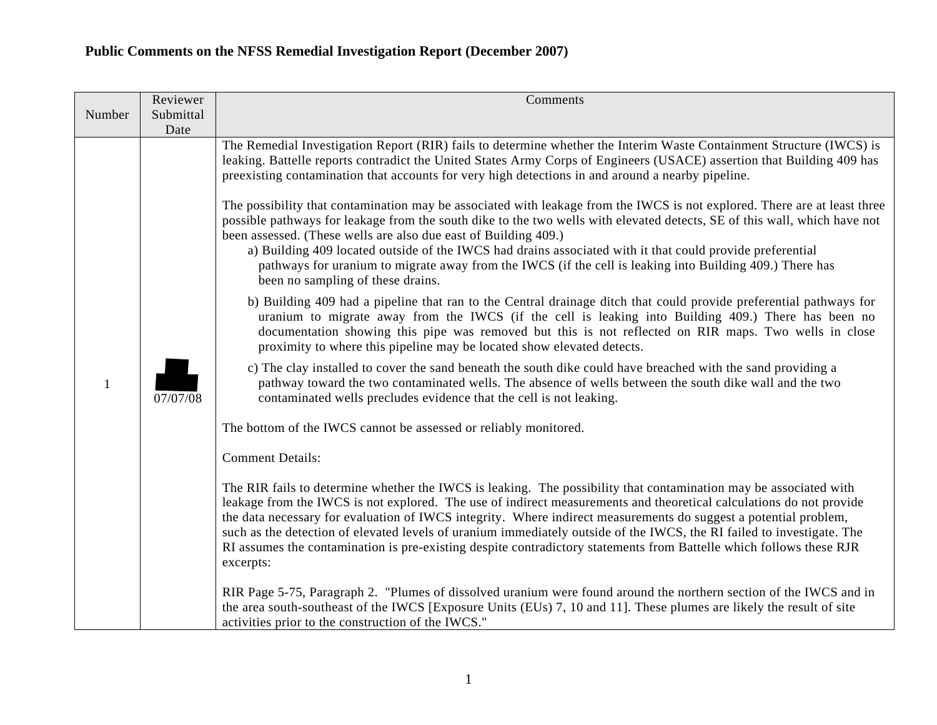|        | Reviewer          | Comments                                                                                                                                                                                                                                                                                                                                                                                                                                                                                                                                                                                                                   |
|--------|-------------------|----------------------------------------------------------------------------------------------------------------------------------------------------------------------------------------------------------------------------------------------------------------------------------------------------------------------------------------------------------------------------------------------------------------------------------------------------------------------------------------------------------------------------------------------------------------------------------------------------------------------------|
| Number | Submittal<br>Date |                                                                                                                                                                                                                                                                                                                                                                                                                                                                                                                                                                                                                            |
|        |                   | The Remedial Investigation Report (RIR) fails to determine whether the Interim Waste Containment Structure (IWCS) is<br>leaking. Battelle reports contradict the United States Army Corps of Engineers (USACE) assertion that Building 409 has<br>preexisting contamination that accounts for very high detections in and around a nearby pipeline.<br>The possibility that contamination may be associated with leakage from the IWCS is not explored. There are at least three<br>possible pathways for leakage from the south dike to the two wells with elevated detects, SE of this wall, which have not              |
|        |                   | been assessed. (These wells are also due east of Building 409.)<br>a) Building 409 located outside of the IWCS had drains associated with it that could provide preferential<br>pathways for uranium to migrate away from the IWCS (if the cell is leaking into Building 409.) There has<br>been no sampling of these drains.                                                                                                                                                                                                                                                                                              |
|        |                   | b) Building 409 had a pipeline that ran to the Central drainage ditch that could provide preferential pathways for<br>uranium to migrate away from the IWCS (if the cell is leaking into Building 409.) There has been no<br>documentation showing this pipe was removed but this is not reflected on RIR maps. Two wells in close<br>proximity to where this pipeline may be located show elevated detects.                                                                                                                                                                                                               |
| 1      | 07/07/08          | c) The clay installed to cover the sand beneath the south dike could have breached with the sand providing a<br>pathway toward the two contaminated wells. The absence of wells between the south dike wall and the two<br>contaminated wells precludes evidence that the cell is not leaking.                                                                                                                                                                                                                                                                                                                             |
|        |                   | The bottom of the IWCS cannot be assessed or reliably monitored.                                                                                                                                                                                                                                                                                                                                                                                                                                                                                                                                                           |
|        |                   | <b>Comment Details:</b>                                                                                                                                                                                                                                                                                                                                                                                                                                                                                                                                                                                                    |
|        |                   | The RIR fails to determine whether the IWCS is leaking. The possibility that contamination may be associated with<br>leakage from the IWCS is not explored. The use of indirect measurements and theoretical calculations do not provide<br>the data necessary for evaluation of IWCS integrity. Where indirect measurements do suggest a potential problem,<br>such as the detection of elevated levels of uranium immediately outside of the IWCS, the RI failed to investigate. The<br>RI assumes the contamination is pre-existing despite contradictory statements from Battelle which follows these RJR<br>excerpts: |
|        |                   | RIR Page 5-75, Paragraph 2. "Plumes of dissolved uranium were found around the northern section of the IWCS and in<br>the area south-southeast of the IWCS [Exposure Units (EUs) 7, 10 and 11]. These plumes are likely the result of site<br>activities prior to the construction of the IWCS."                                                                                                                                                                                                                                                                                                                           |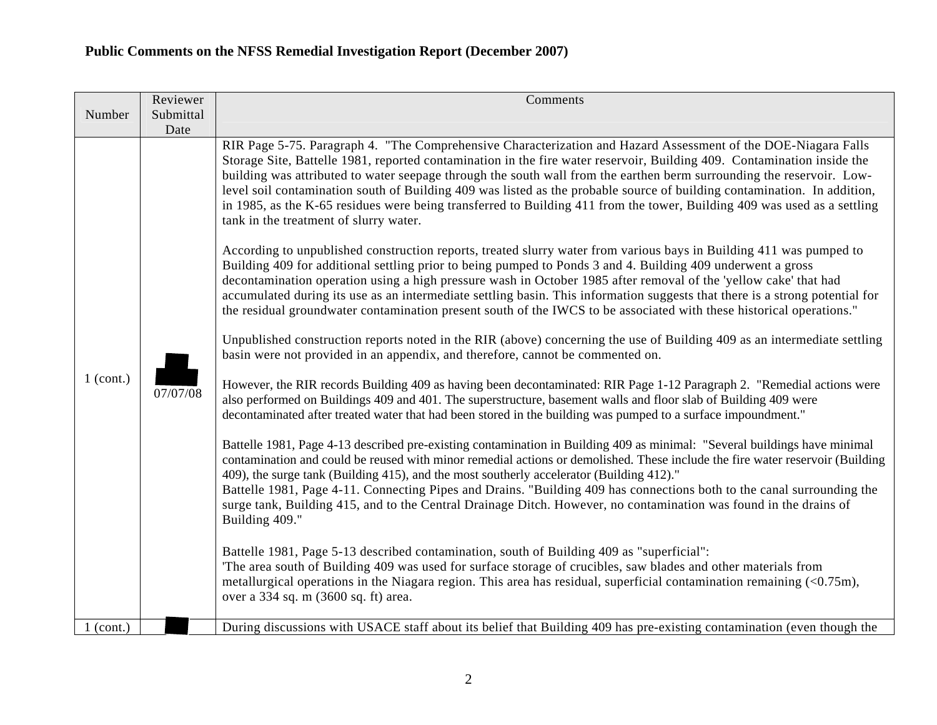|                            | Reviewer          | Comments                                                                                                                                                                                                                                                                                                                                                                                                                                                                                                                                                                                                                                                                                                                                                                                                                                                                                                                                                                                                                                                                                                                                                                                                                                                                                                                                                                                                                                                                                                                                                                                                                                                                                                                                                                                                                                                                                                                                                                                                                                                                                                                                                                                                                                                                                                                                                                                                                                                                                                                                                                                                                                                                                                                                                                                                                                                                                                                                                                                                |
|----------------------------|-------------------|---------------------------------------------------------------------------------------------------------------------------------------------------------------------------------------------------------------------------------------------------------------------------------------------------------------------------------------------------------------------------------------------------------------------------------------------------------------------------------------------------------------------------------------------------------------------------------------------------------------------------------------------------------------------------------------------------------------------------------------------------------------------------------------------------------------------------------------------------------------------------------------------------------------------------------------------------------------------------------------------------------------------------------------------------------------------------------------------------------------------------------------------------------------------------------------------------------------------------------------------------------------------------------------------------------------------------------------------------------------------------------------------------------------------------------------------------------------------------------------------------------------------------------------------------------------------------------------------------------------------------------------------------------------------------------------------------------------------------------------------------------------------------------------------------------------------------------------------------------------------------------------------------------------------------------------------------------------------------------------------------------------------------------------------------------------------------------------------------------------------------------------------------------------------------------------------------------------------------------------------------------------------------------------------------------------------------------------------------------------------------------------------------------------------------------------------------------------------------------------------------------------------------------------------------------------------------------------------------------------------------------------------------------------------------------------------------------------------------------------------------------------------------------------------------------------------------------------------------------------------------------------------------------------------------------------------------------------------------------------------------------|
| Number                     | Submittal<br>Date |                                                                                                                                                                                                                                                                                                                                                                                                                                                                                                                                                                                                                                                                                                                                                                                                                                                                                                                                                                                                                                                                                                                                                                                                                                                                                                                                                                                                                                                                                                                                                                                                                                                                                                                                                                                                                                                                                                                                                                                                                                                                                                                                                                                                                                                                                                                                                                                                                                                                                                                                                                                                                                                                                                                                                                                                                                                                                                                                                                                                         |
| $1$ (cont.)<br>$1$ (cont.) | 07/07/08          | RIR Page 5-75. Paragraph 4. "The Comprehensive Characterization and Hazard Assessment of the DOE-Niagara Falls<br>Storage Site, Battelle 1981, reported contamination in the fire water reservoir, Building 409. Contamination inside the<br>building was attributed to water seepage through the south wall from the earthen berm surrounding the reservoir. Low-<br>level soil contamination south of Building 409 was listed as the probable source of building contamination. In addition,<br>in 1985, as the K-65 residues were being transferred to Building 411 from the tower, Building 409 was used as a settling<br>tank in the treatment of slurry water.<br>According to unpublished construction reports, treated slurry water from various bays in Building 411 was pumped to<br>Building 409 for additional settling prior to being pumped to Ponds 3 and 4. Building 409 underwent a gross<br>decontamination operation using a high pressure wash in October 1985 after removal of the 'yellow cake' that had<br>accumulated during its use as an intermediate settling basin. This information suggests that there is a strong potential for<br>the residual groundwater contamination present south of the IWCS to be associated with these historical operations."<br>Unpublished construction reports noted in the RIR (above) concerning the use of Building 409 as an intermediate settling<br>basin were not provided in an appendix, and therefore, cannot be commented on.<br>However, the RIR records Building 409 as having been decontaminated: RIR Page 1-12 Paragraph 2. "Remedial actions were<br>also performed on Buildings 409 and 401. The superstructure, basement walls and floor slab of Building 409 were<br>decontaminated after treated water that had been stored in the building was pumped to a surface impoundment."<br>Battelle 1981, Page 4-13 described pre-existing contamination in Building 409 as minimal: "Several buildings have minimal<br>contamination and could be reused with minor remedial actions or demolished. These include the fire water reservoir (Building<br>409), the surge tank (Building 415), and the most southerly accelerator (Building 412)."<br>Battelle 1981, Page 4-11. Connecting Pipes and Drains. "Building 409 has connections both to the canal surrounding the<br>surge tank, Building 415, and to the Central Drainage Ditch. However, no contamination was found in the drains of<br>Building 409."<br>Battelle 1981, Page 5-13 described contamination, south of Building 409 as "superficial":<br>The area south of Building 409 was used for surface storage of crucibles, saw blades and other materials from<br>metallurgical operations in the Niagara region. This area has residual, superficial contamination remaining $(0.75m),$<br>over a 334 sq. m (3600 sq. ft) area.<br>During discussions with USACE staff about its belief that Building 409 has pre-existing contamination (even though the |
|                            |                   |                                                                                                                                                                                                                                                                                                                                                                                                                                                                                                                                                                                                                                                                                                                                                                                                                                                                                                                                                                                                                                                                                                                                                                                                                                                                                                                                                                                                                                                                                                                                                                                                                                                                                                                                                                                                                                                                                                                                                                                                                                                                                                                                                                                                                                                                                                                                                                                                                                                                                                                                                                                                                                                                                                                                                                                                                                                                                                                                                                                                         |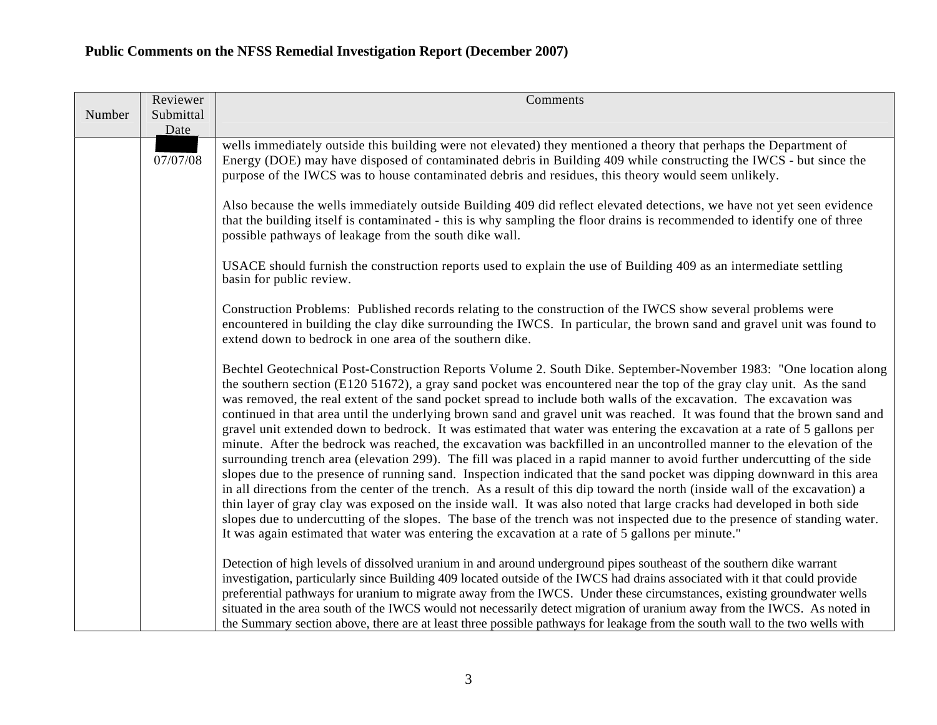|        | Reviewer          | Comments                                                                                                                                                                                                                                                                                                                                                                                                                                                                                                                                                                                                                                                                                                                                                                                                                                                                                                                                                                                                                                                                                                                                                                                                                                                                                                                                                                                                                                                                                                |
|--------|-------------------|---------------------------------------------------------------------------------------------------------------------------------------------------------------------------------------------------------------------------------------------------------------------------------------------------------------------------------------------------------------------------------------------------------------------------------------------------------------------------------------------------------------------------------------------------------------------------------------------------------------------------------------------------------------------------------------------------------------------------------------------------------------------------------------------------------------------------------------------------------------------------------------------------------------------------------------------------------------------------------------------------------------------------------------------------------------------------------------------------------------------------------------------------------------------------------------------------------------------------------------------------------------------------------------------------------------------------------------------------------------------------------------------------------------------------------------------------------------------------------------------------------|
| Number | Submittal<br>Date |                                                                                                                                                                                                                                                                                                                                                                                                                                                                                                                                                                                                                                                                                                                                                                                                                                                                                                                                                                                                                                                                                                                                                                                                                                                                                                                                                                                                                                                                                                         |
|        | 07/07/08          | wells immediately outside this building were not elevated) they mentioned a theory that perhaps the Department of<br>Energy (DOE) may have disposed of contaminated debris in Building 409 while constructing the IWCS - but since the<br>purpose of the IWCS was to house contaminated debris and residues, this theory would seem unlikely.                                                                                                                                                                                                                                                                                                                                                                                                                                                                                                                                                                                                                                                                                                                                                                                                                                                                                                                                                                                                                                                                                                                                                           |
|        |                   | Also because the wells immediately outside Building 409 did reflect elevated detections, we have not yet seen evidence<br>that the building itself is contaminated - this is why sampling the floor drains is recommended to identify one of three<br>possible pathways of leakage from the south dike wall.                                                                                                                                                                                                                                                                                                                                                                                                                                                                                                                                                                                                                                                                                                                                                                                                                                                                                                                                                                                                                                                                                                                                                                                            |
|        |                   | USACE should furnish the construction reports used to explain the use of Building 409 as an intermediate settling<br>basin for public review.                                                                                                                                                                                                                                                                                                                                                                                                                                                                                                                                                                                                                                                                                                                                                                                                                                                                                                                                                                                                                                                                                                                                                                                                                                                                                                                                                           |
|        |                   | Construction Problems: Published records relating to the construction of the IWCS show several problems were<br>encountered in building the clay dike surrounding the IWCS. In particular, the brown sand and gravel unit was found to<br>extend down to bedrock in one area of the southern dike.                                                                                                                                                                                                                                                                                                                                                                                                                                                                                                                                                                                                                                                                                                                                                                                                                                                                                                                                                                                                                                                                                                                                                                                                      |
|        |                   | Bechtel Geotechnical Post-Construction Reports Volume 2. South Dike. September-November 1983: "One location along<br>the southern section ( $E12051672$ ), a gray sand pocket was encountered near the top of the gray clay unit. As the sand<br>was removed, the real extent of the sand pocket spread to include both walls of the excavation. The excavation was<br>continued in that area until the underlying brown sand and gravel unit was reached. It was found that the brown sand and<br>gravel unit extended down to bedrock. It was estimated that water was entering the excavation at a rate of 5 gallons per<br>minute. After the bedrock was reached, the excavation was backfilled in an uncontrolled manner to the elevation of the<br>surrounding trench area (elevation 299). The fill was placed in a rapid manner to avoid further undercutting of the side<br>slopes due to the presence of running sand. Inspection indicated that the sand pocket was dipping downward in this area<br>in all directions from the center of the trench. As a result of this dip toward the north (inside wall of the excavation) a<br>thin layer of gray clay was exposed on the inside wall. It was also noted that large cracks had developed in both side<br>slopes due to undercutting of the slopes. The base of the trench was not inspected due to the presence of standing water.<br>It was again estimated that water was entering the excavation at a rate of 5 gallons per minute." |
|        |                   | Detection of high levels of dissolved uranium in and around underground pipes southeast of the southern dike warrant<br>investigation, particularly since Building 409 located outside of the IWCS had drains associated with it that could provide<br>preferential pathways for uranium to migrate away from the IWCS. Under these circumstances, existing groundwater wells<br>situated in the area south of the IWCS would not necessarily detect migration of uranium away from the IWCS. As noted in<br>the Summary section above, there are at least three possible pathways for leakage from the south wall to the two wells with                                                                                                                                                                                                                                                                                                                                                                                                                                                                                                                                                                                                                                                                                                                                                                                                                                                                |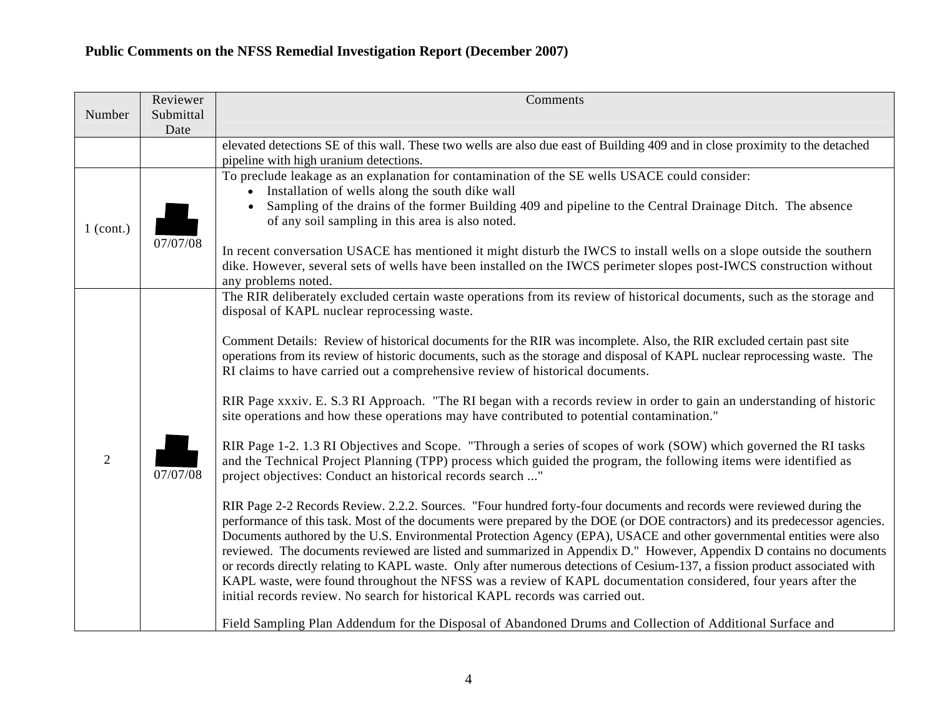|                | Reviewer  | Comments                                                                                                                                                                                                                                            |
|----------------|-----------|-----------------------------------------------------------------------------------------------------------------------------------------------------------------------------------------------------------------------------------------------------|
| Number         | Submittal |                                                                                                                                                                                                                                                     |
|                | Date      |                                                                                                                                                                                                                                                     |
|                |           | elevated detections SE of this wall. These two wells are also due east of Building 409 and in close proximity to the detached<br>pipeline with high uranium detections.                                                                             |
|                |           | To preclude leakage as an explanation for contamination of the SE wells USACE could consider:                                                                                                                                                       |
|                |           | • Installation of wells along the south dike wall                                                                                                                                                                                                   |
|                |           | Sampling of the drains of the former Building 409 and pipeline to the Central Drainage Ditch. The absence                                                                                                                                           |
| $1$ (cont.)    |           | of any soil sampling in this area is also noted.                                                                                                                                                                                                    |
|                | 07/07/08  | In recent conversation USACE has mentioned it might disturb the IWCS to install wells on a slope outside the southern                                                                                                                               |
|                |           | dike. However, several sets of wells have been installed on the IWCS perimeter slopes post-IWCS construction without                                                                                                                                |
|                |           | any problems noted.                                                                                                                                                                                                                                 |
|                |           | The RIR deliberately excluded certain waste operations from its review of historical documents, such as the storage and                                                                                                                             |
|                |           | disposal of KAPL nuclear reprocessing waste.                                                                                                                                                                                                        |
|                |           | Comment Details: Review of historical documents for the RIR was incomplete. Also, the RIR excluded certain past site                                                                                                                                |
|                |           | operations from its review of historic documents, such as the storage and disposal of KAPL nuclear reprocessing waste. The                                                                                                                          |
|                |           | RI claims to have carried out a comprehensive review of historical documents.                                                                                                                                                                       |
|                |           |                                                                                                                                                                                                                                                     |
|                |           | RIR Page xxxiv. E. S.3 RI Approach. "The RI began with a records review in order to gain an understanding of historic                                                                                                                               |
|                |           | site operations and how these operations may have contributed to potential contamination."                                                                                                                                                          |
|                |           | RIR Page 1-2. 1.3 RI Objectives and Scope. "Through a series of scopes of work (SOW) which governed the RI tasks                                                                                                                                    |
| $\overline{2}$ |           | and the Technical Project Planning (TPP) process which guided the program, the following items were identified as                                                                                                                                   |
|                | 07/07/08  | project objectives: Conduct an historical records search "                                                                                                                                                                                          |
|                |           |                                                                                                                                                                                                                                                     |
|                |           | RIR Page 2-2 Records Review. 2.2.2. Sources. "Four hundred forty-four documents and records were reviewed during the<br>performance of this task. Most of the documents were prepared by the DOE (or DOE contractors) and its predecessor agencies. |
|                |           | Documents authored by the U.S. Environmental Protection Agency (EPA), USACE and other governmental entities were also                                                                                                                               |
|                |           | reviewed. The documents reviewed are listed and summarized in Appendix D." However, Appendix D contains no documents                                                                                                                                |
|                |           | or records directly relating to KAPL waste. Only after numerous detections of Cesium-137, a fission product associated with                                                                                                                         |
|                |           | KAPL waste, were found throughout the NFSS was a review of KAPL documentation considered, four years after the                                                                                                                                      |
|                |           | initial records review. No search for historical KAPL records was carried out.                                                                                                                                                                      |
|                |           | Field Sampling Plan Addendum for the Disposal of Abandoned Drums and Collection of Additional Surface and                                                                                                                                           |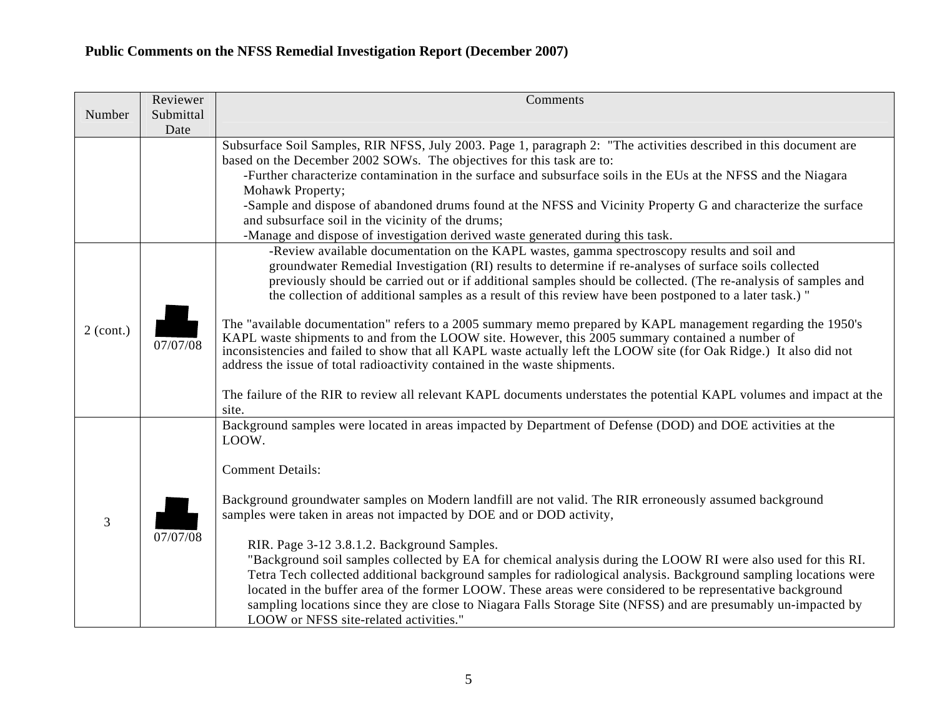|             | Reviewer          | Comments                                                                                                                                                                                                                                                                                                                                                                                                                                                                                                                                                                                                                                                                                                                                                                                                                                                                                                                                                                                      |
|-------------|-------------------|-----------------------------------------------------------------------------------------------------------------------------------------------------------------------------------------------------------------------------------------------------------------------------------------------------------------------------------------------------------------------------------------------------------------------------------------------------------------------------------------------------------------------------------------------------------------------------------------------------------------------------------------------------------------------------------------------------------------------------------------------------------------------------------------------------------------------------------------------------------------------------------------------------------------------------------------------------------------------------------------------|
| Number      | Submittal<br>Date |                                                                                                                                                                                                                                                                                                                                                                                                                                                                                                                                                                                                                                                                                                                                                                                                                                                                                                                                                                                               |
|             |                   | Subsurface Soil Samples, RIR NFSS, July 2003. Page 1, paragraph 2: "The activities described in this document are<br>based on the December 2002 SOWs. The objectives for this task are to:<br>-Further characterize contamination in the surface and subsurface soils in the EUs at the NFSS and the Niagara<br>Mohawk Property;<br>-Sample and dispose of abandoned drums found at the NFSS and Vicinity Property G and characterize the surface<br>and subsurface soil in the vicinity of the drums;<br>-Manage and dispose of investigation derived waste generated during this task.                                                                                                                                                                                                                                                                                                                                                                                                      |
| $2$ (cont.) | 07/07/08          | -Review available documentation on the KAPL wastes, gamma spectroscopy results and soil and<br>groundwater Remedial Investigation (RI) results to determine if re-analyses of surface soils collected<br>previously should be carried out or if additional samples should be collected. (The re-analysis of samples and<br>the collection of additional samples as a result of this review have been postponed to a later task.) "<br>The "available documentation" refers to a 2005 summary memo prepared by KAPL management regarding the 1950's<br>KAPL waste shipments to and from the LOOW site. However, this 2005 summary contained a number of<br>inconsistencies and failed to show that all KAPL waste actually left the LOOW site (for Oak Ridge.) It also did not<br>address the issue of total radioactivity contained in the waste shipments.<br>The failure of the RIR to review all relevant KAPL documents understates the potential KAPL volumes and impact at the<br>site. |
| 3           | 07/07/08          | Background samples were located in areas impacted by Department of Defense (DOD) and DOE activities at the<br>LOOW.<br><b>Comment Details:</b><br>Background groundwater samples on Modern landfill are not valid. The RIR erroneously assumed background<br>samples were taken in areas not impacted by DOE and or DOD activity,<br>RIR. Page 3-12 3.8.1.2. Background Samples.<br>"Background soil samples collected by EA for chemical analysis during the LOOW RI were also used for this RI.<br>Tetra Tech collected additional background samples for radiological analysis. Background sampling locations were<br>located in the buffer area of the former LOOW. These areas were considered to be representative background<br>sampling locations since they are close to Niagara Falls Storage Site (NFSS) and are presumably un-impacted by<br>LOOW or NFSS site-related activities."                                                                                               |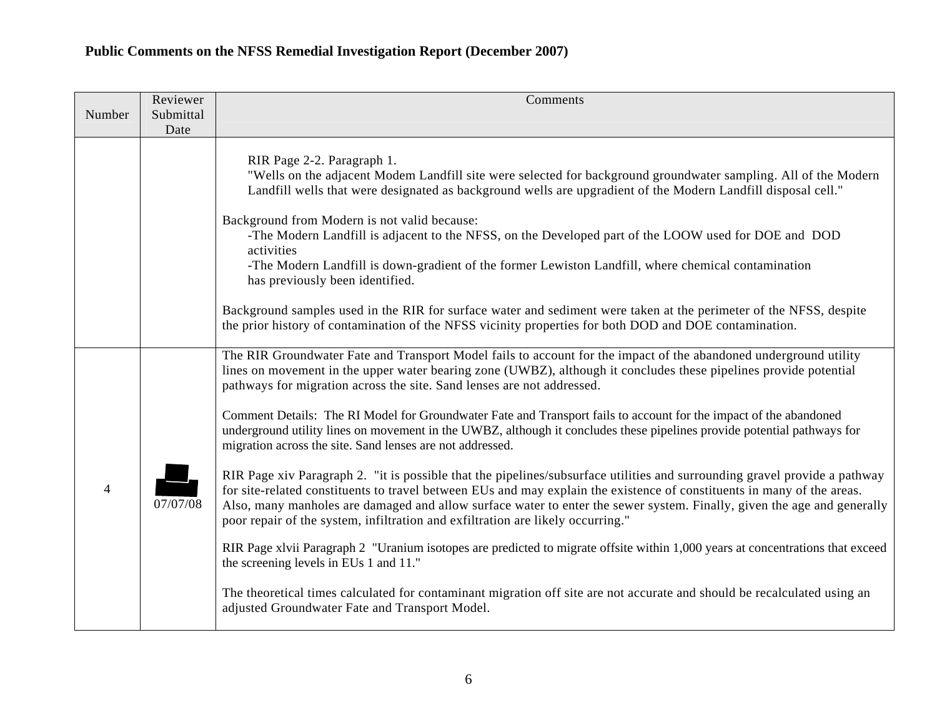| Number         | Reviewer          | Comments                                                                                                                                                                                                                                                                                                                                                                                                                                                            |
|----------------|-------------------|---------------------------------------------------------------------------------------------------------------------------------------------------------------------------------------------------------------------------------------------------------------------------------------------------------------------------------------------------------------------------------------------------------------------------------------------------------------------|
|                | Submittal<br>Date |                                                                                                                                                                                                                                                                                                                                                                                                                                                                     |
|                |                   | RIR Page 2-2. Paragraph 1.<br>"Wells on the adjacent Modem Landfill site were selected for background groundwater sampling. All of the Modern<br>Landfill wells that were designated as background wells are upgradient of the Modern Landfill disposal cell."<br>Background from Modern is not valid because:<br>-The Modern Landfill is adjacent to the NFSS, on the Developed part of the LOOW used for DOE and DOD<br>activities                                |
|                |                   | -The Modern Landfill is down-gradient of the former Lewiston Landfill, where chemical contamination<br>has previously been identified.                                                                                                                                                                                                                                                                                                                              |
|                |                   | Background samples used in the RIR for surface water and sediment were taken at the perimeter of the NFSS, despite<br>the prior history of contamination of the NFSS vicinity properties for both DOD and DOE contamination.                                                                                                                                                                                                                                        |
| $\overline{4}$ |                   | The RIR Groundwater Fate and Transport Model fails to account for the impact of the abandoned underground utility<br>lines on movement in the upper water bearing zone (UWBZ), although it concludes these pipelines provide potential<br>pathways for migration across the site. Sand lenses are not addressed.                                                                                                                                                    |
|                |                   | Comment Details: The RI Model for Groundwater Fate and Transport fails to account for the impact of the abandoned<br>underground utility lines on movement in the UWBZ, although it concludes these pipelines provide potential pathways for<br>migration across the site. Sand lenses are not addressed.                                                                                                                                                           |
|                | 07/07/08          | RIR Page xiv Paragraph 2. "it is possible that the pipelines/subsurface utilities and surrounding gravel provide a pathway<br>for site-related constituents to travel between EUs and may explain the existence of constituents in many of the areas.<br>Also, many manholes are damaged and allow surface water to enter the sewer system. Finally, given the age and generally<br>poor repair of the system, infiltration and exfiltration are likely occurring." |
|                |                   | RIR Page xlvii Paragraph 2 "Uranium isotopes are predicted to migrate offsite within 1,000 years at concentrations that exceed<br>the screening levels in EUs 1 and 11."                                                                                                                                                                                                                                                                                            |
|                |                   | The theoretical times calculated for contaminant migration off site are not accurate and should be recalculated using an<br>adjusted Groundwater Fate and Transport Model.                                                                                                                                                                                                                                                                                          |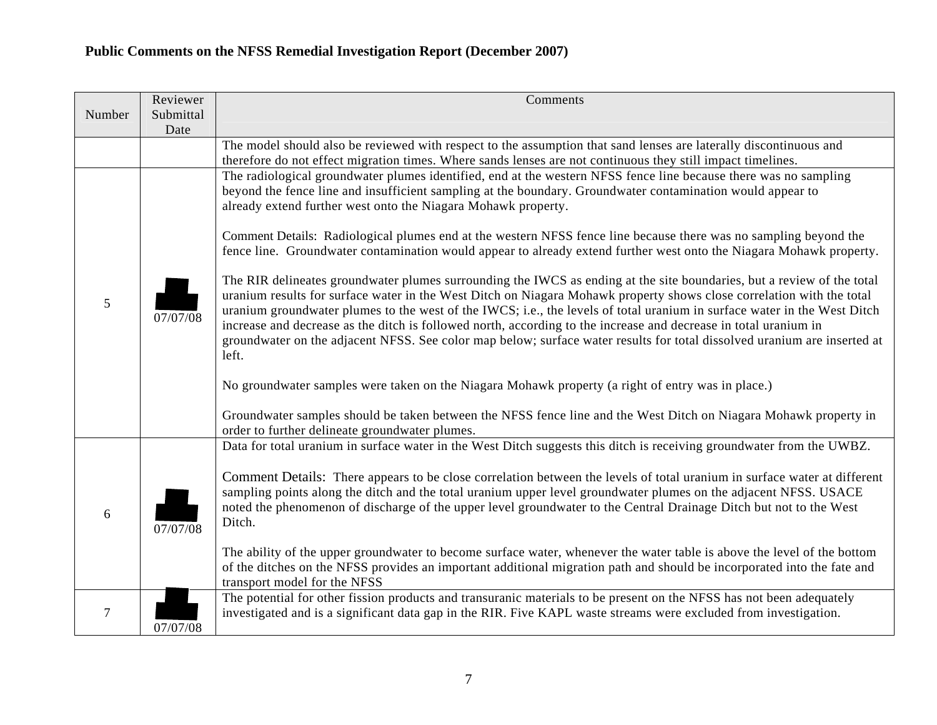|        | Reviewer          | Comments                                                                                                                                                                                                                                                                                                                                                                                                                                                                                                                                                                                                                                                                                                                                                                                                                                                                                                                                                                                                                                                                                                                                                                  |
|--------|-------------------|---------------------------------------------------------------------------------------------------------------------------------------------------------------------------------------------------------------------------------------------------------------------------------------------------------------------------------------------------------------------------------------------------------------------------------------------------------------------------------------------------------------------------------------------------------------------------------------------------------------------------------------------------------------------------------------------------------------------------------------------------------------------------------------------------------------------------------------------------------------------------------------------------------------------------------------------------------------------------------------------------------------------------------------------------------------------------------------------------------------------------------------------------------------------------|
| Number | Submittal<br>Date |                                                                                                                                                                                                                                                                                                                                                                                                                                                                                                                                                                                                                                                                                                                                                                                                                                                                                                                                                                                                                                                                                                                                                                           |
|        |                   | The model should also be reviewed with respect to the assumption that sand lenses are laterally discontinuous and<br>therefore do not effect migration times. Where sands lenses are not continuous they still impact timelines.                                                                                                                                                                                                                                                                                                                                                                                                                                                                                                                                                                                                                                                                                                                                                                                                                                                                                                                                          |
| 5      | 07/07/08          | The radiological groundwater plumes identified, end at the western NFSS fence line because there was no sampling<br>beyond the fence line and insufficient sampling at the boundary. Groundwater contamination would appear to<br>already extend further west onto the Niagara Mohawk property.<br>Comment Details: Radiological plumes end at the western NFSS fence line because there was no sampling beyond the<br>fence line. Groundwater contamination would appear to already extend further west onto the Niagara Mohawk property.<br>The RIR delineates groundwater plumes surrounding the IWCS as ending at the site boundaries, but a review of the total<br>uranium results for surface water in the West Ditch on Niagara Mohawk property shows close correlation with the total<br>uranium groundwater plumes to the west of the IWCS; i.e., the levels of total uranium in surface water in the West Ditch<br>increase and decrease as the ditch is followed north, according to the increase and decrease in total uranium in<br>groundwater on the adjacent NFSS. See color map below; surface water results for total dissolved uranium are inserted at |
|        |                   | left.<br>No groundwater samples were taken on the Niagara Mohawk property (a right of entry was in place.)<br>Groundwater samples should be taken between the NFSS fence line and the West Ditch on Niagara Mohawk property in<br>order to further delineate groundwater plumes.                                                                                                                                                                                                                                                                                                                                                                                                                                                                                                                                                                                                                                                                                                                                                                                                                                                                                          |
| 6      | 07/07/08          | Data for total uranium in surface water in the West Ditch suggests this ditch is receiving groundwater from the UWBZ.<br>Comment Details: There appears to be close correlation between the levels of total uranium in surface water at different<br>sampling points along the ditch and the total uranium upper level groundwater plumes on the adjacent NFSS. USACE<br>noted the phenomenon of discharge of the upper level groundwater to the Central Drainage Ditch but not to the West<br>Ditch.<br>The ability of the upper groundwater to become surface water, whenever the water table is above the level of the bottom<br>of the ditches on the NFSS provides an important additional migration path and should be incorporated into the fate and                                                                                                                                                                                                                                                                                                                                                                                                               |
| 7      | 07/07/08          | transport model for the NFSS<br>The potential for other fission products and transuranic materials to be present on the NFSS has not been adequately<br>investigated and is a significant data gap in the RIR. Five KAPL waste streams were excluded from investigation.                                                                                                                                                                                                                                                                                                                                                                                                                                                                                                                                                                                                                                                                                                                                                                                                                                                                                                  |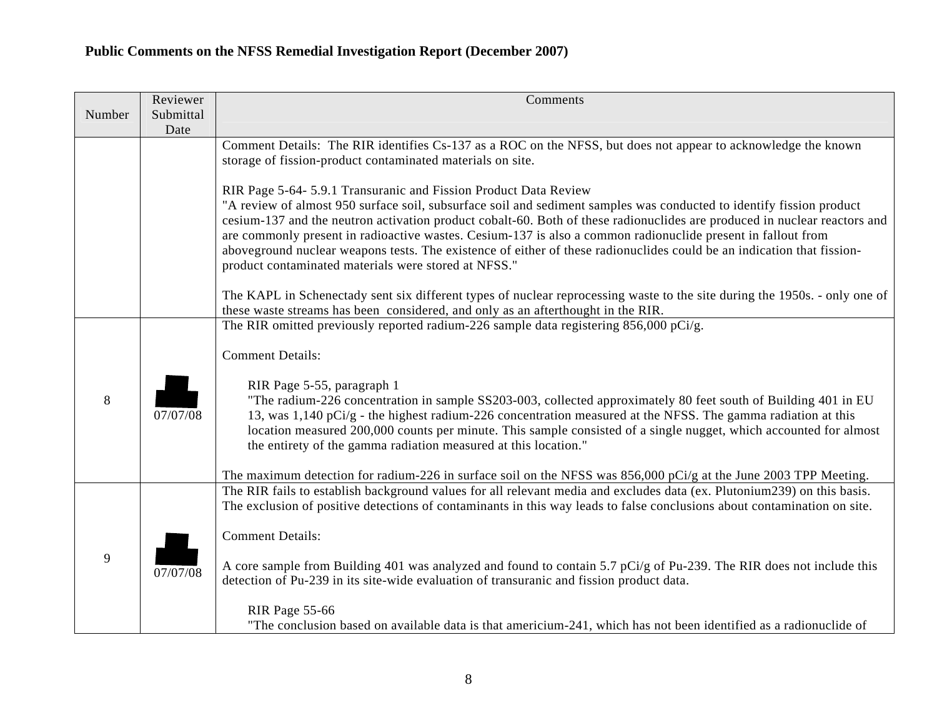|        | Reviewer          | Comments                                                                                                                                                                                                                                                                                                                                                                                                                                                                                                                                                                                                                                                                                         |
|--------|-------------------|--------------------------------------------------------------------------------------------------------------------------------------------------------------------------------------------------------------------------------------------------------------------------------------------------------------------------------------------------------------------------------------------------------------------------------------------------------------------------------------------------------------------------------------------------------------------------------------------------------------------------------------------------------------------------------------------------|
| Number | Submittal<br>Date |                                                                                                                                                                                                                                                                                                                                                                                                                                                                                                                                                                                                                                                                                                  |
|        |                   | Comment Details: The RIR identifies Cs-137 as a ROC on the NFSS, but does not appear to acknowledge the known<br>storage of fission-product contaminated materials on site.                                                                                                                                                                                                                                                                                                                                                                                                                                                                                                                      |
|        |                   | RIR Page 5-64- 5.9.1 Transuranic and Fission Product Data Review<br>"A review of almost 950 surface soil, subsurface soil and sediment samples was conducted to identify fission product<br>cesium-137 and the neutron activation product cobalt-60. Both of these radionuclides are produced in nuclear reactors and<br>are commonly present in radioactive wastes. Cesium-137 is also a common radionuclide present in fallout from<br>aboveground nuclear weapons tests. The existence of either of these radionuclides could be an indication that fission-<br>product contaminated materials were stored at NFSS."                                                                          |
|        |                   | The KAPL in Schenectady sent six different types of nuclear reprocessing waste to the site during the 1950s. - only one of<br>these waste streams has been considered, and only as an afterthought in the RIR.                                                                                                                                                                                                                                                                                                                                                                                                                                                                                   |
| 8      | 07/07/08          | The RIR omitted previously reported radium-226 sample data registering 856,000 pCi/g.<br><b>Comment Details:</b><br>RIR Page 5-55, paragraph 1<br>"The radium-226 concentration in sample SS203-003, collected approximately 80 feet south of Building 401 in EU<br>13, was $1,140$ pCi/g - the highest radium-226 concentration measured at the NFSS. The gamma radiation at this<br>location measured 200,000 counts per minute. This sample consisted of a single nugget, which accounted for almost<br>the entirety of the gamma radiation measured at this location."<br>The maximum detection for radium-226 in surface soil on the NFSS was $856,000$ pCi/g at the June 2003 TPP Meeting. |
| 9      | 07/07/08          | The RIR fails to establish background values for all relevant media and excludes data (ex. Plutonium239) on this basis.<br>The exclusion of positive detections of contaminants in this way leads to false conclusions about contamination on site.<br><b>Comment Details:</b><br>A core sample from Building 401 was analyzed and found to contain 5.7 pCi/g of Pu-239. The RIR does not include this<br>detection of Pu-239 in its site-wide evaluation of transuranic and fission product data.<br>RIR Page 55-66<br>"The conclusion based on available data is that americium-241, which has not been identified as a radionuclide of                                                        |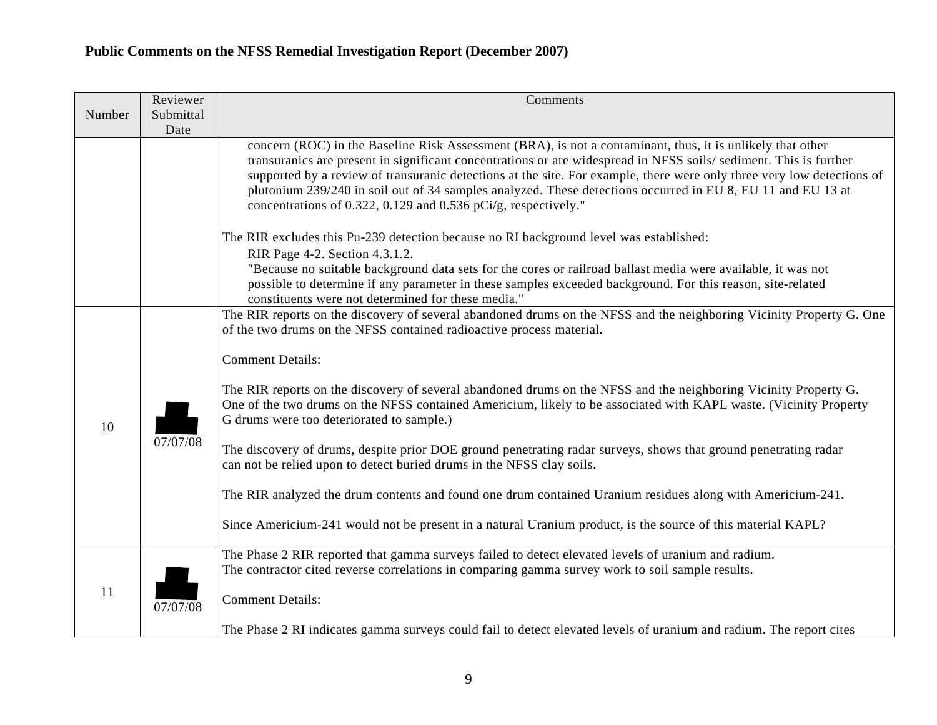|        | Reviewer          | Comments                                                                                                                                                                                                                                                                                                                                                                                                                                                                                                                                  |
|--------|-------------------|-------------------------------------------------------------------------------------------------------------------------------------------------------------------------------------------------------------------------------------------------------------------------------------------------------------------------------------------------------------------------------------------------------------------------------------------------------------------------------------------------------------------------------------------|
| Number | Submittal<br>Date |                                                                                                                                                                                                                                                                                                                                                                                                                                                                                                                                           |
|        |                   | concern (ROC) in the Baseline Risk Assessment (BRA), is not a contaminant, thus, it is unlikely that other<br>transuranics are present in significant concentrations or are widespread in NFSS soils/sediment. This is further<br>supported by a review of transuranic detections at the site. For example, there were only three very low detections of<br>plutonium 239/240 in soil out of 34 samples analyzed. These detections occurred in EU 8, EU 11 and EU 13 at<br>concentrations of 0.322, 0.129 and 0.536 pCi/g, respectively." |
|        |                   | The RIR excludes this Pu-239 detection because no RI background level was established:                                                                                                                                                                                                                                                                                                                                                                                                                                                    |
|        |                   | RIR Page 4-2. Section 4.3.1.2.<br>"Because no suitable background data sets for the cores or railroad ballast media were available, it was not<br>possible to determine if any parameter in these samples exceeded background. For this reason, site-related<br>constituents were not determined for these media."                                                                                                                                                                                                                        |
|        |                   | The RIR reports on the discovery of several abandoned drums on the NFSS and the neighboring Vicinity Property G. One<br>of the two drums on the NFSS contained radioactive process material.                                                                                                                                                                                                                                                                                                                                              |
| 10     | 07/07/08          | <b>Comment Details:</b>                                                                                                                                                                                                                                                                                                                                                                                                                                                                                                                   |
|        |                   | The RIR reports on the discovery of several abandoned drums on the NFSS and the neighboring Vicinity Property G.<br>One of the two drums on the NFSS contained Americium, likely to be associated with KAPL waste. (Vicinity Property<br>G drums were too deteriorated to sample.)                                                                                                                                                                                                                                                        |
|        |                   | The discovery of drums, despite prior DOE ground penetrating radar surveys, shows that ground penetrating radar<br>can not be relied upon to detect buried drums in the NFSS clay soils.                                                                                                                                                                                                                                                                                                                                                  |
|        |                   | The RIR analyzed the drum contents and found one drum contained Uranium residues along with Americium-241.                                                                                                                                                                                                                                                                                                                                                                                                                                |
|        |                   | Since Americium-241 would not be present in a natural Uranium product, is the source of this material KAPL?                                                                                                                                                                                                                                                                                                                                                                                                                               |
|        |                   | The Phase 2 RIR reported that gamma surveys failed to detect elevated levels of uranium and radium.<br>The contractor cited reverse correlations in comparing gamma survey work to soil sample results.                                                                                                                                                                                                                                                                                                                                   |
| 11     | 07/07/08          | <b>Comment Details:</b>                                                                                                                                                                                                                                                                                                                                                                                                                                                                                                                   |
|        |                   | The Phase 2 RI indicates gamma surveys could fail to detect elevated levels of uranium and radium. The report cites                                                                                                                                                                                                                                                                                                                                                                                                                       |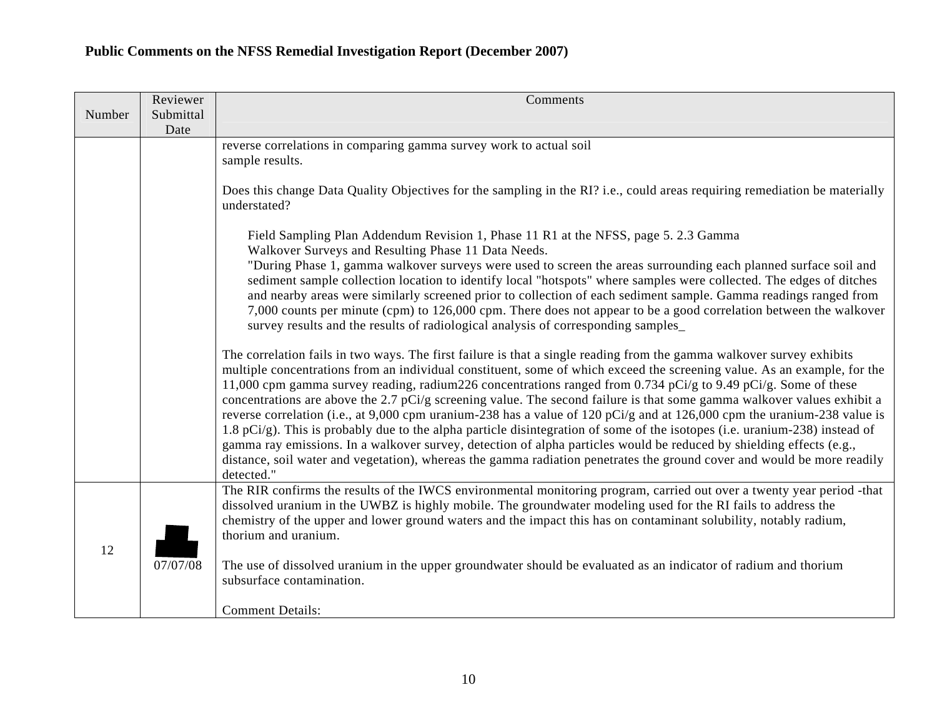|        | Reviewer          | Comments                                                                                                                                                                                                                                                                                                                                                                                                                                                                                                                                                                                                                                                                                                                                                                                                                                                                                                                                                                                                                    |
|--------|-------------------|-----------------------------------------------------------------------------------------------------------------------------------------------------------------------------------------------------------------------------------------------------------------------------------------------------------------------------------------------------------------------------------------------------------------------------------------------------------------------------------------------------------------------------------------------------------------------------------------------------------------------------------------------------------------------------------------------------------------------------------------------------------------------------------------------------------------------------------------------------------------------------------------------------------------------------------------------------------------------------------------------------------------------------|
| Number | Submittal<br>Date |                                                                                                                                                                                                                                                                                                                                                                                                                                                                                                                                                                                                                                                                                                                                                                                                                                                                                                                                                                                                                             |
|        |                   | reverse correlations in comparing gamma survey work to actual soil<br>sample results.                                                                                                                                                                                                                                                                                                                                                                                                                                                                                                                                                                                                                                                                                                                                                                                                                                                                                                                                       |
|        |                   | Does this change Data Quality Objectives for the sampling in the RI? i.e., could areas requiring remediation be materially<br>understated?                                                                                                                                                                                                                                                                                                                                                                                                                                                                                                                                                                                                                                                                                                                                                                                                                                                                                  |
|        |                   | Field Sampling Plan Addendum Revision 1, Phase 11 R1 at the NFSS, page 5. 2.3 Gamma<br>Walkover Surveys and Resulting Phase 11 Data Needs.                                                                                                                                                                                                                                                                                                                                                                                                                                                                                                                                                                                                                                                                                                                                                                                                                                                                                  |
|        |                   | "During Phase 1, gamma walkover surveys were used to screen the areas surrounding each planned surface soil and<br>sediment sample collection location to identify local "hotspots" where samples were collected. The edges of ditches<br>and nearby areas were similarly screened prior to collection of each sediment sample. Gamma readings ranged from<br>7,000 counts per minute (cpm) to 126,000 cpm. There does not appear to be a good correlation between the walkover<br>survey results and the results of radiological analysis of corresponding samples                                                                                                                                                                                                                                                                                                                                                                                                                                                         |
|        |                   | The correlation fails in two ways. The first failure is that a single reading from the gamma walkover survey exhibits<br>multiple concentrations from an individual constituent, some of which exceed the screening value. As an example, for the<br>11,000 cpm gamma survey reading, radium 226 concentrations ranged from 0.734 pCi/g to 9.49 pCi/g. Some of these<br>concentrations are above the 2.7 pCi/g screening value. The second failure is that some gamma walkover values exhibit a<br>reverse correlation (i.e., at 9,000 cpm uranium-238 has a value of 120 pCi/g and at 126,000 cpm the uranium-238 value is<br>1.8 pCi/g). This is probably due to the alpha particle disintegration of some of the isotopes (i.e. uranium-238) instead of<br>gamma ray emissions. In a walkover survey, detection of alpha particles would be reduced by shielding effects (e.g.,<br>distance, soil water and vegetation), whereas the gamma radiation penetrates the ground cover and would be more readily<br>detected." |
| 12     |                   | The RIR confirms the results of the IWCS environmental monitoring program, carried out over a twenty year period -that<br>dissolved uranium in the UWBZ is highly mobile. The groundwater modeling used for the RI fails to address the<br>chemistry of the upper and lower ground waters and the impact this has on contaminant solubility, notably radium,<br>thorium and uranium.                                                                                                                                                                                                                                                                                                                                                                                                                                                                                                                                                                                                                                        |
|        | 07/07/08          | The use of dissolved uranium in the upper groundwater should be evaluated as an indicator of radium and thorium<br>subsurface contamination.                                                                                                                                                                                                                                                                                                                                                                                                                                                                                                                                                                                                                                                                                                                                                                                                                                                                                |
|        |                   | <b>Comment Details:</b>                                                                                                                                                                                                                                                                                                                                                                                                                                                                                                                                                                                                                                                                                                                                                                                                                                                                                                                                                                                                     |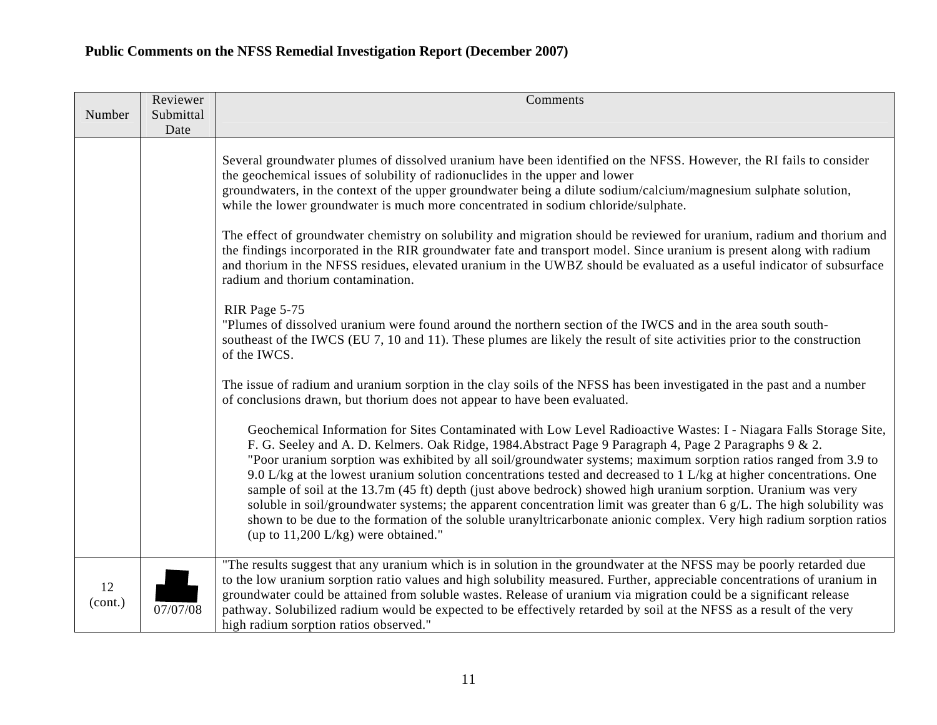| Number        | Reviewer<br>Submittal | Comments                                                                                                                                                                                                                                                                                                                                                                                                                                                                                                                                                                                                                                                                                                                                                                                                                                                                                     |
|---------------|-----------------------|----------------------------------------------------------------------------------------------------------------------------------------------------------------------------------------------------------------------------------------------------------------------------------------------------------------------------------------------------------------------------------------------------------------------------------------------------------------------------------------------------------------------------------------------------------------------------------------------------------------------------------------------------------------------------------------------------------------------------------------------------------------------------------------------------------------------------------------------------------------------------------------------|
|               | Date                  |                                                                                                                                                                                                                                                                                                                                                                                                                                                                                                                                                                                                                                                                                                                                                                                                                                                                                              |
|               |                       | Several groundwater plumes of dissolved uranium have been identified on the NFSS. However, the RI fails to consider<br>the geochemical issues of solubility of radionuclides in the upper and lower<br>groundwaters, in the context of the upper groundwater being a dilute sodium/calcium/magnesium sulphate solution,<br>while the lower groundwater is much more concentrated in sodium chloride/sulphate.                                                                                                                                                                                                                                                                                                                                                                                                                                                                                |
|               |                       | The effect of groundwater chemistry on solubility and migration should be reviewed for uranium, radium and thorium and<br>the findings incorporated in the RIR groundwater fate and transport model. Since uranium is present along with radium<br>and thorium in the NFSS residues, elevated uranium in the UWBZ should be evaluated as a useful indicator of subsurface<br>radium and thorium contamination.                                                                                                                                                                                                                                                                                                                                                                                                                                                                               |
|               |                       | RIR Page 5-75<br>"Plumes of dissolved uranium were found around the northern section of the IWCS and in the area south south-<br>southeast of the IWCS (EU 7, 10 and 11). These plumes are likely the result of site activities prior to the construction<br>of the IWCS.                                                                                                                                                                                                                                                                                                                                                                                                                                                                                                                                                                                                                    |
|               |                       | The issue of radium and uranium sorption in the clay soils of the NFSS has been investigated in the past and a number<br>of conclusions drawn, but thorium does not appear to have been evaluated.                                                                                                                                                                                                                                                                                                                                                                                                                                                                                                                                                                                                                                                                                           |
|               |                       | Geochemical Information for Sites Contaminated with Low Level Radioactive Wastes: I - Niagara Falls Storage Site,<br>F. G. Seeley and A. D. Kelmers. Oak Ridge, 1984. Abstract Page 9 Paragraph 4, Page 2 Paragraphs 9 & 2.<br>"Poor uranium sorption was exhibited by all soil/groundwater systems; maximum sorption ratios ranged from 3.9 to<br>9.0 L/kg at the lowest uranium solution concentrations tested and decreased to 1 L/kg at higher concentrations. One<br>sample of soil at the 13.7m (45 ft) depth (just above bedrock) showed high uranium sorption. Uranium was very<br>soluble in soil/groundwater systems; the apparent concentration limit was greater than $6 \text{ g/L}$ . The high solubility was<br>shown to be due to the formation of the soluble uranyltricarbonate anionic complex. Very high radium sorption ratios<br>(up to $11,200$ L/kg) were obtained." |
| 12<br>(cont.) | 07/07/08              | "The results suggest that any uranium which is in solution in the groundwater at the NFSS may be poorly retarded due<br>to the low uranium sorption ratio values and high solubility measured. Further, appreciable concentrations of uranium in<br>groundwater could be attained from soluble wastes. Release of uranium via migration could be a significant release<br>pathway. Solubilized radium would be expected to be effectively retarded by soil at the NFSS as a result of the very<br>high radium sorption ratios observed."                                                                                                                                                                                                                                                                                                                                                     |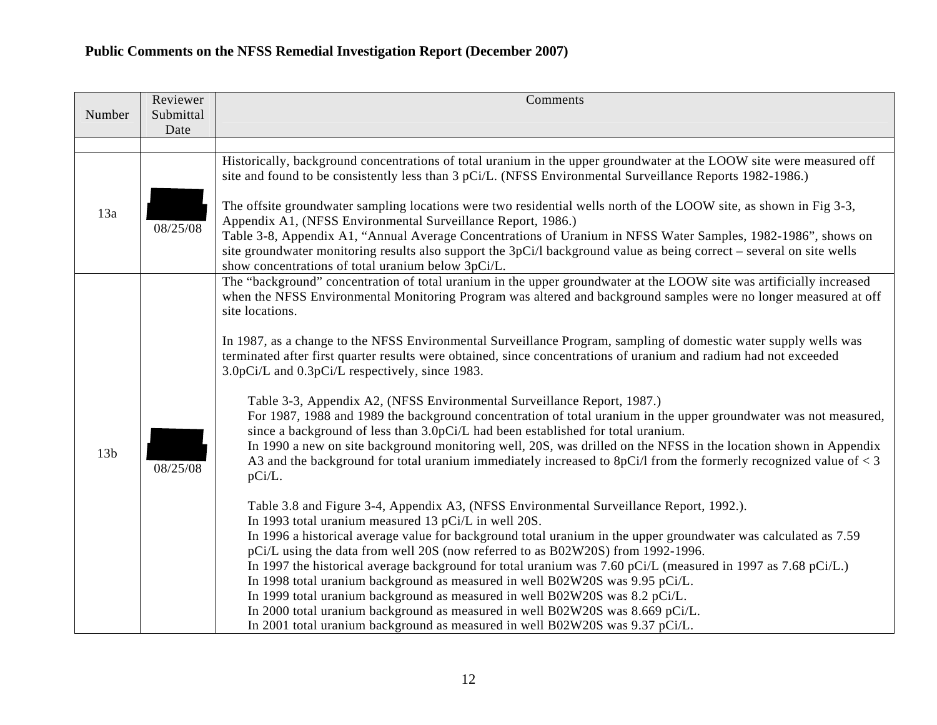| Number          | Reviewer<br>Submittal | Comments                                                                                                                                                                                                                                                                                                                                                                                                                                                                                                                                                                                                                                                                                                                                                                                                                                                                                                                                                                                                                                                                                                                                                                                                                                                                                                                                                                                                                                                                                                                                                                                                                                                                                                                                                                                                                                                                                                   |
|-----------------|-----------------------|------------------------------------------------------------------------------------------------------------------------------------------------------------------------------------------------------------------------------------------------------------------------------------------------------------------------------------------------------------------------------------------------------------------------------------------------------------------------------------------------------------------------------------------------------------------------------------------------------------------------------------------------------------------------------------------------------------------------------------------------------------------------------------------------------------------------------------------------------------------------------------------------------------------------------------------------------------------------------------------------------------------------------------------------------------------------------------------------------------------------------------------------------------------------------------------------------------------------------------------------------------------------------------------------------------------------------------------------------------------------------------------------------------------------------------------------------------------------------------------------------------------------------------------------------------------------------------------------------------------------------------------------------------------------------------------------------------------------------------------------------------------------------------------------------------------------------------------------------------------------------------------------------------|
|                 | Date                  |                                                                                                                                                                                                                                                                                                                                                                                                                                                                                                                                                                                                                                                                                                                                                                                                                                                                                                                                                                                                                                                                                                                                                                                                                                                                                                                                                                                                                                                                                                                                                                                                                                                                                                                                                                                                                                                                                                            |
|                 |                       |                                                                                                                                                                                                                                                                                                                                                                                                                                                                                                                                                                                                                                                                                                                                                                                                                                                                                                                                                                                                                                                                                                                                                                                                                                                                                                                                                                                                                                                                                                                                                                                                                                                                                                                                                                                                                                                                                                            |
| 13a             | 08/25/08              | Historically, background concentrations of total uranium in the upper groundwater at the LOOW site were measured off<br>site and found to be consistently less than 3 pCi/L. (NFSS Environmental Surveillance Reports 1982-1986.)<br>The offsite groundwater sampling locations were two residential wells north of the LOOW site, as shown in Fig 3-3,<br>Appendix A1, (NFSS Environmental Surveillance Report, 1986.)<br>Table 3-8, Appendix A1, "Annual Average Concentrations of Uranium in NFSS Water Samples, 1982-1986", shows on<br>site groundwater monitoring results also support the 3pCi/l background value as being correct - several on site wells<br>show concentrations of total uranium below 3pCi/L.                                                                                                                                                                                                                                                                                                                                                                                                                                                                                                                                                                                                                                                                                                                                                                                                                                                                                                                                                                                                                                                                                                                                                                                    |
| 13 <sub>b</sub> | 08/25/08              | The "background" concentration of total uranium in the upper groundwater at the LOOW site was artificially increased<br>when the NFSS Environmental Monitoring Program was altered and background samples were no longer measured at off<br>site locations.<br>In 1987, as a change to the NFSS Environmental Surveillance Program, sampling of domestic water supply wells was<br>terminated after first quarter results were obtained, since concentrations of uranium and radium had not exceeded<br>3.0pCi/L and 0.3pCi/L respectively, since 1983.<br>Table 3-3, Appendix A2, (NFSS Environmental Surveillance Report, 1987.)<br>For 1987, 1988 and 1989 the background concentration of total uranium in the upper groundwater was not measured,<br>since a background of less than 3.0pCi/L had been established for total uranium.<br>In 1990 a new on site background monitoring well, 20S, was drilled on the NFSS in the location shown in Appendix<br>A3 and the background for total uranium immediately increased to 8pCi/l from the formerly recognized value of $<$ 3<br>pCi/L.<br>Table 3.8 and Figure 3-4, Appendix A3, (NFSS Environmental Surveillance Report, 1992.).<br>In 1993 total uranium measured 13 pCi/L in well 20S.<br>In 1996 a historical average value for background total uranium in the upper groundwater was calculated as 7.59<br>pCi/L using the data from well 20S (now referred to as B02W20S) from 1992-1996.<br>In 1997 the historical average background for total uranium was 7.60 pCi/L (measured in 1997 as 7.68 pCi/L.)<br>In 1998 total uranium background as measured in well B02W20S was 9.95 pCi/L.<br>In 1999 total uranium background as measured in well B02W20S was 8.2 pCi/L.<br>In 2000 total uranium background as measured in well B02W20S was 8.669 pCi/L.<br>In 2001 total uranium background as measured in well B02W20S was $9.37$ pCi/L. |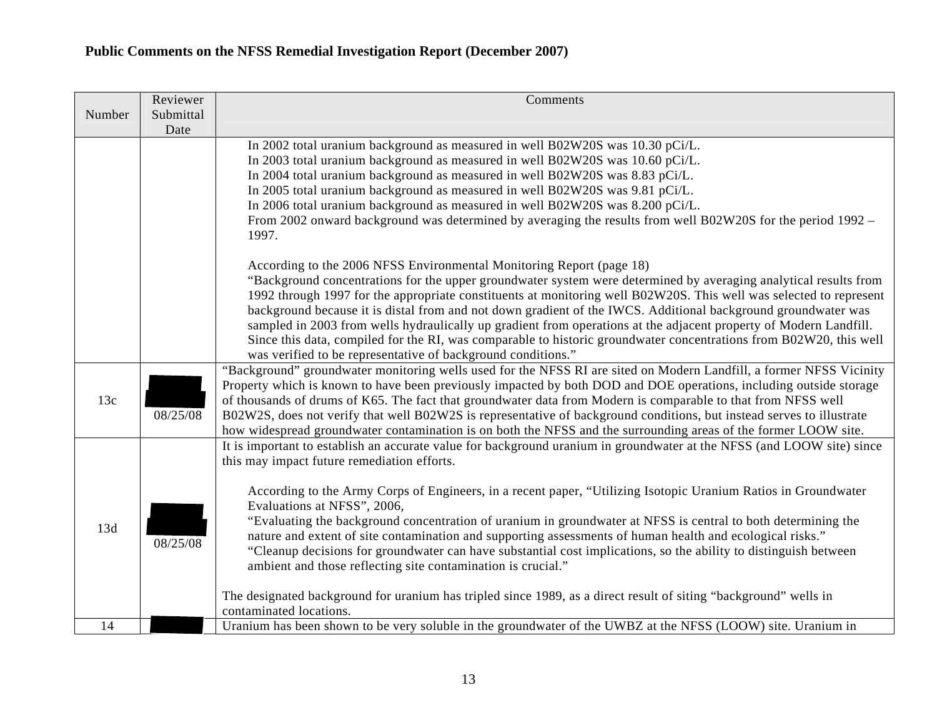| Number<br>Submittal<br>Date<br>In 2002 total uranium background as measured in well B02W20S was 10.30 pCi/L.<br>In 2003 total uranium background as measured in well B02W20S was 10.60 pCi/L.<br>In 2004 total uranium background as measured in well B02W20S was 8.83 pCi/L.<br>In 2005 total uranium background as measured in well B02W20S was 9.81 pCi/L.<br>In 2006 total uranium background as measured in well B02W20S was 8.200 pCi/L.<br>From 2002 onward background was determined by averaging the results from well B02W20S for the period 1992 –<br>1997.<br>According to the 2006 NFSS Environmental Monitoring Report (page 18)<br>background because it is distal from and not down gradient of the IWCS. Additional background groundwater was<br>sampled in 2003 from wells hydraulically up gradient from operations at the adjacent property of Modern Landfill.<br>Since this data, compiled for the RI, was comparable to historic groundwater concentrations from B02W20, this well<br>was verified to be representative of background conditions."<br>"Background" groundwater monitoring wells used for the NFSS RI are sited on Modern Landfill, a former NFSS Vicinity<br>Property which is known to have been previously impacted by both DOD and DOE operations, including outside storage<br>13c<br>of thousands of drums of K65. The fact that groundwater data from Modern is comparable to that from NFSS well<br>08/25/08<br>B02W2S, does not verify that well B02W2S is representative of background conditions, but instead serves to illustrate<br>how widespread groundwater contamination is on both the NFSS and the surrounding areas of the former LOOW site.<br>It is important to establish an accurate value for background uranium in groundwater at the NFSS (and LOOW site) since<br>this may impact future remediation efforts.<br>According to the Army Corps of Engineers, in a recent paper, "Utilizing Isotopic Uranium Ratios in Groundwater<br>Evaluations at NFSS", 2006,<br>"Evaluating the background concentration of uranium in groundwater at NFSS is central to both determining the<br>13d<br>nature and extent of site contamination and supporting assessments of human health and ecological risks."<br>08/25/08<br>"Cleanup decisions for groundwater can have substantial cost implications, so the ability to distinguish between<br>ambient and those reflecting site contamination is crucial." | Reviewer | Comments                                                                                                           |
|------------------------------------------------------------------------------------------------------------------------------------------------------------------------------------------------------------------------------------------------------------------------------------------------------------------------------------------------------------------------------------------------------------------------------------------------------------------------------------------------------------------------------------------------------------------------------------------------------------------------------------------------------------------------------------------------------------------------------------------------------------------------------------------------------------------------------------------------------------------------------------------------------------------------------------------------------------------------------------------------------------------------------------------------------------------------------------------------------------------------------------------------------------------------------------------------------------------------------------------------------------------------------------------------------------------------------------------------------------------------------------------------------------------------------------------------------------------------------------------------------------------------------------------------------------------------------------------------------------------------------------------------------------------------------------------------------------------------------------------------------------------------------------------------------------------------------------------------------------------------------------------------------------------------------------------------------------------------------------------------------------------------------------------------------------------------------------------------------------------------------------------------------------------------------------------------------------------------------------------------------------------------------------------------------------------------------------------------------------------------------------------------------------------------------------------------------------------------|----------|--------------------------------------------------------------------------------------------------------------------|
|                                                                                                                                                                                                                                                                                                                                                                                                                                                                                                                                                                                                                                                                                                                                                                                                                                                                                                                                                                                                                                                                                                                                                                                                                                                                                                                                                                                                                                                                                                                                                                                                                                                                                                                                                                                                                                                                                                                                                                                                                                                                                                                                                                                                                                                                                                                                                                                                                                                                        |          |                                                                                                                    |
|                                                                                                                                                                                                                                                                                                                                                                                                                                                                                                                                                                                                                                                                                                                                                                                                                                                                                                                                                                                                                                                                                                                                                                                                                                                                                                                                                                                                                                                                                                                                                                                                                                                                                                                                                                                                                                                                                                                                                                                                                                                                                                                                                                                                                                                                                                                                                                                                                                                                        |          |                                                                                                                    |
|                                                                                                                                                                                                                                                                                                                                                                                                                                                                                                                                                                                                                                                                                                                                                                                                                                                                                                                                                                                                                                                                                                                                                                                                                                                                                                                                                                                                                                                                                                                                                                                                                                                                                                                                                                                                                                                                                                                                                                                                                                                                                                                                                                                                                                                                                                                                                                                                                                                                        |          |                                                                                                                    |
|                                                                                                                                                                                                                                                                                                                                                                                                                                                                                                                                                                                                                                                                                                                                                                                                                                                                                                                                                                                                                                                                                                                                                                                                                                                                                                                                                                                                                                                                                                                                                                                                                                                                                                                                                                                                                                                                                                                                                                                                                                                                                                                                                                                                                                                                                                                                                                                                                                                                        |          |                                                                                                                    |
|                                                                                                                                                                                                                                                                                                                                                                                                                                                                                                                                                                                                                                                                                                                                                                                                                                                                                                                                                                                                                                                                                                                                                                                                                                                                                                                                                                                                                                                                                                                                                                                                                                                                                                                                                                                                                                                                                                                                                                                                                                                                                                                                                                                                                                                                                                                                                                                                                                                                        |          |                                                                                                                    |
|                                                                                                                                                                                                                                                                                                                                                                                                                                                                                                                                                                                                                                                                                                                                                                                                                                                                                                                                                                                                                                                                                                                                                                                                                                                                                                                                                                                                                                                                                                                                                                                                                                                                                                                                                                                                                                                                                                                                                                                                                                                                                                                                                                                                                                                                                                                                                                                                                                                                        |          |                                                                                                                    |
|                                                                                                                                                                                                                                                                                                                                                                                                                                                                                                                                                                                                                                                                                                                                                                                                                                                                                                                                                                                                                                                                                                                                                                                                                                                                                                                                                                                                                                                                                                                                                                                                                                                                                                                                                                                                                                                                                                                                                                                                                                                                                                                                                                                                                                                                                                                                                                                                                                                                        |          |                                                                                                                    |
|                                                                                                                                                                                                                                                                                                                                                                                                                                                                                                                                                                                                                                                                                                                                                                                                                                                                                                                                                                                                                                                                                                                                                                                                                                                                                                                                                                                                                                                                                                                                                                                                                                                                                                                                                                                                                                                                                                                                                                                                                                                                                                                                                                                                                                                                                                                                                                                                                                                                        |          |                                                                                                                    |
|                                                                                                                                                                                                                                                                                                                                                                                                                                                                                                                                                                                                                                                                                                                                                                                                                                                                                                                                                                                                                                                                                                                                                                                                                                                                                                                                                                                                                                                                                                                                                                                                                                                                                                                                                                                                                                                                                                                                                                                                                                                                                                                                                                                                                                                                                                                                                                                                                                                                        |          |                                                                                                                    |
|                                                                                                                                                                                                                                                                                                                                                                                                                                                                                                                                                                                                                                                                                                                                                                                                                                                                                                                                                                                                                                                                                                                                                                                                                                                                                                                                                                                                                                                                                                                                                                                                                                                                                                                                                                                                                                                                                                                                                                                                                                                                                                                                                                                                                                                                                                                                                                                                                                                                        |          |                                                                                                                    |
|                                                                                                                                                                                                                                                                                                                                                                                                                                                                                                                                                                                                                                                                                                                                                                                                                                                                                                                                                                                                                                                                                                                                                                                                                                                                                                                                                                                                                                                                                                                                                                                                                                                                                                                                                                                                                                                                                                                                                                                                                                                                                                                                                                                                                                                                                                                                                                                                                                                                        |          | "Background concentrations for the upper groundwater system were determined by averaging analytical results from   |
|                                                                                                                                                                                                                                                                                                                                                                                                                                                                                                                                                                                                                                                                                                                                                                                                                                                                                                                                                                                                                                                                                                                                                                                                                                                                                                                                                                                                                                                                                                                                                                                                                                                                                                                                                                                                                                                                                                                                                                                                                                                                                                                                                                                                                                                                                                                                                                                                                                                                        |          | 1992 through 1997 for the appropriate constituents at monitoring well B02W20S. This well was selected to represent |
|                                                                                                                                                                                                                                                                                                                                                                                                                                                                                                                                                                                                                                                                                                                                                                                                                                                                                                                                                                                                                                                                                                                                                                                                                                                                                                                                                                                                                                                                                                                                                                                                                                                                                                                                                                                                                                                                                                                                                                                                                                                                                                                                                                                                                                                                                                                                                                                                                                                                        |          |                                                                                                                    |
|                                                                                                                                                                                                                                                                                                                                                                                                                                                                                                                                                                                                                                                                                                                                                                                                                                                                                                                                                                                                                                                                                                                                                                                                                                                                                                                                                                                                                                                                                                                                                                                                                                                                                                                                                                                                                                                                                                                                                                                                                                                                                                                                                                                                                                                                                                                                                                                                                                                                        |          |                                                                                                                    |
|                                                                                                                                                                                                                                                                                                                                                                                                                                                                                                                                                                                                                                                                                                                                                                                                                                                                                                                                                                                                                                                                                                                                                                                                                                                                                                                                                                                                                                                                                                                                                                                                                                                                                                                                                                                                                                                                                                                                                                                                                                                                                                                                                                                                                                                                                                                                                                                                                                                                        |          |                                                                                                                    |
|                                                                                                                                                                                                                                                                                                                                                                                                                                                                                                                                                                                                                                                                                                                                                                                                                                                                                                                                                                                                                                                                                                                                                                                                                                                                                                                                                                                                                                                                                                                                                                                                                                                                                                                                                                                                                                                                                                                                                                                                                                                                                                                                                                                                                                                                                                                                                                                                                                                                        |          |                                                                                                                    |
|                                                                                                                                                                                                                                                                                                                                                                                                                                                                                                                                                                                                                                                                                                                                                                                                                                                                                                                                                                                                                                                                                                                                                                                                                                                                                                                                                                                                                                                                                                                                                                                                                                                                                                                                                                                                                                                                                                                                                                                                                                                                                                                                                                                                                                                                                                                                                                                                                                                                        |          |                                                                                                                    |
|                                                                                                                                                                                                                                                                                                                                                                                                                                                                                                                                                                                                                                                                                                                                                                                                                                                                                                                                                                                                                                                                                                                                                                                                                                                                                                                                                                                                                                                                                                                                                                                                                                                                                                                                                                                                                                                                                                                                                                                                                                                                                                                                                                                                                                                                                                                                                                                                                                                                        |          |                                                                                                                    |
|                                                                                                                                                                                                                                                                                                                                                                                                                                                                                                                                                                                                                                                                                                                                                                                                                                                                                                                                                                                                                                                                                                                                                                                                                                                                                                                                                                                                                                                                                                                                                                                                                                                                                                                                                                                                                                                                                                                                                                                                                                                                                                                                                                                                                                                                                                                                                                                                                                                                        |          |                                                                                                                    |
|                                                                                                                                                                                                                                                                                                                                                                                                                                                                                                                                                                                                                                                                                                                                                                                                                                                                                                                                                                                                                                                                                                                                                                                                                                                                                                                                                                                                                                                                                                                                                                                                                                                                                                                                                                                                                                                                                                                                                                                                                                                                                                                                                                                                                                                                                                                                                                                                                                                                        |          |                                                                                                                    |
|                                                                                                                                                                                                                                                                                                                                                                                                                                                                                                                                                                                                                                                                                                                                                                                                                                                                                                                                                                                                                                                                                                                                                                                                                                                                                                                                                                                                                                                                                                                                                                                                                                                                                                                                                                                                                                                                                                                                                                                                                                                                                                                                                                                                                                                                                                                                                                                                                                                                        |          |                                                                                                                    |
|                                                                                                                                                                                                                                                                                                                                                                                                                                                                                                                                                                                                                                                                                                                                                                                                                                                                                                                                                                                                                                                                                                                                                                                                                                                                                                                                                                                                                                                                                                                                                                                                                                                                                                                                                                                                                                                                                                                                                                                                                                                                                                                                                                                                                                                                                                                                                                                                                                                                        |          |                                                                                                                    |
|                                                                                                                                                                                                                                                                                                                                                                                                                                                                                                                                                                                                                                                                                                                                                                                                                                                                                                                                                                                                                                                                                                                                                                                                                                                                                                                                                                                                                                                                                                                                                                                                                                                                                                                                                                                                                                                                                                                                                                                                                                                                                                                                                                                                                                                                                                                                                                                                                                                                        |          |                                                                                                                    |
|                                                                                                                                                                                                                                                                                                                                                                                                                                                                                                                                                                                                                                                                                                                                                                                                                                                                                                                                                                                                                                                                                                                                                                                                                                                                                                                                                                                                                                                                                                                                                                                                                                                                                                                                                                                                                                                                                                                                                                                                                                                                                                                                                                                                                                                                                                                                                                                                                                                                        |          |                                                                                                                    |
|                                                                                                                                                                                                                                                                                                                                                                                                                                                                                                                                                                                                                                                                                                                                                                                                                                                                                                                                                                                                                                                                                                                                                                                                                                                                                                                                                                                                                                                                                                                                                                                                                                                                                                                                                                                                                                                                                                                                                                                                                                                                                                                                                                                                                                                                                                                                                                                                                                                                        |          |                                                                                                                    |
|                                                                                                                                                                                                                                                                                                                                                                                                                                                                                                                                                                                                                                                                                                                                                                                                                                                                                                                                                                                                                                                                                                                                                                                                                                                                                                                                                                                                                                                                                                                                                                                                                                                                                                                                                                                                                                                                                                                                                                                                                                                                                                                                                                                                                                                                                                                                                                                                                                                                        |          |                                                                                                                    |
|                                                                                                                                                                                                                                                                                                                                                                                                                                                                                                                                                                                                                                                                                                                                                                                                                                                                                                                                                                                                                                                                                                                                                                                                                                                                                                                                                                                                                                                                                                                                                                                                                                                                                                                                                                                                                                                                                                                                                                                                                                                                                                                                                                                                                                                                                                                                                                                                                                                                        |          |                                                                                                                    |
|                                                                                                                                                                                                                                                                                                                                                                                                                                                                                                                                                                                                                                                                                                                                                                                                                                                                                                                                                                                                                                                                                                                                                                                                                                                                                                                                                                                                                                                                                                                                                                                                                                                                                                                                                                                                                                                                                                                                                                                                                                                                                                                                                                                                                                                                                                                                                                                                                                                                        |          |                                                                                                                    |
|                                                                                                                                                                                                                                                                                                                                                                                                                                                                                                                                                                                                                                                                                                                                                                                                                                                                                                                                                                                                                                                                                                                                                                                                                                                                                                                                                                                                                                                                                                                                                                                                                                                                                                                                                                                                                                                                                                                                                                                                                                                                                                                                                                                                                                                                                                                                                                                                                                                                        |          |                                                                                                                    |
|                                                                                                                                                                                                                                                                                                                                                                                                                                                                                                                                                                                                                                                                                                                                                                                                                                                                                                                                                                                                                                                                                                                                                                                                                                                                                                                                                                                                                                                                                                                                                                                                                                                                                                                                                                                                                                                                                                                                                                                                                                                                                                                                                                                                                                                                                                                                                                                                                                                                        |          |                                                                                                                    |
| The designated background for uranium has tripled since 1989, as a direct result of siting "background" wells in<br>contaminated locations.                                                                                                                                                                                                                                                                                                                                                                                                                                                                                                                                                                                                                                                                                                                                                                                                                                                                                                                                                                                                                                                                                                                                                                                                                                                                                                                                                                                                                                                                                                                                                                                                                                                                                                                                                                                                                                                                                                                                                                                                                                                                                                                                                                                                                                                                                                                            |          |                                                                                                                    |
| 14<br>Uranium has been shown to be very soluble in the groundwater of the UWBZ at the NFSS (LOOW) site. Uranium in                                                                                                                                                                                                                                                                                                                                                                                                                                                                                                                                                                                                                                                                                                                                                                                                                                                                                                                                                                                                                                                                                                                                                                                                                                                                                                                                                                                                                                                                                                                                                                                                                                                                                                                                                                                                                                                                                                                                                                                                                                                                                                                                                                                                                                                                                                                                                     |          |                                                                                                                    |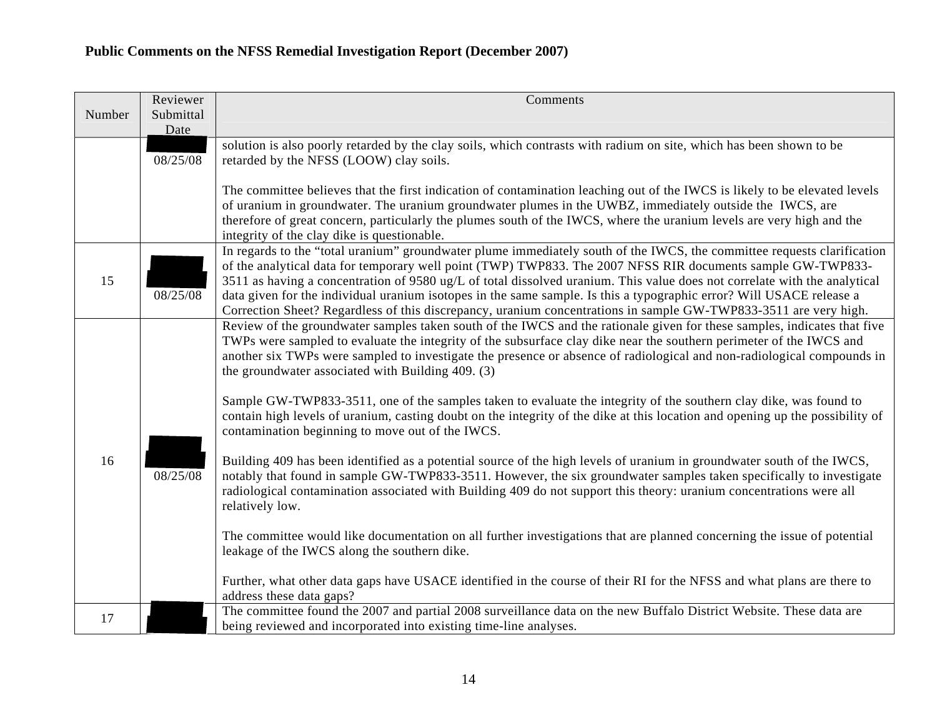|        | Reviewer          | Comments                                                                                                                                                                                                                                                                                                                                                                                                                                                                                                                                                                                                        |
|--------|-------------------|-----------------------------------------------------------------------------------------------------------------------------------------------------------------------------------------------------------------------------------------------------------------------------------------------------------------------------------------------------------------------------------------------------------------------------------------------------------------------------------------------------------------------------------------------------------------------------------------------------------------|
| Number | Submittal<br>Date |                                                                                                                                                                                                                                                                                                                                                                                                                                                                                                                                                                                                                 |
|        | 08/25/08          | solution is also poorly retarded by the clay soils, which contrasts with radium on site, which has been shown to be<br>retarded by the NFSS (LOOW) clay soils.                                                                                                                                                                                                                                                                                                                                                                                                                                                  |
|        |                   | The committee believes that the first indication of contamination leaching out of the IWCS is likely to be elevated levels<br>of uranium in groundwater. The uranium groundwater plumes in the UWBZ, immediately outside the IWCS, are<br>therefore of great concern, particularly the plumes south of the IWCS, where the uranium levels are very high and the<br>integrity of the clay dike is questionable.                                                                                                                                                                                                  |
| 15     | 08/25/08          | In regards to the "total uranium" groundwater plume immediately south of the IWCS, the committee requests clarification<br>of the analytical data for temporary well point (TWP) TWP833. The 2007 NFSS RIR documents sample GW-TWP833-<br>3511 as having a concentration of 9580 ug/L of total dissolved uranium. This value does not correlate with the analytical<br>data given for the individual uranium isotopes in the same sample. Is this a typographic error? Will USACE release a<br>Correction Sheet? Regardless of this discrepancy, uranium concentrations in sample GW-TWP833-3511 are very high. |
|        |                   | Review of the groundwater samples taken south of the IWCS and the rationale given for these samples, indicates that five<br>TWPs were sampled to evaluate the integrity of the subsurface clay dike near the southern perimeter of the IWCS and<br>another six TWPs were sampled to investigate the presence or absence of radiological and non-radiological compounds in<br>the groundwater associated with Building 409. (3)                                                                                                                                                                                  |
|        |                   | Sample GW-TWP833-3511, one of the samples taken to evaluate the integrity of the southern clay dike, was found to<br>contain high levels of uranium, casting doubt on the integrity of the dike at this location and opening up the possibility of<br>contamination beginning to move out of the IWCS.                                                                                                                                                                                                                                                                                                          |
| 16     | 08/25/08          | Building 409 has been identified as a potential source of the high levels of uranium in groundwater south of the IWCS,<br>notably that found in sample GW-TWP833-3511. However, the six groundwater samples taken specifically to investigate<br>radiological contamination associated with Building 409 do not support this theory: uranium concentrations were all<br>relatively low.                                                                                                                                                                                                                         |
|        |                   | The committee would like documentation on all further investigations that are planned concerning the issue of potential<br>leakage of the IWCS along the southern dike.                                                                                                                                                                                                                                                                                                                                                                                                                                         |
|        |                   | Further, what other data gaps have USACE identified in the course of their RI for the NFSS and what plans are there to<br>address these data gaps?                                                                                                                                                                                                                                                                                                                                                                                                                                                              |
| 17     |                   | The committee found the 2007 and partial 2008 surveillance data on the new Buffalo District Website. These data are<br>being reviewed and incorporated into existing time-line analyses.                                                                                                                                                                                                                                                                                                                                                                                                                        |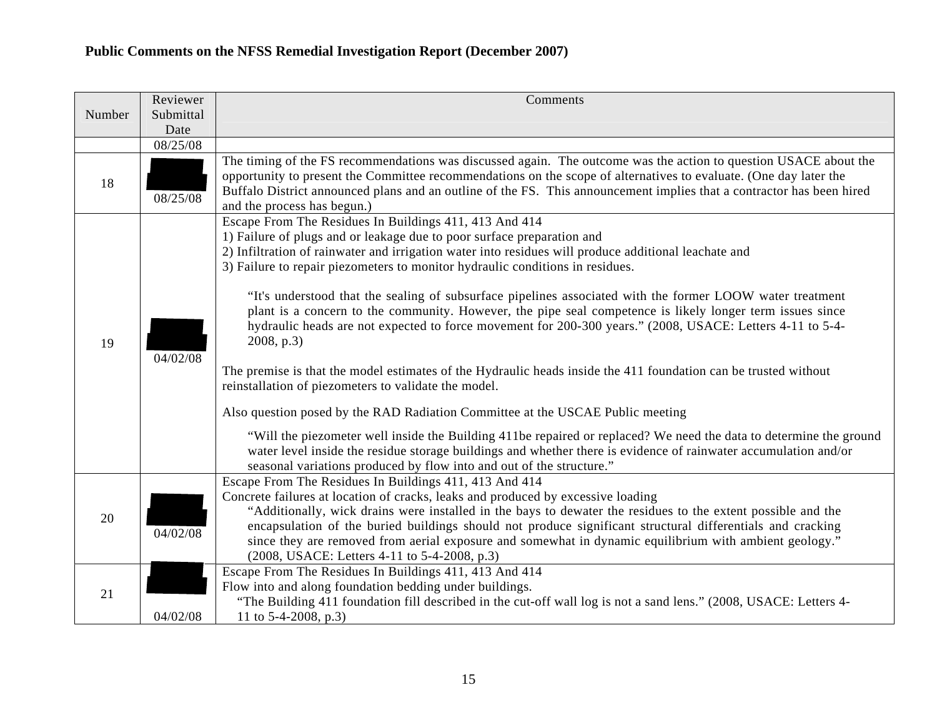|        | Reviewer  | Comments                                                                                                                                                                                                                                                                                                                                                                                                                                                                 |
|--------|-----------|--------------------------------------------------------------------------------------------------------------------------------------------------------------------------------------------------------------------------------------------------------------------------------------------------------------------------------------------------------------------------------------------------------------------------------------------------------------------------|
| Number | Submittal |                                                                                                                                                                                                                                                                                                                                                                                                                                                                          |
|        | Date      |                                                                                                                                                                                                                                                                                                                                                                                                                                                                          |
|        | 08/25/08  | The timing of the FS recommendations was discussed again. The outcome was the action to question USACE about the                                                                                                                                                                                                                                                                                                                                                         |
| 18     | 08/25/08  | opportunity to present the Committee recommendations on the scope of alternatives to evaluate. (One day later the<br>Buffalo District announced plans and an outline of the FS. This announcement implies that a contractor has been hired<br>and the process has begun.)                                                                                                                                                                                                |
|        |           | Escape From The Residues In Buildings 411, 413 And 414                                                                                                                                                                                                                                                                                                                                                                                                                   |
|        |           | 1) Failure of plugs and or leakage due to poor surface preparation and                                                                                                                                                                                                                                                                                                                                                                                                   |
|        |           | 2) Infiltration of rainwater and irrigation water into residues will produce additional leachate and                                                                                                                                                                                                                                                                                                                                                                     |
|        |           | 3) Failure to repair piezometers to monitor hydraulic conditions in residues.                                                                                                                                                                                                                                                                                                                                                                                            |
| 19     | 04/02/08  | "It's understood that the sealing of subsurface pipelines associated with the former LOOW water treatment<br>plant is a concern to the community. However, the pipe seal competence is likely longer term issues since<br>hydraulic heads are not expected to force movement for 200-300 years." (2008, USACE: Letters 4-11 to 5-4-<br>2008, p.3)                                                                                                                        |
|        |           | The premise is that the model estimates of the Hydraulic heads inside the 411 foundation can be trusted without<br>reinstallation of piezometers to validate the model.                                                                                                                                                                                                                                                                                                  |
|        |           | Also question posed by the RAD Radiation Committee at the USCAE Public meeting                                                                                                                                                                                                                                                                                                                                                                                           |
|        |           | "Will the piezometer well inside the Building 411be repaired or replaced? We need the data to determine the ground<br>water level inside the residue storage buildings and whether there is evidence of rainwater accumulation and/or<br>seasonal variations produced by flow into and out of the structure."                                                                                                                                                            |
|        |           | Escape From The Residues In Buildings 411, 413 And 414                                                                                                                                                                                                                                                                                                                                                                                                                   |
| 20     | 04/02/08  | Concrete failures at location of cracks, leaks and produced by excessive loading<br>"Additionally, wick drains were installed in the bays to dewater the residues to the extent possible and the<br>encapsulation of the buried buildings should not produce significant structural differentials and cracking<br>since they are removed from aerial exposure and somewhat in dynamic equilibrium with ambient geology."<br>(2008, USACE: Letters 4-11 to 5-4-2008, p.3) |
|        |           | Escape From The Residues In Buildings 411, 413 And 414                                                                                                                                                                                                                                                                                                                                                                                                                   |
| 21     |           | Flow into and along foundation bedding under buildings.                                                                                                                                                                                                                                                                                                                                                                                                                  |
|        |           | "The Building 411 foundation fill described in the cut-off wall log is not a sand lens." (2008, USACE: Letters 4-                                                                                                                                                                                                                                                                                                                                                        |
|        | 04/02/08  | 11 to $5-4-2008$ , p.3)                                                                                                                                                                                                                                                                                                                                                                                                                                                  |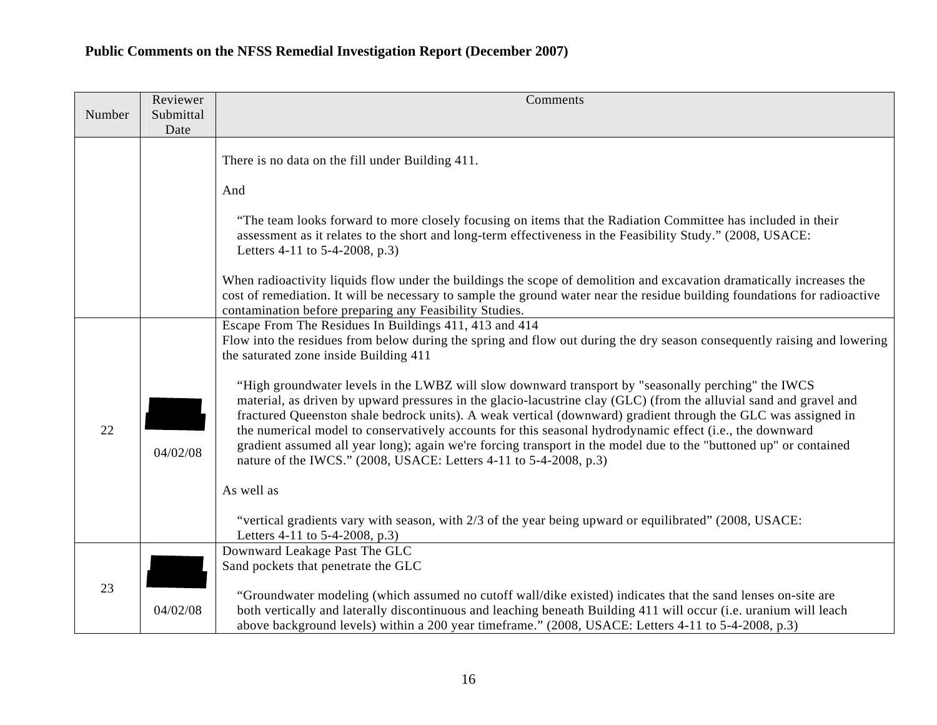|        | Reviewer          | Comments                                                                                                                                                                                                                                                                                                                                                                                                                                                                                                                                                                                                                                         |
|--------|-------------------|--------------------------------------------------------------------------------------------------------------------------------------------------------------------------------------------------------------------------------------------------------------------------------------------------------------------------------------------------------------------------------------------------------------------------------------------------------------------------------------------------------------------------------------------------------------------------------------------------------------------------------------------------|
| Number | Submittal<br>Date |                                                                                                                                                                                                                                                                                                                                                                                                                                                                                                                                                                                                                                                  |
|        |                   |                                                                                                                                                                                                                                                                                                                                                                                                                                                                                                                                                                                                                                                  |
|        |                   | There is no data on the fill under Building 411.                                                                                                                                                                                                                                                                                                                                                                                                                                                                                                                                                                                                 |
|        |                   | And                                                                                                                                                                                                                                                                                                                                                                                                                                                                                                                                                                                                                                              |
|        |                   |                                                                                                                                                                                                                                                                                                                                                                                                                                                                                                                                                                                                                                                  |
|        |                   | "The team looks forward to more closely focusing on items that the Radiation Committee has included in their<br>assessment as it relates to the short and long-term effectiveness in the Feasibility Study." (2008, USACE:<br>Letters 4-11 to 5-4-2008, p.3)                                                                                                                                                                                                                                                                                                                                                                                     |
|        |                   | When radioactivity liquids flow under the buildings the scope of demolition and excavation dramatically increases the<br>cost of remediation. It will be necessary to sample the ground water near the residue building foundations for radioactive<br>contamination before preparing any Feasibility Studies.                                                                                                                                                                                                                                                                                                                                   |
|        |                   | Escape From The Residues In Buildings 411, 413 and 414<br>Flow into the residues from below during the spring and flow out during the dry season consequently raising and lowering<br>the saturated zone inside Building 411                                                                                                                                                                                                                                                                                                                                                                                                                     |
| 22     | 04/02/08          | "High groundwater levels in the LWBZ will slow downward transport by "seasonally perching" the IWCS<br>material, as driven by upward pressures in the glacio-lacustrine clay (GLC) (from the alluvial sand and gravel and<br>fractured Queenston shale bedrock units). A weak vertical (downward) gradient through the GLC was assigned in<br>the numerical model to conservatively accounts for this seasonal hydrodynamic effect (i.e., the downward<br>gradient assumed all year long); again we're forcing transport in the model due to the "buttoned up" or contained<br>nature of the IWCS." (2008, USACE: Letters 4-11 to 5-4-2008, p.3) |
|        |                   | As well as                                                                                                                                                                                                                                                                                                                                                                                                                                                                                                                                                                                                                                       |
|        |                   | "vertical gradients vary with season, with 2/3 of the year being upward or equilibrated" (2008, USACE:<br>Letters 4-11 to 5-4-2008, p.3)                                                                                                                                                                                                                                                                                                                                                                                                                                                                                                         |
|        |                   | Downward Leakage Past The GLC                                                                                                                                                                                                                                                                                                                                                                                                                                                                                                                                                                                                                    |
|        |                   | Sand pockets that penetrate the GLC                                                                                                                                                                                                                                                                                                                                                                                                                                                                                                                                                                                                              |
| 23     | 04/02/08          | "Groundwater modeling (which assumed no cutoff wall/dike existed) indicates that the sand lenses on-site are<br>both vertically and laterally discontinuous and leaching beneath Building 411 will occur (i.e. uranium will leach<br>above background levels) within a 200 year timeframe." (2008, USACE: Letters 4-11 to 5-4-2008, p.3)                                                                                                                                                                                                                                                                                                         |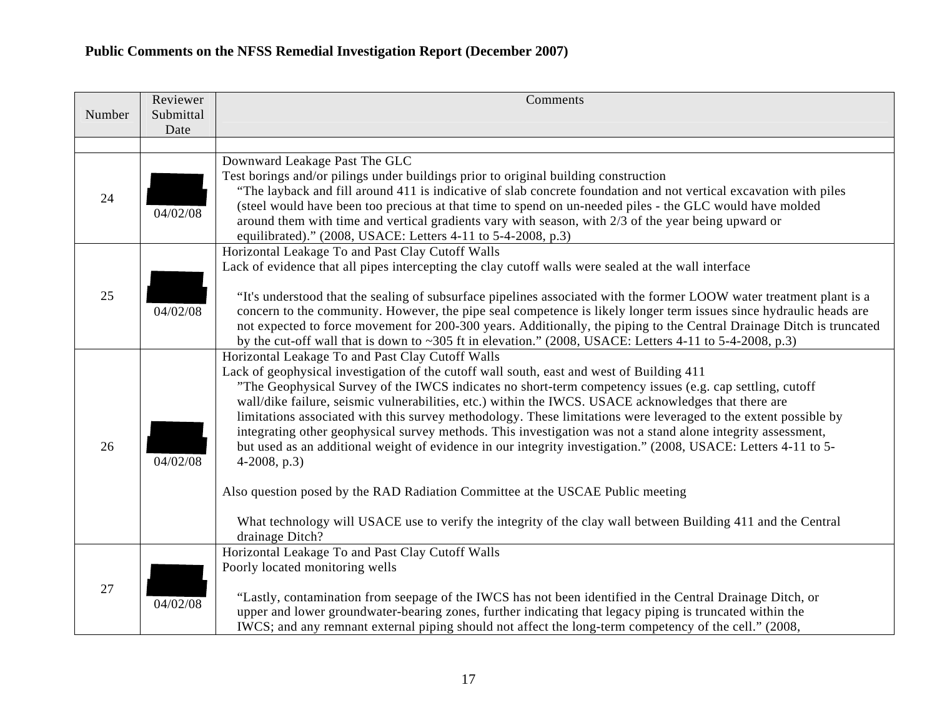| Number | Reviewer<br>Submittal | Comments                                                                                                                                                                                                                                                                                                                                                                                                                                                                                                                                                                                                                                                                                                                                                                                                                                                                                                                                                       |
|--------|-----------------------|----------------------------------------------------------------------------------------------------------------------------------------------------------------------------------------------------------------------------------------------------------------------------------------------------------------------------------------------------------------------------------------------------------------------------------------------------------------------------------------------------------------------------------------------------------------------------------------------------------------------------------------------------------------------------------------------------------------------------------------------------------------------------------------------------------------------------------------------------------------------------------------------------------------------------------------------------------------|
|        | Date                  |                                                                                                                                                                                                                                                                                                                                                                                                                                                                                                                                                                                                                                                                                                                                                                                                                                                                                                                                                                |
|        |                       |                                                                                                                                                                                                                                                                                                                                                                                                                                                                                                                                                                                                                                                                                                                                                                                                                                                                                                                                                                |
| 24     | 04/02/08              | Downward Leakage Past The GLC<br>Test borings and/or pilings under buildings prior to original building construction<br>"The layback and fill around 411 is indicative of slab concrete foundation and not vertical excavation with piles<br>(steel would have been too precious at that time to spend on un-needed piles - the GLC would have molded<br>around them with time and vertical gradients vary with season, with 2/3 of the year being upward or<br>equilibrated)." (2008, USACE: Letters 4-11 to 5-4-2008, p.3)                                                                                                                                                                                                                                                                                                                                                                                                                                   |
| 25     | 04/02/08              | Horizontal Leakage To and Past Clay Cutoff Walls<br>Lack of evidence that all pipes intercepting the clay cutoff walls were sealed at the wall interface<br>"It's understood that the sealing of subsurface pipelines associated with the former LOOW water treatment plant is a<br>concern to the community. However, the pipe seal competence is likely longer term issues since hydraulic heads are<br>not expected to force movement for 200-300 years. Additionally, the piping to the Central Drainage Ditch is truncated<br>by the cut-off wall that is down to $\sim$ 305 ft in elevation." (2008, USACE: Letters 4-11 to 5-4-2008, p.3)                                                                                                                                                                                                                                                                                                               |
| 26     | 04/02/08              | Horizontal Leakage To and Past Clay Cutoff Walls<br>Lack of geophysical investigation of the cutoff wall south, east and west of Building 411<br>"The Geophysical Survey of the IWCS indicates no short-term competency issues (e.g. cap settling, cutoff<br>wall/dike failure, seismic vulnerabilities, etc.) within the IWCS. USACE acknowledges that there are<br>limitations associated with this survey methodology. These limitations were leveraged to the extent possible by<br>integrating other geophysical survey methods. This investigation was not a stand alone integrity assessment,<br>but used as an additional weight of evidence in our integrity investigation." (2008, USACE: Letters 4-11 to 5-<br>$4-2008$ , p.3)<br>Also question posed by the RAD Radiation Committee at the USCAE Public meeting<br>What technology will USACE use to verify the integrity of the clay wall between Building 411 and the Central<br>drainage Ditch? |
| 27     | 04/02/08              | Horizontal Leakage To and Past Clay Cutoff Walls<br>Poorly located monitoring wells<br>"Lastly, contamination from seepage of the IWCS has not been identified in the Central Drainage Ditch, or<br>upper and lower groundwater-bearing zones, further indicating that legacy piping is truncated within the<br>IWCS; and any remnant external piping should not affect the long-term competency of the cell." (2008,                                                                                                                                                                                                                                                                                                                                                                                                                                                                                                                                          |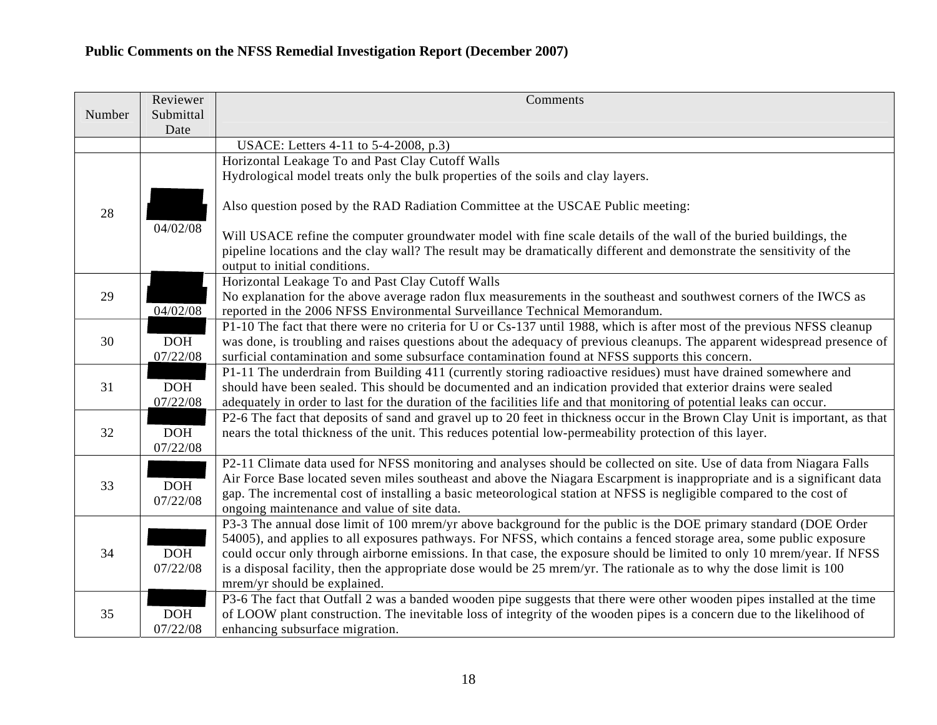|        | Reviewer   | Comments                                                                                                                                                                                                                   |
|--------|------------|----------------------------------------------------------------------------------------------------------------------------------------------------------------------------------------------------------------------------|
| Number | Submittal  |                                                                                                                                                                                                                            |
|        | Date       |                                                                                                                                                                                                                            |
|        |            | USACE: Letters 4-11 to 5-4-2008, p.3)                                                                                                                                                                                      |
|        |            | Horizontal Leakage To and Past Clay Cutoff Walls                                                                                                                                                                           |
|        |            | Hydrological model treats only the bulk properties of the soils and clay layers.                                                                                                                                           |
|        |            |                                                                                                                                                                                                                            |
| 28     |            | Also question posed by the RAD Radiation Committee at the USCAE Public meeting:                                                                                                                                            |
|        | 04/02/08   |                                                                                                                                                                                                                            |
|        |            | Will USACE refine the computer groundwater model with fine scale details of the wall of the buried buildings, the                                                                                                          |
|        |            | pipeline locations and the clay wall? The result may be dramatically different and demonstrate the sensitivity of the                                                                                                      |
|        |            | output to initial conditions.                                                                                                                                                                                              |
|        |            | Horizontal Leakage To and Past Clay Cutoff Walls                                                                                                                                                                           |
| 29     |            | No explanation for the above average radon flux measurements in the southeast and southwest corners of the IWCS as                                                                                                         |
|        | 04/02/08   | reported in the 2006 NFSS Environmental Surveillance Technical Memorandum.                                                                                                                                                 |
|        | <b>DOH</b> | P1-10 The fact that there were no criteria for U or Cs-137 until 1988, which is after most of the previous NFSS cleanup                                                                                                    |
| 30     | 07/22/08   | was done, is troubling and raises questions about the adequacy of previous cleanups. The apparent widespread presence of<br>surficial contamination and some subsurface contamination found at NFSS supports this concern. |
|        |            | P1-11 The underdrain from Building 411 (currently storing radioactive residues) must have drained somewhere and                                                                                                            |
| 31     | DOH        | should have been sealed. This should be documented and an indication provided that exterior drains were sealed                                                                                                             |
|        | 07/22/08   | adequately in order to last for the duration of the facilities life and that monitoring of potential leaks can occur.                                                                                                      |
|        |            | P2-6 The fact that deposits of sand and gravel up to 20 feet in thickness occur in the Brown Clay Unit is important, as that                                                                                               |
| 32     | <b>DOH</b> | nears the total thickness of the unit. This reduces potential low-permeability protection of this layer.                                                                                                                   |
|        | 07/22/08   |                                                                                                                                                                                                                            |
|        |            | P2-11 Climate data used for NFSS monitoring and analyses should be collected on site. Use of data from Niagara Falls                                                                                                       |
|        |            | Air Force Base located seven miles southeast and above the Niagara Escarpment is inappropriate and is a significant data                                                                                                   |
| 33     | <b>DOH</b> | gap. The incremental cost of installing a basic meteorological station at NFSS is negligible compared to the cost of                                                                                                       |
|        | 07/22/08   | ongoing maintenance and value of site data.                                                                                                                                                                                |
|        |            | P3-3 The annual dose limit of 100 mrem/yr above background for the public is the DOE primary standard (DOE Order                                                                                                           |
|        |            | 54005), and applies to all exposures pathways. For NFSS, which contains a fenced storage area, some public exposure                                                                                                        |
| 34     | <b>DOH</b> | could occur only through airborne emissions. In that case, the exposure should be limited to only 10 mrem/year. If NFSS                                                                                                    |
|        | 07/22/08   | is a disposal facility, then the appropriate dose would be 25 mrem/yr. The rationale as to why the dose limit is 100                                                                                                       |
|        |            | mrem/yr should be explained.                                                                                                                                                                                               |
|        |            | P3-6 The fact that Outfall 2 was a banded wooden pipe suggests that there were other wooden pipes installed at the time                                                                                                    |
| 35     | <b>DOH</b> | of LOOW plant construction. The inevitable loss of integrity of the wooden pipes is a concern due to the likelihood of                                                                                                     |
|        | 07/22/08   | enhancing subsurface migration.                                                                                                                                                                                            |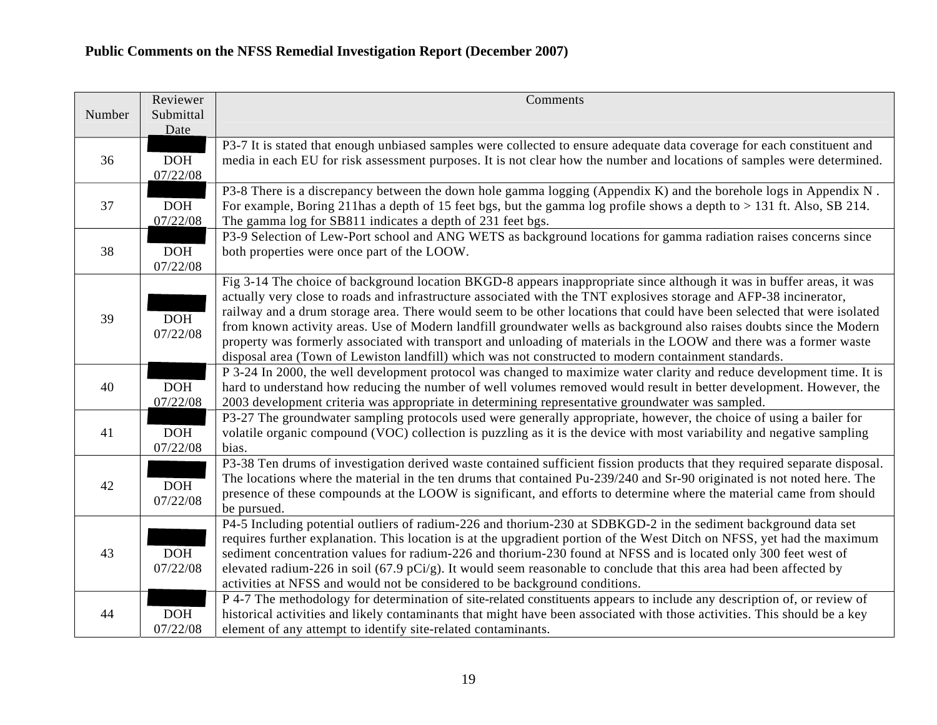|        | Reviewer   | Comments                                                                                                                   |
|--------|------------|----------------------------------------------------------------------------------------------------------------------------|
| Number | Submittal  |                                                                                                                            |
|        | Date       |                                                                                                                            |
|        |            | P3-7 It is stated that enough unbiased samples were collected to ensure adequate data coverage for each constituent and    |
| 36     | DOH        | media in each EU for risk assessment purposes. It is not clear how the number and locations of samples were determined.    |
|        | 07/22/08   |                                                                                                                            |
|        |            | P3-8 There is a discrepancy between the down hole gamma logging (Appendix K) and the borehole logs in Appendix N.          |
| 37     | <b>DOH</b> | For example, Boring 211 has a depth of 15 feet bgs, but the gamma log profile shows a depth to > 131 ft. Also, SB 214.     |
|        | 07/22/08   | The gamma log for SB811 indicates a depth of 231 feet bgs.                                                                 |
|        |            | P3-9 Selection of Lew-Port school and ANG WETS as background locations for gamma radiation raises concerns since           |
| 38     | <b>DOH</b> | both properties were once part of the LOOW.                                                                                |
|        | 07/22/08   |                                                                                                                            |
|        |            | Fig 3-14 The choice of background location BKGD-8 appears inappropriate since although it was in buffer areas, it was      |
|        |            | actually very close to roads and infrastructure associated with the TNT explosives storage and AFP-38 incinerator,         |
| 39     | <b>DOH</b> | railway and a drum storage area. There would seem to be other locations that could have been selected that were isolated   |
|        | 07/22/08   | from known activity areas. Use of Modern landfill groundwater wells as background also raises doubts since the Modern      |
|        |            | property was formerly associated with transport and unloading of materials in the LOOW and there was a former waste        |
|        |            | disposal area (Town of Lewiston landfill) which was not constructed to modern containment standards.                       |
|        |            | P 3-24 In 2000, the well development protocol was changed to maximize water clarity and reduce development time. It is     |
| 40     | DOH        | hard to understand how reducing the number of well volumes removed would result in better development. However, the        |
|        | 07/22/08   | 2003 development criteria was appropriate in determining representative groundwater was sampled.                           |
|        |            | P3-27 The groundwater sampling protocols used were generally appropriate, however, the choice of using a bailer for        |
| 41     | <b>DOH</b> | volatile organic compound (VOC) collection is puzzling as it is the device with most variability and negative sampling     |
|        | 07/22/08   | bias.                                                                                                                      |
|        |            | P3-38 Ten drums of investigation derived waste contained sufficient fission products that they required separate disposal. |
| 42     | <b>DOH</b> | The locations where the material in the ten drums that contained Pu-239/240 and Sr-90 originated is not noted here. The    |
|        | 07/22/08   | presence of these compounds at the LOOW is significant, and efforts to determine where the material came from should       |
|        |            | be pursued.                                                                                                                |
|        |            | P4-5 Including potential outliers of radium-226 and thorium-230 at SDBKGD-2 in the sediment background data set            |
|        |            | requires further explanation. This location is at the upgradient portion of the West Ditch on NFSS, yet had the maximum    |
| 43     | DOH        | sediment concentration values for radium-226 and thorium-230 found at NFSS and is located only 300 feet west of            |
|        | 07/22/08   | elevated radium-226 in soil (67.9 pCi/g). It would seem reasonable to conclude that this area had been affected by         |
|        |            | activities at NFSS and would not be considered to be background conditions.                                                |
|        |            | P 4-7 The methodology for determination of site-related constituents appears to include any description of, or review of   |
| 44     | <b>DOH</b> | historical activities and likely contaminants that might have been associated with those activities. This should be a key  |
|        | 07/22/08   | element of any attempt to identify site-related contaminants.                                                              |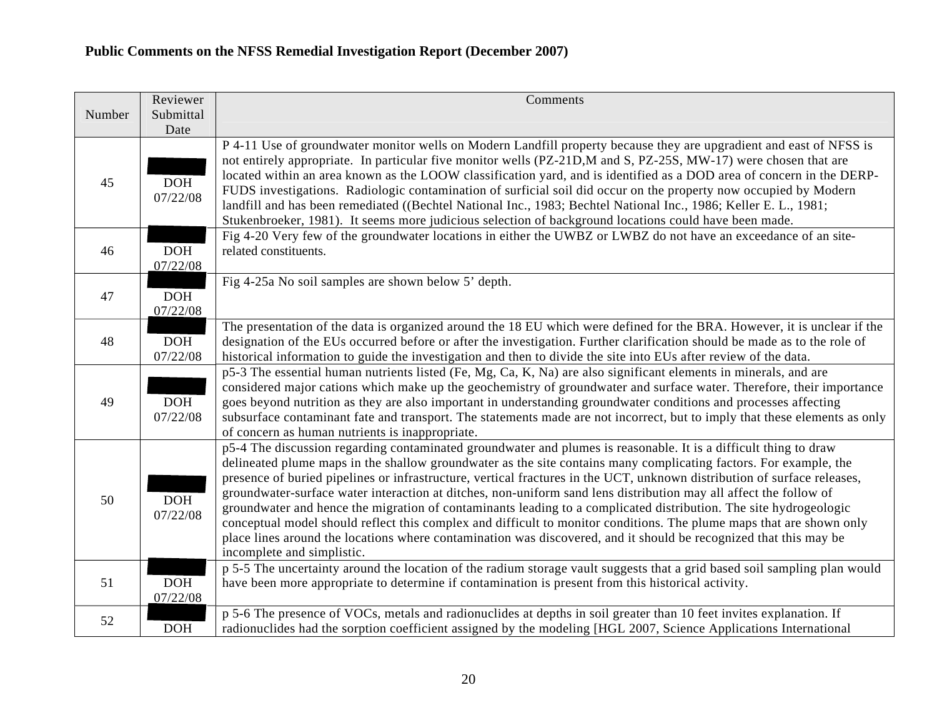|        | Reviewer               | Comments                                                                                                                                                                                                                                                                                                                                                                                                                                                                                                                                                                                                                                                                                                                                                                                                                                                                               |
|--------|------------------------|----------------------------------------------------------------------------------------------------------------------------------------------------------------------------------------------------------------------------------------------------------------------------------------------------------------------------------------------------------------------------------------------------------------------------------------------------------------------------------------------------------------------------------------------------------------------------------------------------------------------------------------------------------------------------------------------------------------------------------------------------------------------------------------------------------------------------------------------------------------------------------------|
| Number | Submittal<br>Date      |                                                                                                                                                                                                                                                                                                                                                                                                                                                                                                                                                                                                                                                                                                                                                                                                                                                                                        |
| 45     | <b>DOH</b><br>07/22/08 | P 4-11 Use of groundwater monitor wells on Modern Landfill property because they are upgradient and east of NFSS is<br>not entirely appropriate. In particular five monitor wells (PZ-21D,M and S, PZ-25S, MW-17) were chosen that are<br>located within an area known as the LOOW classification yard, and is identified as a DOD area of concern in the DERP-<br>FUDS investigations. Radiologic contamination of surficial soil did occur on the property now occupied by Modern<br>landfill and has been remediated ((Bechtel National Inc., 1983; Bechtel National Inc., 1986; Keller E. L., 1981;<br>Stukenbroeker, 1981). It seems more judicious selection of background locations could have been made.                                                                                                                                                                       |
| 46     | <b>DOH</b><br>07/22/08 | Fig 4-20 Very few of the groundwater locations in either the UWBZ or LWBZ do not have an exceedance of an site-<br>related constituents.                                                                                                                                                                                                                                                                                                                                                                                                                                                                                                                                                                                                                                                                                                                                               |
| 47     | <b>DOH</b><br>07/22/08 | Fig 4-25a No soil samples are shown below 5' depth.                                                                                                                                                                                                                                                                                                                                                                                                                                                                                                                                                                                                                                                                                                                                                                                                                                    |
| 48     | <b>DOH</b><br>07/22/08 | The presentation of the data is organized around the 18 EU which were defined for the BRA. However, it is unclear if the<br>designation of the EUs occurred before or after the investigation. Further clarification should be made as to the role of<br>historical information to guide the investigation and then to divide the site into EUs after review of the data.                                                                                                                                                                                                                                                                                                                                                                                                                                                                                                              |
| 49     | DOH<br>07/22/08        | p5-3 The essential human nutrients listed (Fe, Mg, Ca, K, Na) are also significant elements in minerals, and are<br>considered major cations which make up the geochemistry of groundwater and surface water. Therefore, their importance<br>goes beyond nutrition as they are also important in understanding groundwater conditions and processes affecting<br>subsurface contaminant fate and transport. The statements made are not incorrect, but to imply that these elements as only<br>of concern as human nutrients is inappropriate.                                                                                                                                                                                                                                                                                                                                         |
| 50     | <b>DOH</b><br>07/22/08 | p5-4 The discussion regarding contaminated groundwater and plumes is reasonable. It is a difficult thing to draw<br>delineated plume maps in the shallow groundwater as the site contains many complicating factors. For example, the<br>presence of buried pipelines or infrastructure, vertical fractures in the UCT, unknown distribution of surface releases,<br>groundwater-surface water interaction at ditches, non-uniform sand lens distribution may all affect the follow of<br>groundwater and hence the migration of contaminants leading to a complicated distribution. The site hydrogeologic<br>conceptual model should reflect this complex and difficult to monitor conditions. The plume maps that are shown only<br>place lines around the locations where contamination was discovered, and it should be recognized that this may be<br>incomplete and simplistic. |
| 51     | <b>DOH</b><br>07/22/08 | p 5-5 The uncertainty around the location of the radium storage vault suggests that a grid based soil sampling plan would<br>have been more appropriate to determine if contamination is present from this historical activity.                                                                                                                                                                                                                                                                                                                                                                                                                                                                                                                                                                                                                                                        |
| 52     | DOH                    | p 5-6 The presence of VOCs, metals and radionuclides at depths in soil greater than 10 feet invites explanation. If<br>radionuclides had the sorption coefficient assigned by the modeling [HGL 2007, Science Applications International                                                                                                                                                                                                                                                                                                                                                                                                                                                                                                                                                                                                                                               |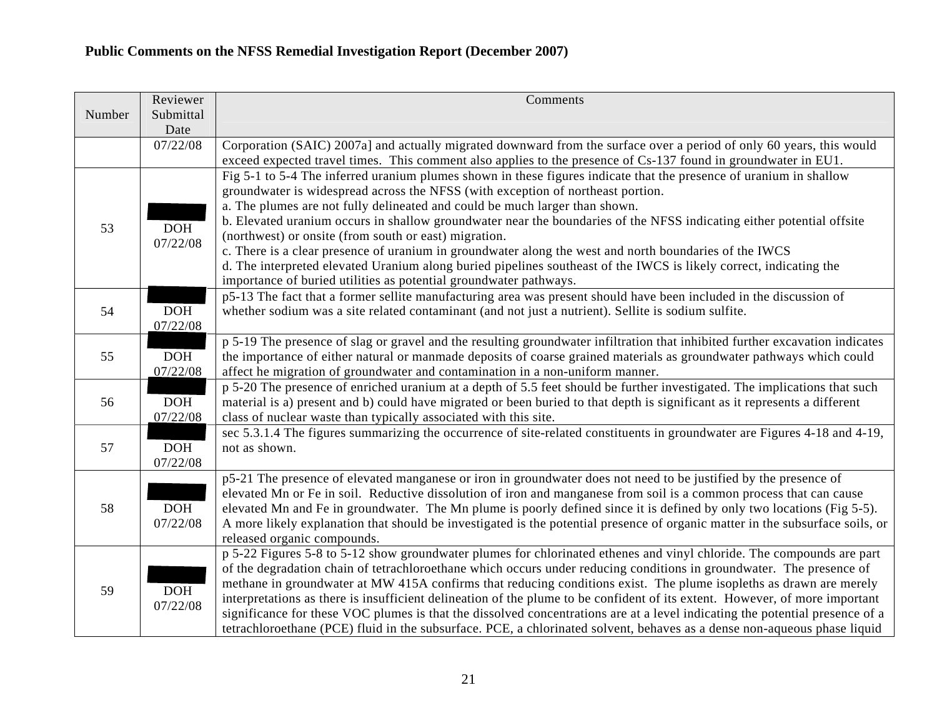|        | Reviewer         | Comments                                                                                                                                                                                |
|--------|------------------|-----------------------------------------------------------------------------------------------------------------------------------------------------------------------------------------|
| Number | Submittal        |                                                                                                                                                                                         |
|        | Date<br>07/22/08 | Corporation (SAIC) 2007a] and actually migrated downward from the surface over a period of only 60 years, this would                                                                    |
|        |                  | exceed expected travel times. This comment also applies to the presence of Cs-137 found in groundwater in EU1.                                                                          |
|        |                  | Fig 5-1 to 5-4 The inferred uranium plumes shown in these figures indicate that the presence of uranium in shallow                                                                      |
|        |                  | groundwater is widespread across the NFSS (with exception of northeast portion.                                                                                                         |
|        |                  | a. The plumes are not fully delineated and could be much larger than shown.                                                                                                             |
| 53     | <b>DOH</b>       | b. Elevated uranium occurs in shallow groundwater near the boundaries of the NFSS indicating either potential offsite                                                                   |
|        | 07/22/08         | (northwest) or onsite (from south or east) migration.                                                                                                                                   |
|        |                  | c. There is a clear presence of uranium in groundwater along the west and north boundaries of the IWCS                                                                                  |
|        |                  | d. The interpreted elevated Uranium along buried pipelines southeast of the IWCS is likely correct, indicating the                                                                      |
|        |                  | importance of buried utilities as potential groundwater pathways.<br>p5-13 The fact that a former sellite manufacturing area was present should have been included in the discussion of |
| 54     | DOH              | whether sodium was a site related contaminant (and not just a nutrient). Sellite is sodium sulfite.                                                                                     |
|        | 07/22/08         |                                                                                                                                                                                         |
|        |                  | p 5-19 The presence of slag or gravel and the resulting groundwater infiltration that inhibited further excavation indicates                                                            |
| 55     | DOH              | the importance of either natural or manmade deposits of coarse grained materials as groundwater pathways which could                                                                    |
|        | 07/22/08         | affect he migration of groundwater and contamination in a non-uniform manner.                                                                                                           |
|        |                  | p 5-20 The presence of enriched uranium at a depth of 5.5 feet should be further investigated. The implications that such                                                               |
| 56     | DOH              | material is a) present and b) could have migrated or been buried to that depth is significant as it represents a different                                                              |
|        | 07/22/08         | class of nuclear waste than typically associated with this site.                                                                                                                        |
|        |                  | sec 5.3.1.4 The figures summarizing the occurrence of site-related constituents in groundwater are Figures 4-18 and 4-19,                                                               |
| 57     | <b>DOH</b>       | not as shown.                                                                                                                                                                           |
|        | 07/22/08         | p5-21 The presence of elevated manganese or iron in groundwater does not need to be justified by the presence of                                                                        |
|        |                  | elevated Mn or Fe in soil. Reductive dissolution of iron and manganese from soil is a common process that can cause                                                                     |
| 58     | <b>DOH</b>       | elevated Mn and Fe in groundwater. The Mn plume is poorly defined since it is defined by only two locations (Fig 5-5).                                                                  |
|        | 07/22/08         | A more likely explanation that should be investigated is the potential presence of organic matter in the subsurface soils, or                                                           |
|        |                  | released organic compounds.                                                                                                                                                             |
|        |                  | p 5-22 Figures 5-8 to 5-12 show groundwater plumes for chlorinated ethenes and vinyl chloride. The compounds are part                                                                   |
| 59     |                  | of the degradation chain of tetrachloroethane which occurs under reducing conditions in groundwater. The presence of                                                                    |
|        | DOH              | methane in groundwater at MW 415A confirms that reducing conditions exist. The plume isopleths as drawn are merely                                                                      |
|        | 07/22/08         | interpretations as there is insufficient delineation of the plume to be confident of its extent. However, of more important                                                             |
|        |                  | significance for these VOC plumes is that the dissolved concentrations are at a level indicating the potential presence of a                                                            |
|        |                  | tetrachloroethane (PCE) fluid in the subsurface. PCE, a chlorinated solvent, behaves as a dense non-aqueous phase liquid                                                                |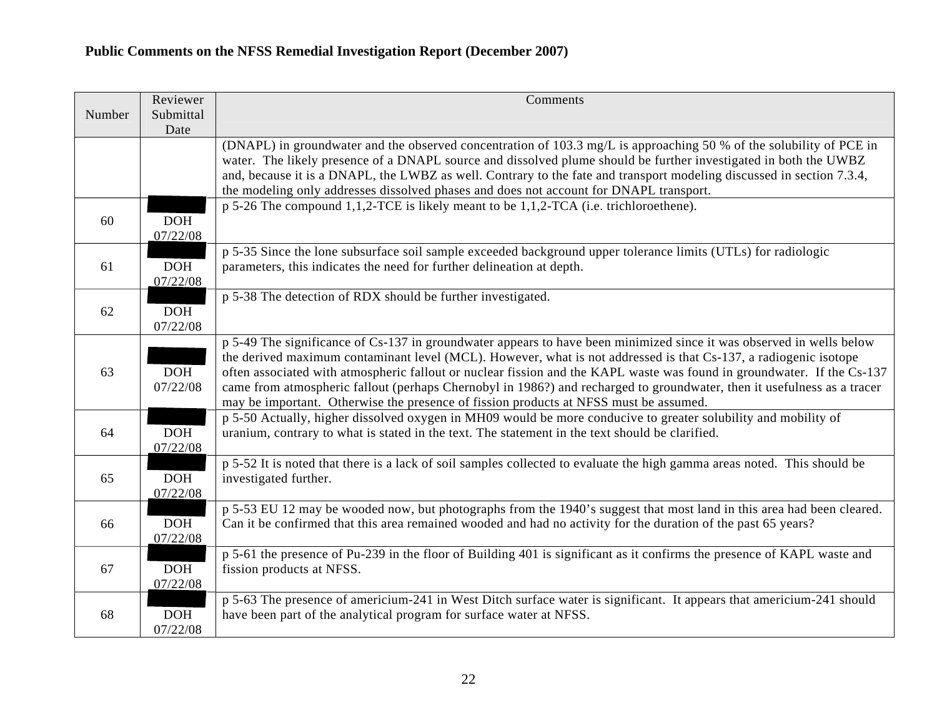|        | Reviewer               | Comments                                                                                                                                                                                                                                                                                                                                                                                                                                                                                                                                                                                |
|--------|------------------------|-----------------------------------------------------------------------------------------------------------------------------------------------------------------------------------------------------------------------------------------------------------------------------------------------------------------------------------------------------------------------------------------------------------------------------------------------------------------------------------------------------------------------------------------------------------------------------------------|
| Number | Submittal<br>Date      |                                                                                                                                                                                                                                                                                                                                                                                                                                                                                                                                                                                         |
|        |                        | (DNAPL) in groundwater and the observed concentration of 103.3 mg/L is approaching 50 % of the solubility of PCE in<br>water. The likely presence of a DNAPL source and dissolved plume should be further investigated in both the UWBZ<br>and, because it is a DNAPL, the LWBZ as well. Contrary to the fate and transport modeling discussed in section 7.3.4,<br>the modeling only addresses dissolved phases and does not account for DNAPL transport.                                                                                                                              |
| 60     | <b>DOH</b><br>07/22/08 | p 5-26 The compound 1,1,2-TCE is likely meant to be 1,1,2-TCA (i.e. trichloroethene).                                                                                                                                                                                                                                                                                                                                                                                                                                                                                                   |
| 61     | <b>DOH</b><br>07/22/08 | p 5-35 Since the lone subsurface soil sample exceeded background upper tolerance limits (UTLs) for radiologic<br>parameters, this indicates the need for further delineation at depth.                                                                                                                                                                                                                                                                                                                                                                                                  |
| 62     | <b>DOH</b><br>07/22/08 | p 5-38 The detection of RDX should be further investigated.                                                                                                                                                                                                                                                                                                                                                                                                                                                                                                                             |
| 63     | <b>DOH</b><br>07/22/08 | p 5-49 The significance of Cs-137 in groundwater appears to have been minimized since it was observed in wells below<br>the derived maximum contaminant level (MCL). However, what is not addressed is that Cs-137, a radiogenic isotope<br>often associated with atmospheric fallout or nuclear fission and the KAPL waste was found in groundwater. If the Cs-137<br>came from atmospheric fallout (perhaps Chernobyl in 1986?) and recharged to groundwater, then it usefulness as a tracer<br>may be important. Otherwise the presence of fission products at NFSS must be assumed. |
| 64     | DOH<br>07/22/08        | p 5-50 Actually, higher dissolved oxygen in MH09 would be more conducive to greater solubility and mobility of<br>uranium, contrary to what is stated in the text. The statement in the text should be clarified.                                                                                                                                                                                                                                                                                                                                                                       |
| 65     | <b>DOH</b><br>07/22/08 | p 5-52 It is noted that there is a lack of soil samples collected to evaluate the high gamma areas noted. This should be<br>investigated further.                                                                                                                                                                                                                                                                                                                                                                                                                                       |
| 66     | <b>DOH</b><br>07/22/08 | p 5-53 EU 12 may be wooded now, but photographs from the 1940's suggest that most land in this area had been cleared.<br>Can it be confirmed that this area remained wooded and had no activity for the duration of the past 65 years?                                                                                                                                                                                                                                                                                                                                                  |
| 67     | <b>DOH</b><br>07/22/08 | p 5-61 the presence of Pu-239 in the floor of Building 401 is significant as it confirms the presence of KAPL waste and<br>fission products at NFSS.                                                                                                                                                                                                                                                                                                                                                                                                                                    |
| 68     | <b>DOH</b><br>07/22/08 | p 5-63 The presence of americium-241 in West Ditch surface water is significant. It appears that americium-241 should<br>have been part of the analytical program for surface water at NFSS.                                                                                                                                                                                                                                                                                                                                                                                            |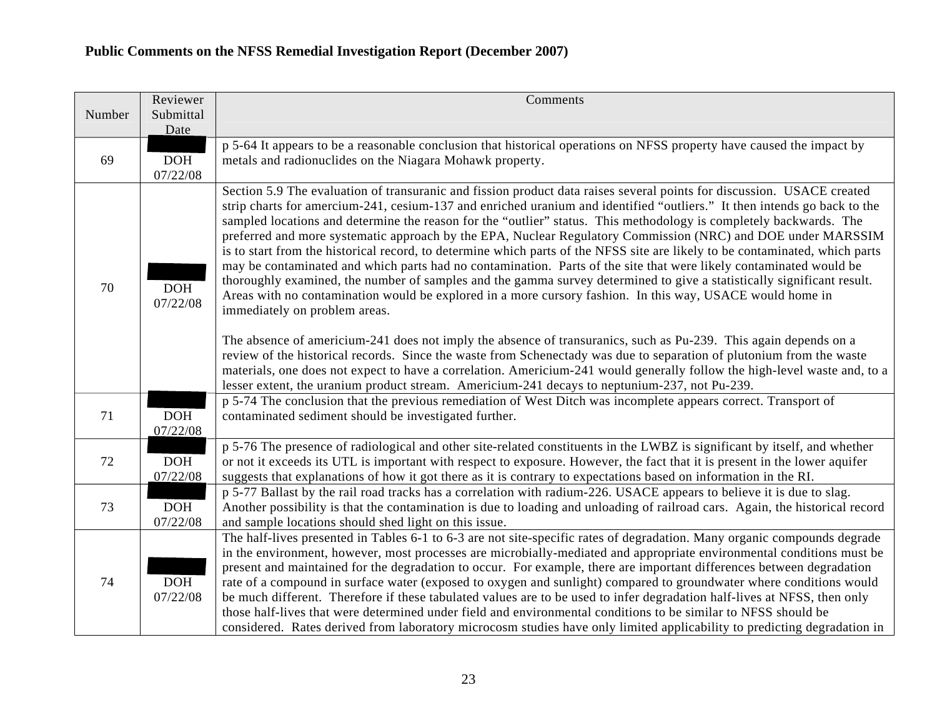|        | Reviewer               | Comments                                                                                                                                                                                                                                                                                                                                                                                                                                                                                                                                                                                                                                                                                                                                                                                                                                                                                                                                                                                                                                                                                                                                                                                                                                                           |
|--------|------------------------|--------------------------------------------------------------------------------------------------------------------------------------------------------------------------------------------------------------------------------------------------------------------------------------------------------------------------------------------------------------------------------------------------------------------------------------------------------------------------------------------------------------------------------------------------------------------------------------------------------------------------------------------------------------------------------------------------------------------------------------------------------------------------------------------------------------------------------------------------------------------------------------------------------------------------------------------------------------------------------------------------------------------------------------------------------------------------------------------------------------------------------------------------------------------------------------------------------------------------------------------------------------------|
| Number | Submittal              |                                                                                                                                                                                                                                                                                                                                                                                                                                                                                                                                                                                                                                                                                                                                                                                                                                                                                                                                                                                                                                                                                                                                                                                                                                                                    |
|        | Date                   |                                                                                                                                                                                                                                                                                                                                                                                                                                                                                                                                                                                                                                                                                                                                                                                                                                                                                                                                                                                                                                                                                                                                                                                                                                                                    |
| 69     | <b>DOH</b><br>07/22/08 | p 5-64 It appears to be a reasonable conclusion that historical operations on NFSS property have caused the impact by<br>metals and radionuclides on the Niagara Mohawk property.                                                                                                                                                                                                                                                                                                                                                                                                                                                                                                                                                                                                                                                                                                                                                                                                                                                                                                                                                                                                                                                                                  |
| 70     | <b>DOH</b><br>07/22/08 | Section 5.9 The evaluation of transuranic and fission product data raises several points for discussion. USACE created<br>strip charts for amercium-241, cesium-137 and enriched uranium and identified "outliers." It then intends go back to the<br>sampled locations and determine the reason for the "outlier" status. This methodology is completely backwards. The<br>preferred and more systematic approach by the EPA, Nuclear Regulatory Commission (NRC) and DOE under MARSSIM<br>is to start from the historical record, to determine which parts of the NFSS site are likely to be contaminated, which parts<br>may be contaminated and which parts had no contamination. Parts of the site that were likely contaminated would be<br>thoroughly examined, the number of samples and the gamma survey determined to give a statistically significant result.<br>Areas with no contamination would be explored in a more cursory fashion. In this way, USACE would home in<br>immediately on problem areas.<br>The absence of americium-241 does not imply the absence of transuranics, such as Pu-239. This again depends on a<br>review of the historical records. Since the waste from Schenectady was due to separation of plutonium from the waste |
|        |                        | materials, one does not expect to have a correlation. Americium-241 would generally follow the high-level waste and, to a<br>lesser extent, the uranium product stream. Americium-241 decays to neptunium-237, not Pu-239.                                                                                                                                                                                                                                                                                                                                                                                                                                                                                                                                                                                                                                                                                                                                                                                                                                                                                                                                                                                                                                         |
| 71     | DOH<br>07/22/08        | p 5-74 The conclusion that the previous remediation of West Ditch was incomplete appears correct. Transport of<br>contaminated sediment should be investigated further.                                                                                                                                                                                                                                                                                                                                                                                                                                                                                                                                                                                                                                                                                                                                                                                                                                                                                                                                                                                                                                                                                            |
| 72     | <b>DOH</b><br>07/22/08 | p 5-76 The presence of radiological and other site-related constituents in the LWBZ is significant by itself, and whether<br>or not it exceeds its UTL is important with respect to exposure. However, the fact that it is present in the lower aquifer<br>suggests that explanations of how it got there as it is contrary to expectations based on information in the RI.                                                                                                                                                                                                                                                                                                                                                                                                                                                                                                                                                                                                                                                                                                                                                                                                                                                                                        |
| 73     | <b>DOH</b><br>07/22/08 | p 5-77 Ballast by the rail road tracks has a correlation with radium-226. USACE appears to believe it is due to slag.<br>Another possibility is that the contamination is due to loading and unloading of railroad cars. Again, the historical record<br>and sample locations should shed light on this issue.                                                                                                                                                                                                                                                                                                                                                                                                                                                                                                                                                                                                                                                                                                                                                                                                                                                                                                                                                     |
| 74     | DOH<br>07/22/08        | The half-lives presented in Tables 6-1 to 6-3 are not site-specific rates of degradation. Many organic compounds degrade<br>in the environment, however, most processes are microbially-mediated and appropriate environmental conditions must be<br>present and maintained for the degradation to occur. For example, there are important differences between degradation<br>rate of a compound in surface water (exposed to oxygen and sunlight) compared to groundwater where conditions would<br>be much different. Therefore if these tabulated values are to be used to infer degradation half-lives at NFSS, then only<br>those half-lives that were determined under field and environmental conditions to be similar to NFSS should be<br>considered. Rates derived from laboratory microcosm studies have only limited applicability to predicting degradation in                                                                                                                                                                                                                                                                                                                                                                                        |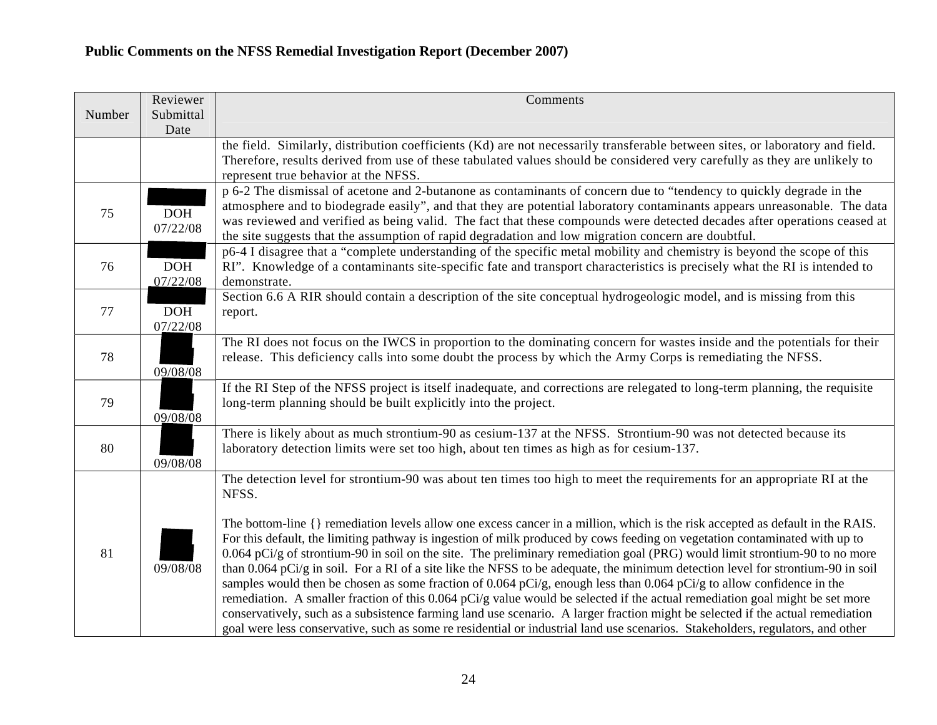|        | Reviewer               | Comments                                                                                                                                                                                                                                                                                                                                                                                                                                                                                                                                                                                                                                                                                                                                                                                                                                                                                                                  |
|--------|------------------------|---------------------------------------------------------------------------------------------------------------------------------------------------------------------------------------------------------------------------------------------------------------------------------------------------------------------------------------------------------------------------------------------------------------------------------------------------------------------------------------------------------------------------------------------------------------------------------------------------------------------------------------------------------------------------------------------------------------------------------------------------------------------------------------------------------------------------------------------------------------------------------------------------------------------------|
| Number | Submittal<br>Date      |                                                                                                                                                                                                                                                                                                                                                                                                                                                                                                                                                                                                                                                                                                                                                                                                                                                                                                                           |
|        |                        | the field. Similarly, distribution coefficients (Kd) are not necessarily transferable between sites, or laboratory and field.                                                                                                                                                                                                                                                                                                                                                                                                                                                                                                                                                                                                                                                                                                                                                                                             |
|        |                        | Therefore, results derived from use of these tabulated values should be considered very carefully as they are unlikely to<br>represent true behavior at the NFSS.                                                                                                                                                                                                                                                                                                                                                                                                                                                                                                                                                                                                                                                                                                                                                         |
| 75     | <b>DOH</b><br>07/22/08 | p 6-2 The dismissal of acetone and 2-butanone as contaminants of concern due to "tendency to quickly degrade in the<br>atmosphere and to biodegrade easily", and that they are potential laboratory contaminants appears unreasonable. The data<br>was reviewed and verified as being valid. The fact that these compounds were detected decades after operations ceased at<br>the site suggests that the assumption of rapid degradation and low migration concern are doubtful.                                                                                                                                                                                                                                                                                                                                                                                                                                         |
| 76     | <b>DOH</b><br>07/22/08 | p6-4 I disagree that a "complete understanding of the specific metal mobility and chemistry is beyond the scope of this<br>RI". Knowledge of a contaminants site-specific fate and transport characteristics is precisely what the RI is intended to<br>demonstrate.                                                                                                                                                                                                                                                                                                                                                                                                                                                                                                                                                                                                                                                      |
| 77     | <b>DOH</b><br>07/22/08 | Section 6.6 A RIR should contain a description of the site conceptual hydrogeologic model, and is missing from this<br>report.                                                                                                                                                                                                                                                                                                                                                                                                                                                                                                                                                                                                                                                                                                                                                                                            |
| 78     | 09/08/08               | The RI does not focus on the IWCS in proportion to the dominating concern for wastes inside and the potentials for their<br>release. This deficiency calls into some doubt the process by which the Army Corps is remediating the NFSS.                                                                                                                                                                                                                                                                                                                                                                                                                                                                                                                                                                                                                                                                                   |
| 79     | 09/08/08               | If the RI Step of the NFSS project is itself inadequate, and corrections are relegated to long-term planning, the requisite<br>long-term planning should be built explicitly into the project.                                                                                                                                                                                                                                                                                                                                                                                                                                                                                                                                                                                                                                                                                                                            |
| 80     | 09/08/08               | There is likely about as much strontium-90 as cesium-137 at the NFSS. Strontium-90 was not detected because its<br>laboratory detection limits were set too high, about ten times as high as for cesium-137.                                                                                                                                                                                                                                                                                                                                                                                                                                                                                                                                                                                                                                                                                                              |
|        |                        | The detection level for strontium-90 was about ten times too high to meet the requirements for an appropriate RI at the<br>NFSS.<br>The bottom-line {} remediation levels allow one excess cancer in a million, which is the risk accepted as default in the RAIS.                                                                                                                                                                                                                                                                                                                                                                                                                                                                                                                                                                                                                                                        |
| 81     | 09/08/08               | For this default, the limiting pathway is ingestion of milk produced by cows feeding on vegetation contaminated with up to<br>0.064 pCi/g of strontium-90 in soil on the site. The preliminary remediation goal (PRG) would limit strontium-90 to no more<br>than 0.064 pCi/g in soil. For a RI of a site like the NFSS to be adequate, the minimum detection level for strontium-90 in soil<br>samples would then be chosen as some fraction of 0.064 pCi/g, enough less than 0.064 pCi/g to allow confidence in the<br>remediation. A smaller fraction of this 0.064 pCi/g value would be selected if the actual remediation goal might be set more<br>conservatively, such as a subsistence farming land use scenario. A larger fraction might be selected if the actual remediation<br>goal were less conservative, such as some re residential or industrial land use scenarios. Stakeholders, regulators, and other |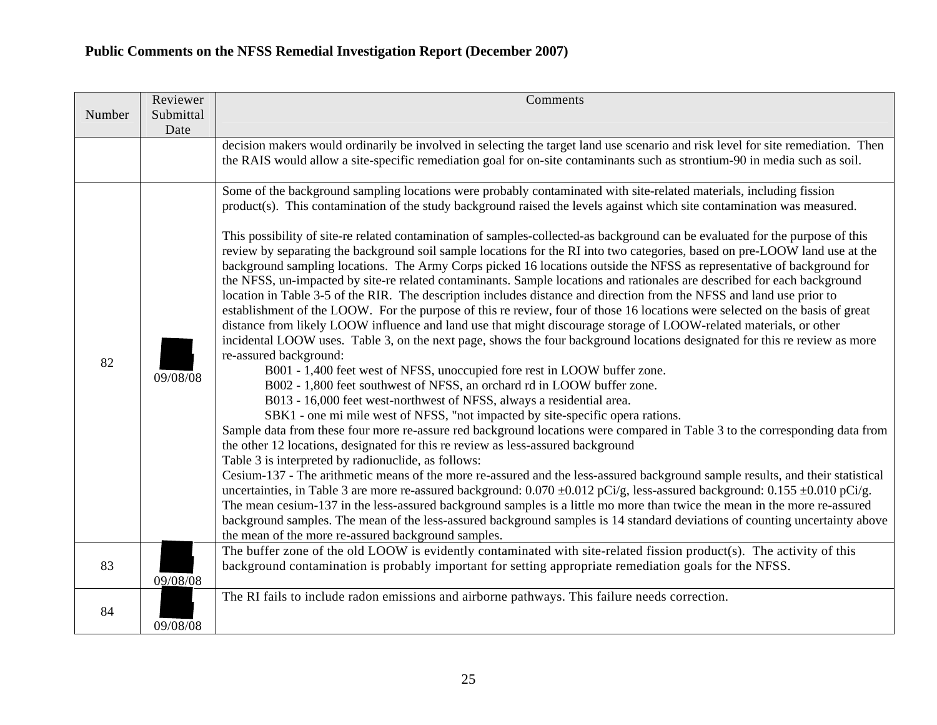|        | Reviewer  | Comments                                                                                                                                                                                                                                                                                                                                                                                                                                                                                                                                                                                                                                                                                                                                                                                                                                                                                                                                                                                                                                                                                                                                                                                                                                                                                                                                                                                                                                                                                                                                                                                                                                               |
|--------|-----------|--------------------------------------------------------------------------------------------------------------------------------------------------------------------------------------------------------------------------------------------------------------------------------------------------------------------------------------------------------------------------------------------------------------------------------------------------------------------------------------------------------------------------------------------------------------------------------------------------------------------------------------------------------------------------------------------------------------------------------------------------------------------------------------------------------------------------------------------------------------------------------------------------------------------------------------------------------------------------------------------------------------------------------------------------------------------------------------------------------------------------------------------------------------------------------------------------------------------------------------------------------------------------------------------------------------------------------------------------------------------------------------------------------------------------------------------------------------------------------------------------------------------------------------------------------------------------------------------------------------------------------------------------------|
| Number | Submittal |                                                                                                                                                                                                                                                                                                                                                                                                                                                                                                                                                                                                                                                                                                                                                                                                                                                                                                                                                                                                                                                                                                                                                                                                                                                                                                                                                                                                                                                                                                                                                                                                                                                        |
|        | Date      | decision makers would ordinarily be involved in selecting the target land use scenario and risk level for site remediation. Then                                                                                                                                                                                                                                                                                                                                                                                                                                                                                                                                                                                                                                                                                                                                                                                                                                                                                                                                                                                                                                                                                                                                                                                                                                                                                                                                                                                                                                                                                                                       |
|        |           | the RAIS would allow a site-specific remediation goal for on-site contaminants such as strontium-90 in media such as soil.                                                                                                                                                                                                                                                                                                                                                                                                                                                                                                                                                                                                                                                                                                                                                                                                                                                                                                                                                                                                                                                                                                                                                                                                                                                                                                                                                                                                                                                                                                                             |
|        |           | Some of the background sampling locations were probably contaminated with site-related materials, including fission<br>product(s). This contamination of the study background raised the levels against which site contamination was measured.                                                                                                                                                                                                                                                                                                                                                                                                                                                                                                                                                                                                                                                                                                                                                                                                                                                                                                                                                                                                                                                                                                                                                                                                                                                                                                                                                                                                         |
| 82     | 09/08/08  | This possibility of site-re related contamination of samples-collected-as background can be evaluated for the purpose of this<br>review by separating the background soil sample locations for the RI into two categories, based on pre-LOOW land use at the<br>background sampling locations. The Army Corps picked 16 locations outside the NFSS as representative of background for<br>the NFSS, un-impacted by site-re related contaminants. Sample locations and rationales are described for each background<br>location in Table 3-5 of the RIR. The description includes distance and direction from the NFSS and land use prior to<br>establishment of the LOOW. For the purpose of this re review, four of those 16 locations were selected on the basis of great<br>distance from likely LOOW influence and land use that might discourage storage of LOOW-related materials, or other<br>incidental LOOW uses. Table 3, on the next page, shows the four background locations designated for this re review as more<br>re-assured background:<br>B001 - 1,400 feet west of NFSS, unoccupied fore rest in LOOW buffer zone.<br>B002 - 1,800 feet southwest of NFSS, an orchard rd in LOOW buffer zone.<br>B013 - 16,000 feet west-northwest of NFSS, always a residential area.<br>SBK1 - one mi mile west of NFSS, "not impacted by site-specific opera rations.<br>Sample data from these four more re-assure red background locations were compared in Table 3 to the corresponding data from<br>the other 12 locations, designated for this re review as less-assured background<br>Table 3 is interpreted by radionuclide, as follows: |
|        |           | Cesium-137 - The arithmetic means of the more re-assured and the less-assured background sample results, and their statistical<br>uncertainties, in Table 3 are more re-assured background: $0.070 \pm 0.012$ pCi/g, less-assured background: $0.155 \pm 0.010$ pCi/g.<br>The mean cesium-137 in the less-assured background samples is a little mo more than twice the mean in the more re-assured<br>background samples. The mean of the less-assured background samples is 14 standard deviations of counting uncertainty above<br>the mean of the more re-assured background samples.                                                                                                                                                                                                                                                                                                                                                                                                                                                                                                                                                                                                                                                                                                                                                                                                                                                                                                                                                                                                                                                              |
| 83     | 09/08/08  | The buffer zone of the old LOOW is evidently contaminated with site-related fission product(s). The activity of this<br>background contamination is probably important for setting appropriate remediation goals for the NFSS.                                                                                                                                                                                                                                                                                                                                                                                                                                                                                                                                                                                                                                                                                                                                                                                                                                                                                                                                                                                                                                                                                                                                                                                                                                                                                                                                                                                                                         |
| 84     | 09/08/08  | The RI fails to include radon emissions and airborne pathways. This failure needs correction.                                                                                                                                                                                                                                                                                                                                                                                                                                                                                                                                                                                                                                                                                                                                                                                                                                                                                                                                                                                                                                                                                                                                                                                                                                                                                                                                                                                                                                                                                                                                                          |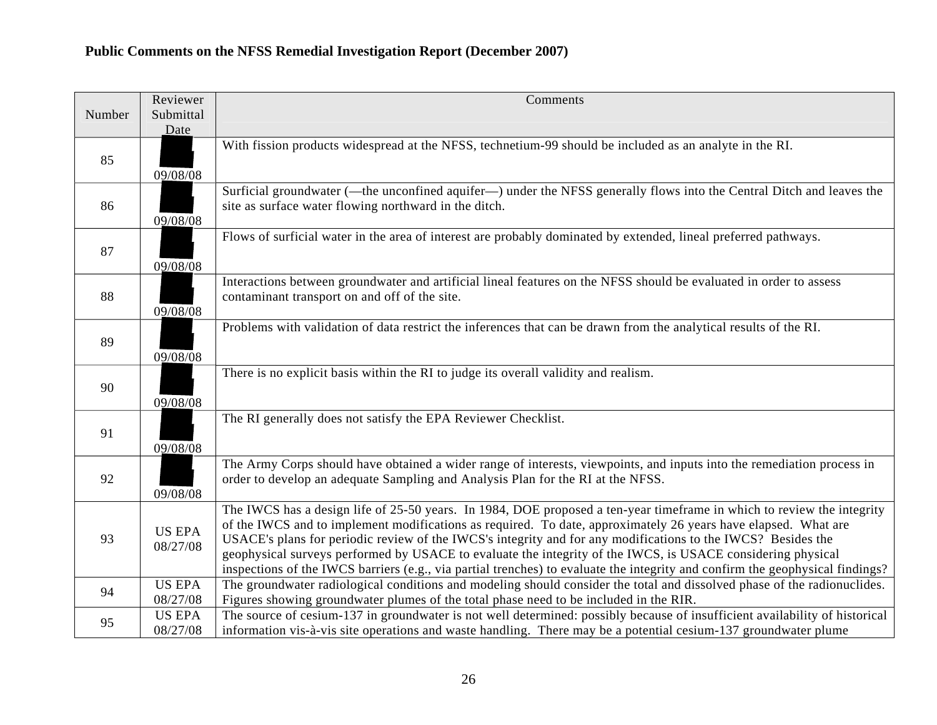|        | Reviewer                  | Comments                                                                                                                                                                                                                                                                                                                                                                                                                                                                                                                                                                                                 |
|--------|---------------------------|----------------------------------------------------------------------------------------------------------------------------------------------------------------------------------------------------------------------------------------------------------------------------------------------------------------------------------------------------------------------------------------------------------------------------------------------------------------------------------------------------------------------------------------------------------------------------------------------------------|
| Number | Submittal<br>Date         |                                                                                                                                                                                                                                                                                                                                                                                                                                                                                                                                                                                                          |
| 85     | 09/08/08                  | With fission products widespread at the NFSS, technetium-99 should be included as an analyte in the RI.                                                                                                                                                                                                                                                                                                                                                                                                                                                                                                  |
| 86     | 09/08/08                  | Surficial groundwater (—the unconfined aquifer—) under the NFSS generally flows into the Central Ditch and leaves the<br>site as surface water flowing northward in the ditch.                                                                                                                                                                                                                                                                                                                                                                                                                           |
| 87     | 09/08/08                  | Flows of surficial water in the area of interest are probably dominated by extended, lineal preferred pathways.                                                                                                                                                                                                                                                                                                                                                                                                                                                                                          |
| 88     | 09/08/08                  | Interactions between groundwater and artificial lineal features on the NFSS should be evaluated in order to assess<br>contaminant transport on and off of the site.                                                                                                                                                                                                                                                                                                                                                                                                                                      |
| 89     | 09/08/08                  | Problems with validation of data restrict the inferences that can be drawn from the analytical results of the RI.                                                                                                                                                                                                                                                                                                                                                                                                                                                                                        |
| 90     | 09/08/08                  | There is no explicit basis within the RI to judge its overall validity and realism.                                                                                                                                                                                                                                                                                                                                                                                                                                                                                                                      |
| 91     | 09/08/08                  | The RI generally does not satisfy the EPA Reviewer Checklist.                                                                                                                                                                                                                                                                                                                                                                                                                                                                                                                                            |
| 92     | 09/08/08                  | The Army Corps should have obtained a wider range of interests, viewpoints, and inputs into the remediation process in<br>order to develop an adequate Sampling and Analysis Plan for the RI at the NFSS.                                                                                                                                                                                                                                                                                                                                                                                                |
| 93     | <b>US EPA</b><br>08/27/08 | The IWCS has a design life of 25-50 years. In 1984, DOE proposed a ten-year timeframe in which to review the integrity<br>of the IWCS and to implement modifications as required. To date, approximately 26 years have elapsed. What are<br>USACE's plans for periodic review of the IWCS's integrity and for any modifications to the IWCS? Besides the<br>geophysical surveys performed by USACE to evaluate the integrity of the IWCS, is USACE considering physical<br>inspections of the IWCS barriers (e.g., via partial trenches) to evaluate the integrity and confirm the geophysical findings? |
| 94     | <b>US EPA</b><br>08/27/08 | The groundwater radiological conditions and modeling should consider the total and dissolved phase of the radionuclides.<br>Figures showing groundwater plumes of the total phase need to be included in the RIR.                                                                                                                                                                                                                                                                                                                                                                                        |
| 95     | <b>US EPA</b><br>08/27/08 | The source of cesium-137 in groundwater is not well determined: possibly because of insufficient availability of historical<br>information vis-à-vis site operations and waste handling. There may be a potential cesium-137 groundwater plume                                                                                                                                                                                                                                                                                                                                                           |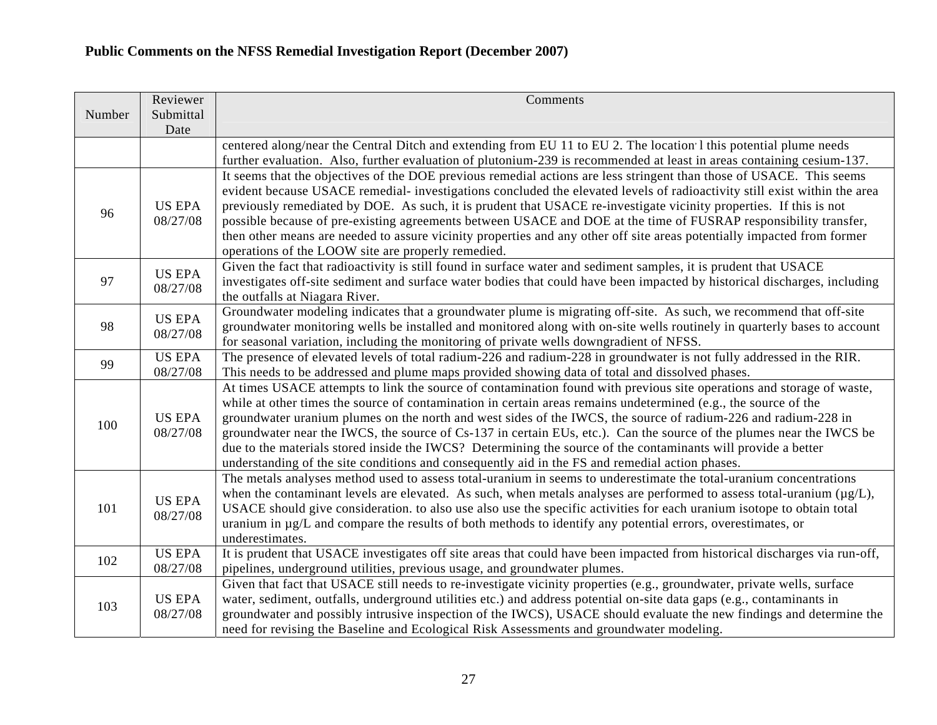|        | Reviewer                  | Comments                                                                                                                                                                                                                                                                                                                                                                                                                                                                                                                                                                                                                                                                                               |
|--------|---------------------------|--------------------------------------------------------------------------------------------------------------------------------------------------------------------------------------------------------------------------------------------------------------------------------------------------------------------------------------------------------------------------------------------------------------------------------------------------------------------------------------------------------------------------------------------------------------------------------------------------------------------------------------------------------------------------------------------------------|
| Number | Submittal<br>Date         |                                                                                                                                                                                                                                                                                                                                                                                                                                                                                                                                                                                                                                                                                                        |
|        |                           | centered along/near the Central Ditch and extending from EU 11 to EU 2. The location 1 this potential plume needs                                                                                                                                                                                                                                                                                                                                                                                                                                                                                                                                                                                      |
|        |                           | further evaluation. Also, further evaluation of plutonium-239 is recommended at least in areas containing cesium-137.                                                                                                                                                                                                                                                                                                                                                                                                                                                                                                                                                                                  |
| 96     | <b>US EPA</b><br>08/27/08 | It seems that the objectives of the DOE previous remedial actions are less stringent than those of USACE. This seems<br>evident because USACE remedial-investigations concluded the elevated levels of radioactivity still exist within the area<br>previously remediated by DOE. As such, it is prudent that USACE re-investigate vicinity properties. If this is not<br>possible because of pre-existing agreements between USACE and DOE at the time of FUSRAP responsibility transfer,<br>then other means are needed to assure vicinity properties and any other off site areas potentially impacted from former<br>operations of the LOOW site are properly remedied.                            |
| 97     | <b>US EPA</b><br>08/27/08 | Given the fact that radioactivity is still found in surface water and sediment samples, it is prudent that USACE<br>investigates off-site sediment and surface water bodies that could have been impacted by historical discharges, including<br>the outfalls at Niagara River.                                                                                                                                                                                                                                                                                                                                                                                                                        |
| 98     | <b>US EPA</b><br>08/27/08 | Groundwater modeling indicates that a groundwater plume is migrating off-site. As such, we recommend that off-site<br>groundwater monitoring wells be installed and monitored along with on-site wells routinely in quarterly bases to account<br>for seasonal variation, including the monitoring of private wells downgradient of NFSS.                                                                                                                                                                                                                                                                                                                                                              |
| 99     | <b>US EPA</b><br>08/27/08 | The presence of elevated levels of total radium-226 and radium-228 in groundwater is not fully addressed in the RIR.<br>This needs to be addressed and plume maps provided showing data of total and dissolved phases.                                                                                                                                                                                                                                                                                                                                                                                                                                                                                 |
| 100    | <b>US EPA</b><br>08/27/08 | At times USACE attempts to link the source of contamination found with previous site operations and storage of waste,<br>while at other times the source of contamination in certain areas remains undetermined (e.g., the source of the<br>groundwater uranium plumes on the north and west sides of the IWCS, the source of radium-226 and radium-228 in<br>groundwater near the IWCS, the source of Cs-137 in certain EUs, etc.). Can the source of the plumes near the IWCS be<br>due to the materials stored inside the IWCS? Determining the source of the contaminants will provide a better<br>understanding of the site conditions and consequently aid in the FS and remedial action phases. |
| 101    | <b>US EPA</b><br>08/27/08 | The metals analyses method used to assess total-uranium in seems to underestimate the total-uranium concentrations<br>when the contaminant levels are elevated. As such, when metals analyses are performed to assess total-uranium ( $\mu$ g/L),<br>USACE should give consideration. to also use also use the specific activities for each uranium isotope to obtain total<br>uranium in µg/L and compare the results of both methods to identify any potential errors, overestimates, or<br>underestimates.                                                                                                                                                                                          |
| 102    | <b>US EPA</b><br>08/27/08 | It is prudent that USACE investigates off site areas that could have been impacted from historical discharges via run-off,<br>pipelines, underground utilities, previous usage, and groundwater plumes.                                                                                                                                                                                                                                                                                                                                                                                                                                                                                                |
| 103    | <b>US EPA</b><br>08/27/08 | Given that fact that USACE still needs to re-investigate vicinity properties (e.g., groundwater, private wells, surface<br>water, sediment, outfalls, underground utilities etc.) and address potential on-site data gaps (e.g., contaminants in<br>groundwater and possibly intrusive inspection of the IWCS), USACE should evaluate the new findings and determine the<br>need for revising the Baseline and Ecological Risk Assessments and groundwater modeling.                                                                                                                                                                                                                                   |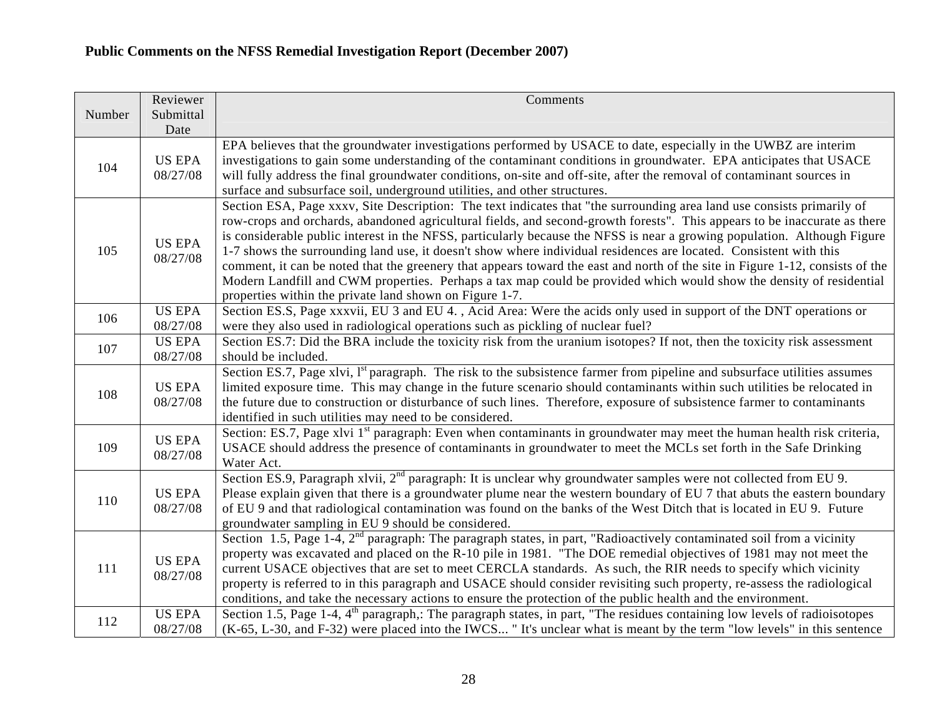|        | Reviewer                  | Comments                                                                                                                                                                                                                                                                                                                                                                                                                                                                                                                                                                                                                                                                                                                                                                                                                |
|--------|---------------------------|-------------------------------------------------------------------------------------------------------------------------------------------------------------------------------------------------------------------------------------------------------------------------------------------------------------------------------------------------------------------------------------------------------------------------------------------------------------------------------------------------------------------------------------------------------------------------------------------------------------------------------------------------------------------------------------------------------------------------------------------------------------------------------------------------------------------------|
| Number | Submittal<br>Date         |                                                                                                                                                                                                                                                                                                                                                                                                                                                                                                                                                                                                                                                                                                                                                                                                                         |
| 104    | <b>US EPA</b><br>08/27/08 | EPA believes that the groundwater investigations performed by USACE to date, especially in the UWBZ are interim<br>investigations to gain some understanding of the contaminant conditions in groundwater. EPA anticipates that USACE<br>will fully address the final groundwater conditions, on-site and off-site, after the removal of contaminant sources in<br>surface and subsurface soil, underground utilities, and other structures.                                                                                                                                                                                                                                                                                                                                                                            |
| 105    | <b>US EPA</b><br>08/27/08 | Section ESA, Page xxxv, Site Description: The text indicates that "the surrounding area land use consists primarily of<br>row-crops and orchards, abandoned agricultural fields, and second-growth forests". This appears to be inaccurate as there<br>is considerable public interest in the NFSS, particularly because the NFSS is near a growing population. Although Figure<br>1-7 shows the surrounding land use, it doesn't show where individual residences are located. Consistent with this<br>comment, it can be noted that the greenery that appears toward the east and north of the site in Figure 1-12, consists of the<br>Modern Landfill and CWM properties. Perhaps a tax map could be provided which would show the density of residential<br>properties within the private land shown on Figure 1-7. |
| 106    | <b>US EPA</b><br>08/27/08 | Section ES.S, Page xxxvii, EU 3 and EU 4., Acid Area: Were the acids only used in support of the DNT operations or<br>were they also used in radiological operations such as pickling of nuclear fuel?                                                                                                                                                                                                                                                                                                                                                                                                                                                                                                                                                                                                                  |
| 107    | <b>US EPA</b><br>08/27/08 | Section ES.7: Did the BRA include the toxicity risk from the uranium isotopes? If not, then the toxicity risk assessment<br>should be included.                                                                                                                                                                                                                                                                                                                                                                                                                                                                                                                                                                                                                                                                         |
| 108    | <b>US EPA</b><br>08/27/08 | Section ES.7, Page xlvi, I <sup>st</sup> paragraph. The risk to the subsistence farmer from pipeline and subsurface utilities assumes<br>limited exposure time. This may change in the future scenario should contaminants within such utilities be relocated in<br>the future due to construction or disturbance of such lines. Therefore, exposure of subsistence farmer to contaminants<br>identified in such utilities may need to be considered.                                                                                                                                                                                                                                                                                                                                                                   |
| 109    | <b>US EPA</b><br>08/27/08 | Section: ES.7, Page xlvi 1 <sup>st</sup> paragraph: Even when contaminants in groundwater may meet the human health risk criteria,<br>USACE should address the presence of contaminants in groundwater to meet the MCLs set forth in the Safe Drinking<br>Water Act.                                                                                                                                                                                                                                                                                                                                                                                                                                                                                                                                                    |
| 110    | <b>US EPA</b><br>08/27/08 | Section ES.9, Paragraph xlvii, 2 <sup>nd</sup> paragraph: It is unclear why groundwater samples were not collected from EU 9.<br>Please explain given that there is a groundwater plume near the western boundary of EU 7 that abuts the eastern boundary<br>of EU 9 and that radiological contamination was found on the banks of the West Ditch that is located in EU 9. Future<br>groundwater sampling in EU 9 should be considered.                                                                                                                                                                                                                                                                                                                                                                                 |
| 111    | <b>US EPA</b><br>08/27/08 | Section 1.5, Page 1-4, $2nd$ paragraph: The paragraph states, in part, "Radioactively contaminated soil from a vicinity<br>property was excavated and placed on the R-10 pile in 1981. "The DOE remedial objectives of 1981 may not meet the<br>current USACE objectives that are set to meet CERCLA standards. As such, the RIR needs to specify which vicinity<br>property is referred to in this paragraph and USACE should consider revisiting such property, re-assess the radiological<br>conditions, and take the necessary actions to ensure the protection of the public health and the environment.                                                                                                                                                                                                           |
| 112    | <b>US EPA</b><br>08/27/08 | Section 1.5, Page 1-4, $4th$ paragraph,: The paragraph states, in part, "The residues containing low levels of radioisotopes<br>(K-65, L-30, and F-32) were placed into the IWCS "It's unclear what is meant by the term "low levels" in this sentence                                                                                                                                                                                                                                                                                                                                                                                                                                                                                                                                                                  |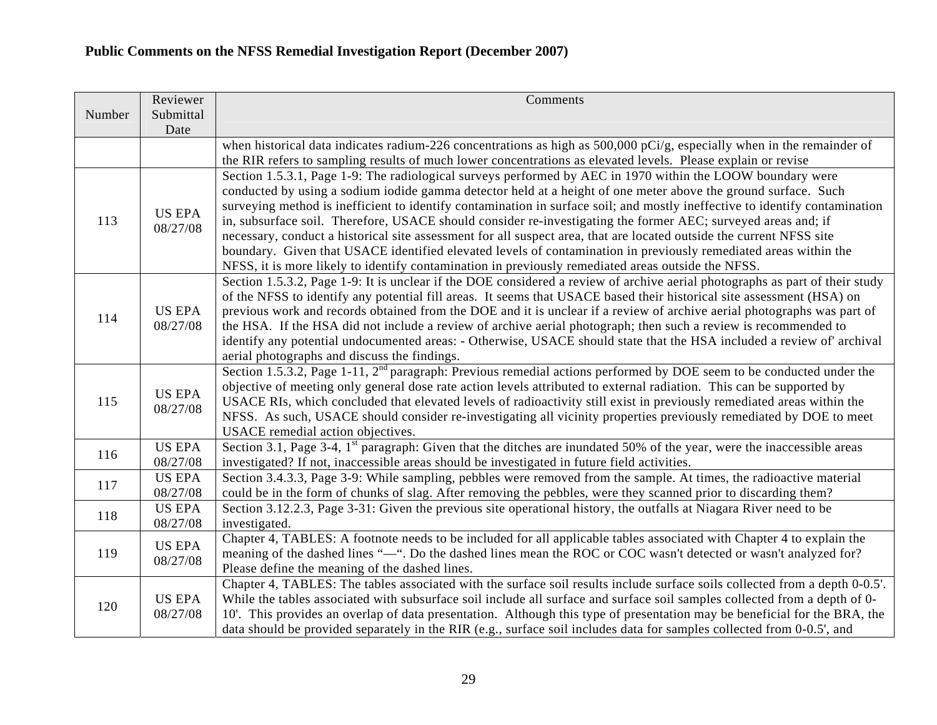|        | Reviewer                  | Comments                                                                                                                                                                                                               |
|--------|---------------------------|------------------------------------------------------------------------------------------------------------------------------------------------------------------------------------------------------------------------|
| Number | Submittal<br>Date         |                                                                                                                                                                                                                        |
|        |                           | when historical data indicates radium-226 concentrations as high as $500,000$ pCi/g, especially when in the remainder of                                                                                               |
|        |                           | the RIR refers to sampling results of much lower concentrations as elevated levels. Please explain or revise                                                                                                           |
|        |                           | Section 1.5.3.1, Page 1-9: The radiological surveys performed by AEC in 1970 within the LOOW boundary were                                                                                                             |
|        |                           | conducted by using a sodium iodide gamma detector held at a height of one meter above the ground surface. Such                                                                                                         |
|        | <b>US EPA</b>             | surveying method is inefficient to identify contamination in surface soil; and mostly ineffective to identify contamination                                                                                            |
| 113    | 08/27/08                  | in, subsurface soil. Therefore, USACE should consider re-investigating the former AEC; surveyed areas and; if                                                                                                          |
|        |                           | necessary, conduct a historical site assessment for all suspect area, that are located outside the current NFSS site                                                                                                   |
|        |                           | boundary. Given that USACE identified elevated levels of contamination in previously remediated areas within the<br>NFSS, it is more likely to identify contamination in previously remediated areas outside the NFSS. |
|        |                           | Section 1.5.3.2, Page 1-9: It is unclear if the DOE considered a review of archive aerial photographs as part of their study                                                                                           |
|        |                           | of the NFSS to identify any potential fill areas. It seems that USACE based their historical site assessment (HSA) on                                                                                                  |
|        | <b>US EPA</b>             | previous work and records obtained from the DOE and it is unclear if a review of archive aerial photographs was part of                                                                                                |
| 114    | 08/27/08                  | the HSA. If the HSA did not include a review of archive aerial photograph; then such a review is recommended to                                                                                                        |
|        |                           | identify any potential undocumented areas: - Otherwise, USACE should state that the HSA included a review of archival                                                                                                  |
|        |                           | aerial photographs and discuss the findings.                                                                                                                                                                           |
|        | <b>US EPA</b><br>08/27/08 | Section 1.5.3.2, Page 1-11, 2 <sup>nd</sup> paragraph: Previous remedial actions performed by DOE seem to be conducted under the                                                                                       |
|        |                           | objective of meeting only general dose rate action levels attributed to external radiation. This can be supported by                                                                                                   |
| 115    |                           | USACE RIs, which concluded that elevated levels of radioactivity still exist in previously remediated areas within the                                                                                                 |
|        |                           | NFSS. As such, USACE should consider re-investigating all vicinity properties previously remediated by DOE to meet                                                                                                     |
|        |                           | USACE remedial action objectives.                                                                                                                                                                                      |
| 116    | <b>US EPA</b>             | Section 3.1, Page 3-4, 1 <sup>st</sup> paragraph: Given that the ditches are inundated 50% of the year, were the inaccessible areas                                                                                    |
|        | 08/27/08<br><b>US EPA</b> | investigated? If not, inaccessible areas should be investigated in future field activities.<br>Section 3.4.3.3, Page 3-9: While sampling, pebbles were removed from the sample. At times, the radioactive material     |
| 117    | 08/27/08                  | could be in the form of chunks of slag. After removing the pebbles, were they scanned prior to discarding them?                                                                                                        |
|        | <b>US EPA</b>             | Section 3.12.2.3, Page 3-31: Given the previous site operational history, the outfalls at Niagara River need to be                                                                                                     |
| 118    | 08/27/08                  | investigated.                                                                                                                                                                                                          |
| 119    |                           | Chapter 4, TABLES: A footnote needs to be included for all applicable tables associated with Chapter 4 to explain the                                                                                                  |
|        | <b>US EPA</b>             | meaning of the dashed lines "-". Do the dashed lines mean the ROC or COC wasn't detected or wasn't analyzed for?                                                                                                       |
|        | 08/27/08                  | Please define the meaning of the dashed lines.                                                                                                                                                                         |
| 120    |                           | Chapter 4, TABLES: The tables associated with the surface soil results include surface soils collected from a depth 0-0.5'.                                                                                            |
|        | <b>US EPA</b><br>08/27/08 | While the tables associated with subsurface soil include all surface and surface soil samples collected from a depth of 0-                                                                                             |
|        |                           | 10'. This provides an overlap of data presentation. Although this type of presentation may be beneficial for the BRA, the                                                                                              |
|        |                           | data should be provided separately in the RIR (e.g., surface soil includes data for samples collected from 0-0.5', and                                                                                                 |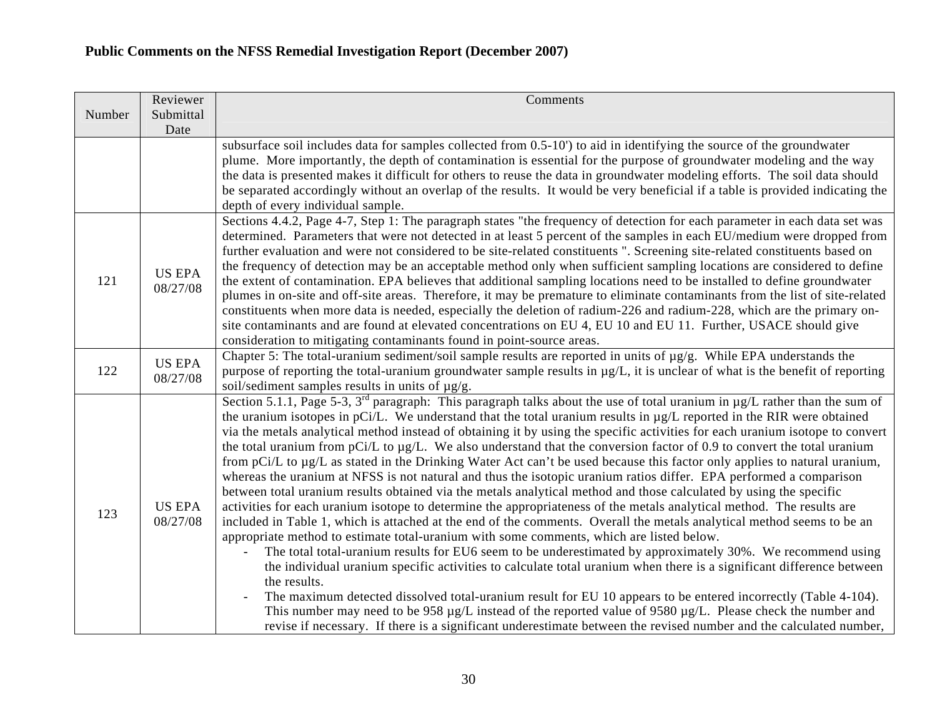|        | Reviewer                  | Comments                                                                                                                                                                                                                                                                                                                                                                                                                                                                                                                                                                                                                                                                                                                                                                                                                                                                                                                                                                                                                                                                                                                                                                                                                                                                                                                                                                                                                                                                                                                                                                                                                                                                                                                                                                                                                                                                    |
|--------|---------------------------|-----------------------------------------------------------------------------------------------------------------------------------------------------------------------------------------------------------------------------------------------------------------------------------------------------------------------------------------------------------------------------------------------------------------------------------------------------------------------------------------------------------------------------------------------------------------------------------------------------------------------------------------------------------------------------------------------------------------------------------------------------------------------------------------------------------------------------------------------------------------------------------------------------------------------------------------------------------------------------------------------------------------------------------------------------------------------------------------------------------------------------------------------------------------------------------------------------------------------------------------------------------------------------------------------------------------------------------------------------------------------------------------------------------------------------------------------------------------------------------------------------------------------------------------------------------------------------------------------------------------------------------------------------------------------------------------------------------------------------------------------------------------------------------------------------------------------------------------------------------------------------|
| Number | Submittal<br>Date         |                                                                                                                                                                                                                                                                                                                                                                                                                                                                                                                                                                                                                                                                                                                                                                                                                                                                                                                                                                                                                                                                                                                                                                                                                                                                                                                                                                                                                                                                                                                                                                                                                                                                                                                                                                                                                                                                             |
|        |                           | subsurface soil includes data for samples collected from 0.5-10') to aid in identifying the source of the groundwater<br>plume. More importantly, the depth of contamination is essential for the purpose of groundwater modeling and the way<br>the data is presented makes it difficult for others to reuse the data in groundwater modeling efforts. The soil data should<br>be separated accordingly without an overlap of the results. It would be very beneficial if a table is provided indicating the<br>depth of every individual sample.                                                                                                                                                                                                                                                                                                                                                                                                                                                                                                                                                                                                                                                                                                                                                                                                                                                                                                                                                                                                                                                                                                                                                                                                                                                                                                                          |
| 121    | <b>US EPA</b><br>08/27/08 | Sections 4.4.2, Page 4-7, Step 1: The paragraph states "the frequency of detection for each parameter in each data set was<br>determined. Parameters that were not detected in at least 5 percent of the samples in each EU/medium were dropped from<br>further evaluation and were not considered to be site-related constituents ". Screening site-related constituents based on<br>the frequency of detection may be an acceptable method only when sufficient sampling locations are considered to define<br>the extent of contamination. EPA believes that additional sampling locations need to be installed to define groundwater<br>plumes in on-site and off-site areas. Therefore, it may be premature to eliminate contaminants from the list of site-related<br>constituents when more data is needed, especially the deletion of radium-226 and radium-228, which are the primary on-<br>site contaminants and are found at elevated concentrations on EU 4, EU 10 and EU 11. Further, USACE should give<br>consideration to mitigating contaminants found in point-source areas.                                                                                                                                                                                                                                                                                                                                                                                                                                                                                                                                                                                                                                                                                                                                                                              |
| 122    | <b>US EPA</b><br>08/27/08 | Chapter 5: The total-uranium sediment/soil sample results are reported in units of $\mu$ g/g. While EPA understands the<br>purpose of reporting the total-uranium groundwater sample results in $\mu g/L$ , it is unclear of what is the benefit of reporting<br>soil/sediment samples results in units of $\mu$ g/g.                                                                                                                                                                                                                                                                                                                                                                                                                                                                                                                                                                                                                                                                                                                                                                                                                                                                                                                                                                                                                                                                                                                                                                                                                                                                                                                                                                                                                                                                                                                                                       |
| 123    | <b>US EPA</b><br>08/27/08 | Section 5.1.1, Page 5-3, $3^{rd}$ paragraph: This paragraph talks about the use of total uranium in $\mu$ g/L rather than the sum of<br>the uranium isotopes in pCi/L. We understand that the total uranium results in µg/L reported in the RIR were obtained<br>via the metals analytical method instead of obtaining it by using the specific activities for each uranium isotope to convert<br>the total uranium from $pCi/L$ to $\mu g/L$ . We also understand that the conversion factor of 0.9 to convert the total uranium<br>from pCi/L to $\mu$ g/L as stated in the Drinking Water Act can't be used because this factor only applies to natural uranium,<br>whereas the uranium at NFSS is not natural and thus the isotopic uranium ratios differ. EPA performed a comparison<br>between total uranium results obtained via the metals analytical method and those calculated by using the specific<br>activities for each uranium isotope to determine the appropriateness of the metals analytical method. The results are<br>included in Table 1, which is attached at the end of the comments. Overall the metals analytical method seems to be an<br>appropriate method to estimate total-uranium with some comments, which are listed below.<br>The total total-uranium results for EU6 seem to be underestimated by approximately 30%. We recommend using<br>the individual uranium specific activities to calculate total uranium when there is a significant difference between<br>the results.<br>The maximum detected dissolved total-uranium result for EU 10 appears to be entered incorrectly (Table 4-104).<br>This number may need to be 958 µg/L instead of the reported value of 9580 µg/L. Please check the number and<br>revise if necessary. If there is a significant underestimate between the revised number and the calculated number, |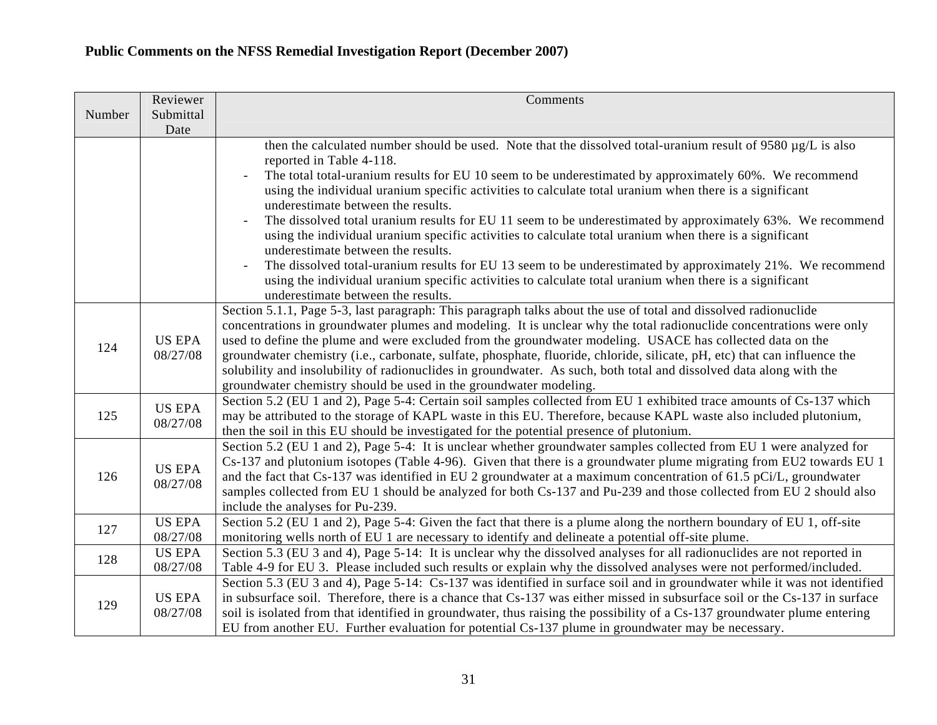|        | Reviewer                  | Comments                                                                                                                                      |
|--------|---------------------------|-----------------------------------------------------------------------------------------------------------------------------------------------|
| Number | Submittal                 |                                                                                                                                               |
|        | Date                      |                                                                                                                                               |
|        |                           | then the calculated number should be used. Note that the dissolved total-uranium result of 9580 $\mu$ g/L is also                             |
|        |                           | reported in Table 4-118.                                                                                                                      |
|        |                           | The total total-uranium results for EU 10 seem to be underestimated by approximately 60%. We recommend                                        |
|        |                           | using the individual uranium specific activities to calculate total uranium when there is a significant                                       |
|        |                           | underestimate between the results.                                                                                                            |
|        |                           | The dissolved total uranium results for EU 11 seem to be underestimated by approximately 63%. We recommend                                    |
|        |                           | using the individual uranium specific activities to calculate total uranium when there is a significant<br>underestimate between the results. |
|        |                           | The dissolved total-uranium results for EU 13 seem to be underestimated by approximately 21%. We recommend                                    |
|        |                           | using the individual uranium specific activities to calculate total uranium when there is a significant                                       |
|        |                           | underestimate between the results.                                                                                                            |
|        |                           | Section 5.1.1, Page 5-3, last paragraph: This paragraph talks about the use of total and dissolved radionuclide                               |
|        | <b>US EPA</b><br>08/27/08 | concentrations in groundwater plumes and modeling. It is unclear why the total radionuclide concentrations were only                          |
|        |                           | used to define the plume and were excluded from the groundwater modeling. USACE has collected data on the                                     |
| 124    |                           | groundwater chemistry (i.e., carbonate, sulfate, phosphate, fluoride, chloride, silicate, pH, etc) that can influence the                     |
|        |                           | solubility and insolubility of radionuclides in groundwater. As such, both total and dissolved data along with the                            |
|        |                           | groundwater chemistry should be used in the groundwater modeling.                                                                             |
|        | <b>US EPA</b><br>08/27/08 | Section 5.2 (EU 1 and 2), Page 5-4: Certain soil samples collected from EU 1 exhibited trace amounts of Cs-137 which                          |
| 125    |                           | may be attributed to the storage of KAPL waste in this EU. Therefore, because KAPL waste also included plutonium,                             |
|        |                           | then the soil in this EU should be investigated for the potential presence of plutonium.                                                      |
|        |                           | Section 5.2 (EU 1 and 2), Page 5-4: It is unclear whether groundwater samples collected from EU 1 were analyzed for                           |
|        | <b>US EPA</b><br>08/27/08 | Cs-137 and plutonium isotopes (Table 4-96). Given that there is a groundwater plume migrating from EU2 towards EU 1                           |
| 126    |                           | and the fact that Cs-137 was identified in EU 2 groundwater at a maximum concentration of 61.5 pCi/L, groundwater                             |
|        |                           | samples collected from EU 1 should be analyzed for both Cs-137 and Pu-239 and those collected from EU 2 should also                           |
|        |                           | include the analyses for Pu-239.                                                                                                              |
| 127    | <b>US EPA</b>             | Section 5.2 (EU 1 and 2), Page 5-4: Given the fact that there is a plume along the northern boundary of EU 1, off-site                        |
|        | 08/27/08                  | monitoring wells north of EU 1 are necessary to identify and delineate a potential off-site plume.                                            |
| 128    | <b>US EPA</b>             | Section 5.3 (EU 3 and 4), Page 5-14: It is unclear why the dissolved analyses for all radionuclides are not reported in                       |
|        | 08/27/08                  | Table 4-9 for EU 3. Please included such results or explain why the dissolved analyses were not performed/included.                           |
| 129    |                           | Section 5.3 (EU 3 and 4), Page 5-14: Cs-137 was identified in surface soil and in groundwater while it was not identified                     |
|        | <b>US EPA</b>             | in subsurface soil. Therefore, there is a chance that Cs-137 was either missed in subsurface soil or the Cs-137 in surface                    |
|        | 08/27/08                  | soil is isolated from that identified in groundwater, thus raising the possibility of a Cs-137 groundwater plume entering                     |
|        |                           | EU from another EU. Further evaluation for potential Cs-137 plume in groundwater may be necessary.                                            |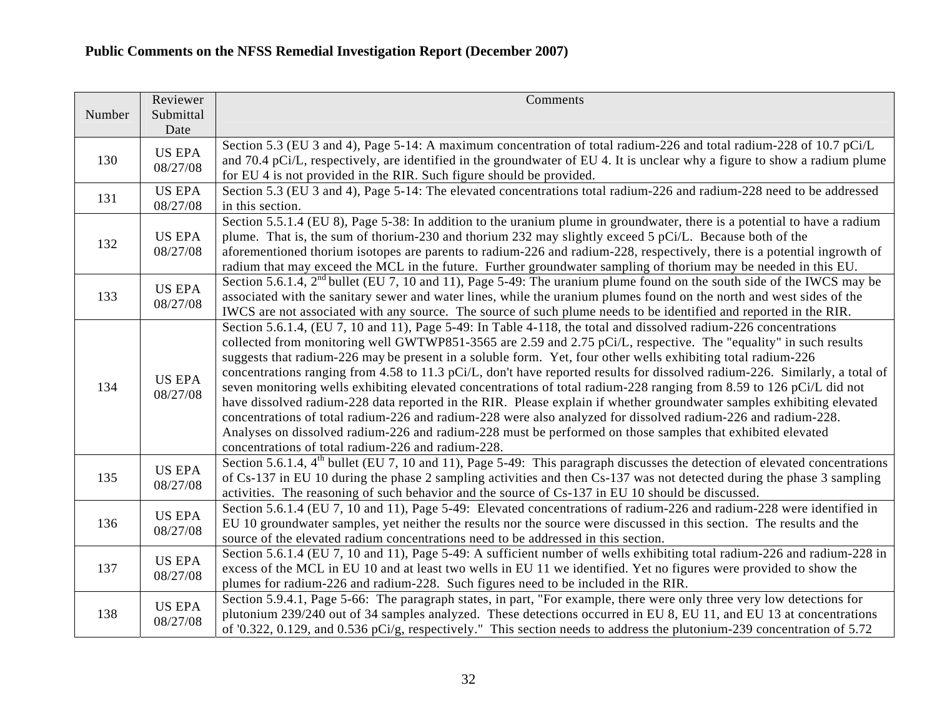|        | Reviewer                  | Comments                                                                                                                                                                                                                                              |
|--------|---------------------------|-------------------------------------------------------------------------------------------------------------------------------------------------------------------------------------------------------------------------------------------------------|
| Number | Submittal                 |                                                                                                                                                                                                                                                       |
|        | Date                      | Section 5.3 (EU 3 and 4), Page 5-14: A maximum concentration of total radium-226 and total radium-228 of 10.7 pCi/L                                                                                                                                   |
| 130    | <b>US EPA</b>             | and 70.4 pCi/L, respectively, are identified in the groundwater of EU 4. It is unclear why a figure to show a radium plume                                                                                                                            |
|        | 08/27/08                  | for EU 4 is not provided in the RIR. Such figure should be provided.                                                                                                                                                                                  |
| 131    | <b>US EPA</b>             | Section 5.3 (EU 3 and 4), Page 5-14: The elevated concentrations total radium-226 and radium-228 need to be addressed                                                                                                                                 |
|        | 08/27/08                  | in this section.                                                                                                                                                                                                                                      |
|        |                           | Section 5.5.1.4 (EU 8), Page 5-38: In addition to the uranium plume in groundwater, there is a potential to have a radium                                                                                                                             |
| 132    | <b>US EPA</b>             | plume. That is, the sum of thorium-230 and thorium 232 may slightly exceed 5 pCi/L. Because both of the                                                                                                                                               |
|        | 08/27/08                  | aforementioned thorium isotopes are parents to radium-226 and radium-228, respectively, there is a potential ingrowth of                                                                                                                              |
|        |                           | radium that may exceed the MCL in the future. Further groundwater sampling of thorium may be needed in this EU.<br>Section 5.6.1.4, 2 <sup>nd</sup> bullet (EU 7, 10 and 11), Page 5-49: The uranium plume found on the south side of the IWCS may be |
| 133    | <b>US EPA</b>             | associated with the sanitary sewer and water lines, while the uranium plumes found on the north and west sides of the                                                                                                                                 |
|        | 08/27/08                  | IWCS are not associated with any source. The source of such plume needs to be identified and reported in the RIR.                                                                                                                                     |
|        |                           | Section 5.6.1.4, (EU 7, 10 and 11), Page 5-49: In Table 4-118, the total and dissolved radium-226 concentrations                                                                                                                                      |
|        |                           | collected from monitoring well GWTWP851-3565 are 2.59 and 2.75 pCi/L, respective. The "equality" in such results                                                                                                                                      |
|        |                           | suggests that radium-226 may be present in a soluble form. Yet, four other wells exhibiting total radium-226                                                                                                                                          |
|        | <b>US EPA</b><br>08/27/08 | concentrations ranging from 4.58 to 11.3 pCi/L, don't have reported results for dissolved radium-226. Similarly, a total of                                                                                                                           |
| 134    |                           | seven monitoring wells exhibiting elevated concentrations of total radium-228 ranging from 8.59 to 126 pCi/L did not                                                                                                                                  |
|        |                           | have dissolved radium-228 data reported in the RIR. Please explain if whether groundwater samples exhibiting elevated                                                                                                                                 |
|        |                           | concentrations of total radium-226 and radium-228 were also analyzed for dissolved radium-226 and radium-228.                                                                                                                                         |
|        |                           | Analyses on dissolved radium-226 and radium-228 must be performed on those samples that exhibited elevated                                                                                                                                            |
|        |                           | concentrations of total radium-226 and radium-228.                                                                                                                                                                                                    |
| 135    | <b>US EPA</b><br>08/27/08 | Section 5.6.1.4, 4 <sup>th</sup> bullet (EU 7, 10 and 11), Page 5-49: This paragraph discusses the detection of elevated concentrations                                                                                                               |
|        |                           | of Cs-137 in EU 10 during the phase 2 sampling activities and then Cs-137 was not detected during the phase 3 sampling<br>activities. The reasoning of such behavior and the source of Cs-137 in EU 10 should be discussed.                           |
|        |                           | Section 5.6.1.4 (EU 7, 10 and 11), Page 5-49: Elevated concentrations of radium-226 and radium-228 were identified in                                                                                                                                 |
| 136    | <b>US EPA</b>             | EU 10 groundwater samples, yet neither the results nor the source were discussed in this section. The results and the                                                                                                                                 |
|        | 08/27/08                  | source of the elevated radium concentrations need to be addressed in this section.                                                                                                                                                                    |
| 137    |                           | Section 5.6.1.4 (EU 7, 10 and 11), Page 5-49: A sufficient number of wells exhibiting total radium-226 and radium-228 in                                                                                                                              |
|        | <b>US EPA</b><br>08/27/08 | excess of the MCL in EU 10 and at least two wells in EU 11 we identified. Yet no figures were provided to show the                                                                                                                                    |
|        |                           | plumes for radium-226 and radium-228. Such figures need to be included in the RIR.                                                                                                                                                                    |
| 138    | <b>US EPA</b>             | Section 5.9.4.1, Page 5-66: The paragraph states, in part, "For example, there were only three very low detections for                                                                                                                                |
|        | 08/27/08                  | plutonium 239/240 out of 34 samples analyzed. These detections occurred in EU 8, EU 11, and EU 13 at concentrations                                                                                                                                   |
|        |                           | of '0.322, 0.129, and 0.536 pCi/g, respectively." This section needs to address the plutonium-239 concentration of 5.72                                                                                                                               |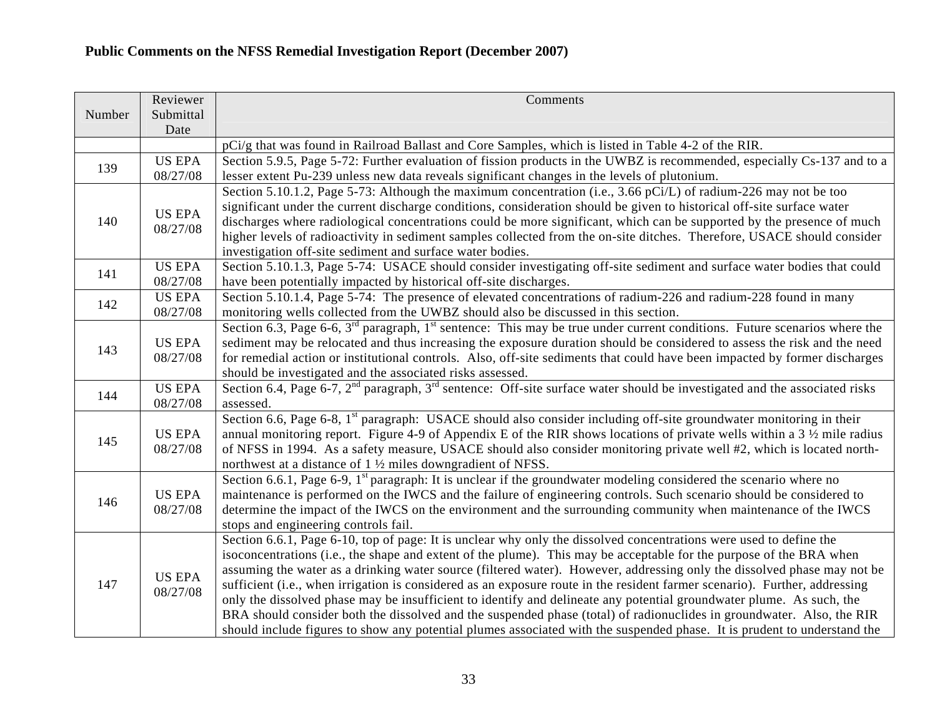|        | Reviewer                  | Comments                                                                                                                                                                                                                                                                                                                                                                                                                                                                                                                                                                                                                                                                                                                                                                                                                                                                        |
|--------|---------------------------|---------------------------------------------------------------------------------------------------------------------------------------------------------------------------------------------------------------------------------------------------------------------------------------------------------------------------------------------------------------------------------------------------------------------------------------------------------------------------------------------------------------------------------------------------------------------------------------------------------------------------------------------------------------------------------------------------------------------------------------------------------------------------------------------------------------------------------------------------------------------------------|
| Number | Submittal<br>Date         |                                                                                                                                                                                                                                                                                                                                                                                                                                                                                                                                                                                                                                                                                                                                                                                                                                                                                 |
|        |                           | pCi/g that was found in Railroad Ballast and Core Samples, which is listed in Table 4-2 of the RIR.                                                                                                                                                                                                                                                                                                                                                                                                                                                                                                                                                                                                                                                                                                                                                                             |
| 139    | <b>US EPA</b><br>08/27/08 | Section 5.9.5, Page 5-72: Further evaluation of fission products in the UWBZ is recommended, especially Cs-137 and to a<br>lesser extent Pu-239 unless new data reveals significant changes in the levels of plutonium.                                                                                                                                                                                                                                                                                                                                                                                                                                                                                                                                                                                                                                                         |
| 140    | <b>US EPA</b><br>08/27/08 | Section 5.10.1.2, Page 5-73: Although the maximum concentration (i.e., 3.66 pCi/L) of radium-226 may not be too<br>significant under the current discharge conditions, consideration should be given to historical off-site surface water<br>discharges where radiological concentrations could be more significant, which can be supported by the presence of much<br>higher levels of radioactivity in sediment samples collected from the on-site ditches. Therefore, USACE should consider<br>investigation off-site sediment and surface water bodies.                                                                                                                                                                                                                                                                                                                     |
| 141    | <b>US EPA</b><br>08/27/08 | Section 5.10.1.3, Page 5-74: USACE should consider investigating off-site sediment and surface water bodies that could<br>have been potentially impacted by historical off-site discharges.                                                                                                                                                                                                                                                                                                                                                                                                                                                                                                                                                                                                                                                                                     |
| 142    | <b>US EPA</b><br>08/27/08 | Section 5.10.1.4, Page 5-74: The presence of elevated concentrations of radium-226 and radium-228 found in many<br>monitoring wells collected from the UWBZ should also be discussed in this section.                                                                                                                                                                                                                                                                                                                                                                                                                                                                                                                                                                                                                                                                           |
| 143    | <b>US EPA</b><br>08/27/08 | Section 6.3, Page 6-6, $3^{rd}$ paragraph, $1^{st}$ sentence: This may be true under current conditions. Future scenarios where the<br>sediment may be relocated and thus increasing the exposure duration should be considered to assess the risk and the need<br>for remedial action or institutional controls. Also, off-site sediments that could have been impacted by former discharges<br>should be investigated and the associated risks assessed.                                                                                                                                                                                                                                                                                                                                                                                                                      |
| 144    | <b>US EPA</b><br>08/27/08 | Section 6.4, Page 6-7, 2 <sup>nd</sup> paragraph, 3 <sup>rd</sup> sentence: Off-site surface water should be investigated and the associated risks<br>assessed.                                                                                                                                                                                                                                                                                                                                                                                                                                                                                                                                                                                                                                                                                                                 |
| 145    | <b>US EPA</b><br>08/27/08 | Section 6.6, Page 6-8, 1 <sup>st</sup> paragraph: USACE should also consider including off-site groundwater monitoring in their<br>annual monitoring report. Figure 4-9 of Appendix E of the RIR shows locations of private wells within a 3 1/2 mile radius<br>of NFSS in 1994. As a safety measure, USACE should also consider monitoring private well #2, which is located north-<br>northwest at a distance of 1 1/2 miles downgradient of NFSS.                                                                                                                                                                                                                                                                                                                                                                                                                            |
| 146    | <b>US EPA</b><br>08/27/08 | Section 6.6.1, Page 6-9, $1st$ paragraph: It is unclear if the groundwater modeling considered the scenario where no<br>maintenance is performed on the IWCS and the failure of engineering controls. Such scenario should be considered to<br>determine the impact of the IWCS on the environment and the surrounding community when maintenance of the IWCS<br>stops and engineering controls fail.                                                                                                                                                                                                                                                                                                                                                                                                                                                                           |
| 147    | <b>US EPA</b><br>08/27/08 | Section 6.6.1, Page 6-10, top of page: It is unclear why only the dissolved concentrations were used to define the<br>isoconcentrations (i.e., the shape and extent of the plume). This may be acceptable for the purpose of the BRA when<br>assuming the water as a drinking water source (filtered water). However, addressing only the dissolved phase may not be<br>sufficient (i.e., when irrigation is considered as an exposure route in the resident farmer scenario). Further, addressing<br>only the dissolved phase may be insufficient to identify and delineate any potential groundwater plume. As such, the<br>BRA should consider both the dissolved and the suspended phase (total) of radionuclides in groundwater. Also, the RIR<br>should include figures to show any potential plumes associated with the suspended phase. It is prudent to understand the |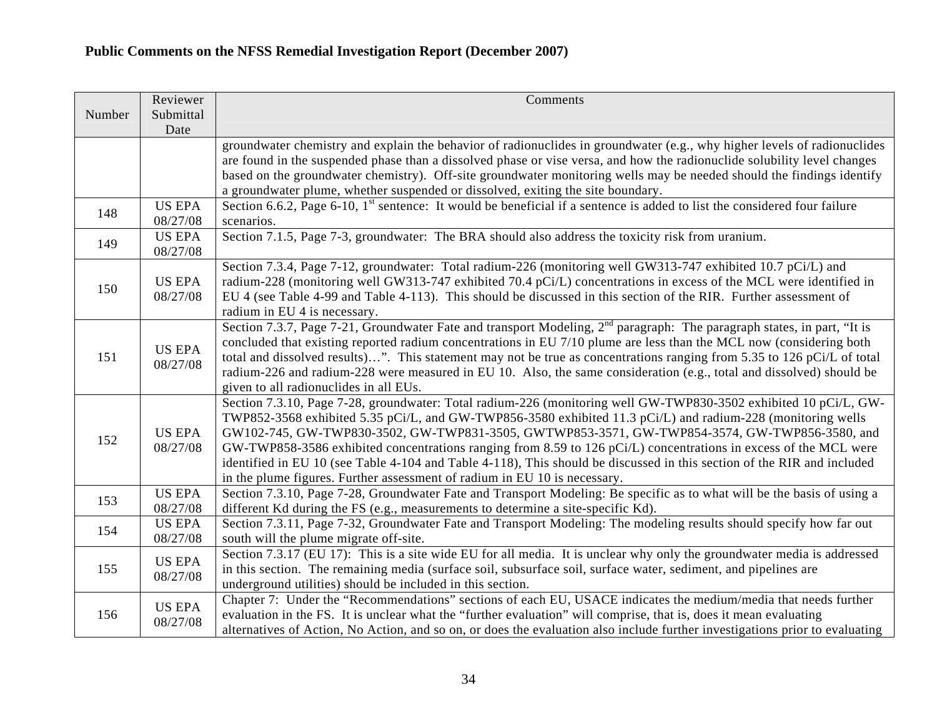|        | Reviewer                  | Comments                                                                                                                                                                                                                                                                                                                                                                                                                                                                                                                                                                                                                                                     |
|--------|---------------------------|--------------------------------------------------------------------------------------------------------------------------------------------------------------------------------------------------------------------------------------------------------------------------------------------------------------------------------------------------------------------------------------------------------------------------------------------------------------------------------------------------------------------------------------------------------------------------------------------------------------------------------------------------------------|
| Number | Submittal<br>Date         |                                                                                                                                                                                                                                                                                                                                                                                                                                                                                                                                                                                                                                                              |
|        |                           | groundwater chemistry and explain the behavior of radionuclides in groundwater (e.g., why higher levels of radionuclides<br>are found in the suspended phase than a dissolved phase or vise versa, and how the radionuclide solubility level changes<br>based on the groundwater chemistry). Off-site groundwater monitoring wells may be needed should the findings identify<br>a groundwater plume, whether suspended or dissolved, exiting the site boundary.                                                                                                                                                                                             |
| 148    | <b>US EPA</b><br>08/27/08 | Section 6.6.2, Page 6-10, 1 <sup>st</sup> sentence: It would be beneficial if a sentence is added to list the considered four failure<br>scenarios.                                                                                                                                                                                                                                                                                                                                                                                                                                                                                                          |
| 149    | <b>US EPA</b><br>08/27/08 | Section 7.1.5, Page 7-3, groundwater: The BRA should also address the toxicity risk from uranium.                                                                                                                                                                                                                                                                                                                                                                                                                                                                                                                                                            |
| 150    | <b>US EPA</b><br>08/27/08 | Section 7.3.4, Page 7-12, groundwater: Total radium-226 (monitoring well GW313-747 exhibited 10.7 pCi/L) and<br>radium-228 (monitoring well GW313-747 exhibited 70.4 pCi/L) concentrations in excess of the MCL were identified in<br>EU 4 (see Table 4-99 and Table 4-113). This should be discussed in this section of the RIR. Further assessment of<br>radium in EU 4 is necessary.                                                                                                                                                                                                                                                                      |
| 151    | <b>US EPA</b><br>08/27/08 | Section 7.3.7, Page 7-21, Groundwater Fate and transport Modeling, 2 <sup>nd</sup> paragraph: The paragraph states, in part, "It is<br>concluded that existing reported radium concentrations in EU 7/10 plume are less than the MCL now (considering both<br>total and dissolved results)". This statement may not be true as concentrations ranging from 5.35 to 126 pCi/L of total<br>radium-226 and radium-228 were measured in EU 10. Also, the same consideration (e.g., total and dissolved) should be<br>given to all radionuclides in all EUs.                                                                                                      |
| 152    | <b>US EPA</b><br>08/27/08 | Section 7.3.10, Page 7-28, groundwater: Total radium-226 (monitoring well GW-TWP830-3502 exhibited 10 pCi/L, GW-<br>TWP852-3568 exhibited 5.35 pCi/L, and GW-TWP856-3580 exhibited 11.3 pCi/L) and radium-228 (monitoring wells<br>GW102-745, GW-TWP830-3502, GW-TWP831-3505, GWTWP853-3571, GW-TWP854-3574, GW-TWP856-3580, and<br>GW-TWP858-3586 exhibited concentrations ranging from 8.59 to 126 pCi/L) concentrations in excess of the MCL were<br>identified in EU 10 (see Table 4-104 and Table 4-118), This should be discussed in this section of the RIR and included<br>in the plume figures. Further assessment of radium in EU 10 is necessary. |
| 153    | <b>US EPA</b><br>08/27/08 | Section 7.3.10, Page 7-28, Groundwater Fate and Transport Modeling: Be specific as to what will be the basis of using a<br>different Kd during the FS (e.g., measurements to determine a site-specific Kd).                                                                                                                                                                                                                                                                                                                                                                                                                                                  |
| 154    | <b>US EPA</b><br>08/27/08 | Section 7.3.11, Page 7-32, Groundwater Fate and Transport Modeling: The modeling results should specify how far out<br>south will the plume migrate off-site.                                                                                                                                                                                                                                                                                                                                                                                                                                                                                                |
| 155    | <b>US EPA</b><br>08/27/08 | Section 7.3.17 (EU 17): This is a site wide EU for all media. It is unclear why only the groundwater media is addressed<br>in this section. The remaining media (surface soil, subsurface soil, surface water, sediment, and pipelines are<br>underground utilities) should be included in this section.                                                                                                                                                                                                                                                                                                                                                     |
| 156    | <b>US EPA</b><br>08/27/08 | Chapter 7: Under the "Recommendations" sections of each EU, USACE indicates the medium/media that needs further<br>evaluation in the FS. It is unclear what the "further evaluation" will comprise, that is, does it mean evaluating<br>alternatives of Action, No Action, and so on, or does the evaluation also include further investigations prior to evaluating                                                                                                                                                                                                                                                                                         |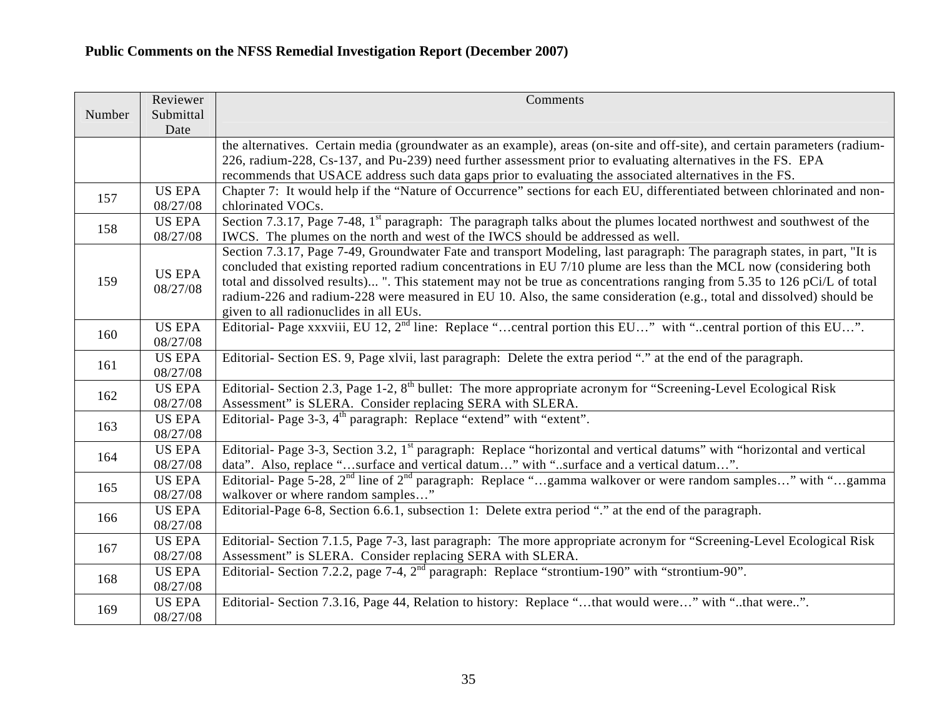|        | Reviewer      | Comments                                                                                                                             |
|--------|---------------|--------------------------------------------------------------------------------------------------------------------------------------|
| Number | Submittal     |                                                                                                                                      |
|        | Date          |                                                                                                                                      |
|        |               | the alternatives. Certain media (groundwater as an example), areas (on-site and off-site), and certain parameters (radium-           |
|        |               | 226, radium-228, Cs-137, and Pu-239) need further assessment prior to evaluating alternatives in the FS. EPA                         |
|        |               | recommends that USACE address such data gaps prior to evaluating the associated alternatives in the FS.                              |
| 157    | <b>US EPA</b> | Chapter 7: It would help if the "Nature of Occurrence" sections for each EU, differentiated between chlorinated and non-             |
|        | 08/27/08      | chlorinated VOCs.                                                                                                                    |
| 158    | <b>US EPA</b> | Section 7.3.17, Page 7-48, 1 <sup>st</sup> paragraph: The paragraph talks about the plumes located northwest and southwest of the    |
|        | 08/27/08      | IWCS. The plumes on the north and west of the IWCS should be addressed as well.                                                      |
|        |               | Section 7.3.17, Page 7-49, Groundwater Fate and transport Modeling, last paragraph: The paragraph states, in part, "It is            |
|        | <b>US EPA</b> | concluded that existing reported radium concentrations in EU 7/10 plume are less than the MCL now (considering both                  |
| 159    | 08/27/08      | total and dissolved results) ". This statement may not be true as concentrations ranging from 5.35 to 126 pCi/L of total             |
|        |               | radium-226 and radium-228 were measured in EU 10. Also, the same consideration (e.g., total and dissolved) should be                 |
|        |               | given to all radionuclides in all EUs.                                                                                               |
| 160    | <b>US EPA</b> | Editorial- Page xxxviii, EU 12, 2 <sup>nd</sup> line: Replace "central portion this EU" with "central portion of this EU".           |
|        | 08/27/08      |                                                                                                                                      |
| 161    | <b>US EPA</b> | Editorial- Section ES. 9, Page xlvii, last paragraph: Delete the extra period "" at the end of the paragraph.                        |
|        | 08/27/08      |                                                                                                                                      |
| 162    | <b>US EPA</b> | Editorial- Section 2.3, Page 1-2, 8 <sup>th</sup> bullet: The more appropriate acronym for "Screening-Level Ecological Risk          |
|        | 08/27/08      | Assessment" is SLERA. Consider replacing SERA with SLERA.                                                                            |
| 163    | <b>US EPA</b> | Editorial- Page 3-3, 4 <sup>th</sup> paragraph: Replace "extend" with "extent".                                                      |
|        | 08/27/08      |                                                                                                                                      |
| 164    | <b>US EPA</b> | Editorial- Page 3-3, Section 3.2, 1 <sup>st</sup> paragraph: Replace "horizontal and vertical datums" with "horizontal and vertical  |
|        | 08/27/08      | data". Also, replace "surface and vertical datum" with "surface and a vertical datum".                                               |
| 165    | <b>US EPA</b> | Editorial- Page 5-28, 2 <sup>nd</sup> line of 2 <sup>nd</sup> paragraph: Replace "gamma walkover or were random samples" with "gamma |
|        | 08/27/08      | walkover or where random samples"                                                                                                    |
| 166    | <b>US EPA</b> | Editorial-Page 6-8, Section 6.6.1, subsection 1: Delete extra period "" at the end of the paragraph.                                 |
|        | 08/27/08      |                                                                                                                                      |
| 167    | <b>US EPA</b> | Editorial- Section 7.1.5, Page 7-3, last paragraph: The more appropriate acronym for "Screening-Level Ecological Risk                |
|        | 08/27/08      | Assessment" is SLERA. Consider replacing SERA with SLERA.                                                                            |
| 168    | <b>US EPA</b> | Editorial- Section 7.2.2, page 7-4, 2 <sup>nd</sup> paragraph: Replace "strontium-190" with "strontium-90".                          |
|        | 08/27/08      |                                                                                                                                      |
| 169    | <b>US EPA</b> | Editorial- Section 7.3.16, Page 44, Relation to history: Replace "that would were" with "that were".                                 |
|        | 08/27/08      |                                                                                                                                      |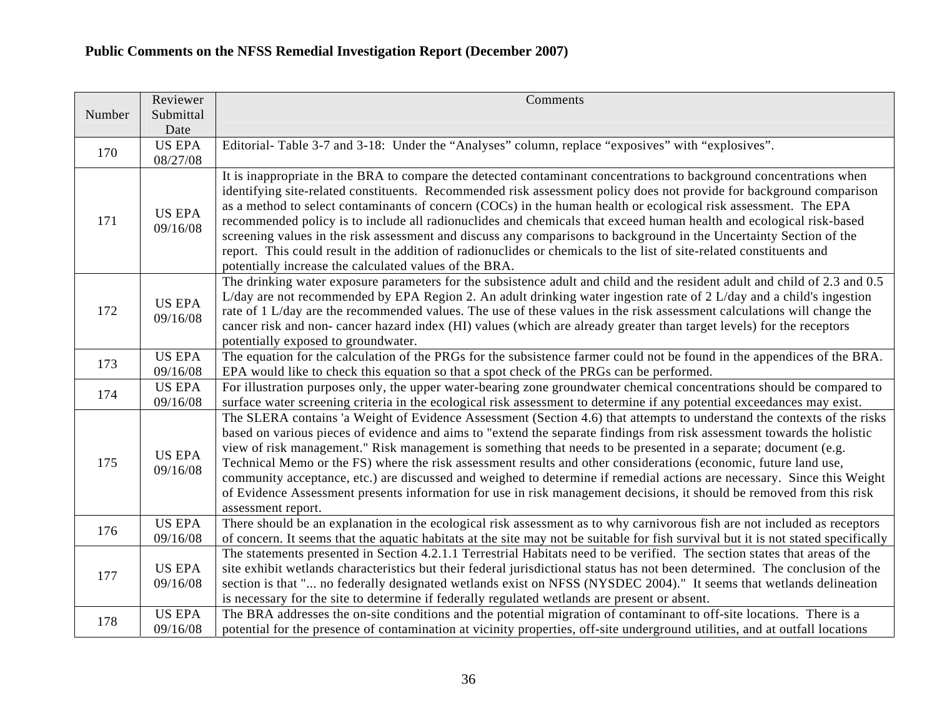| Number | Reviewer                  | Comments                                                                                                                                                                                                                                                                                                                                                                                                                                                                                                                                                                                                                                                                                                                                                                                       |
|--------|---------------------------|------------------------------------------------------------------------------------------------------------------------------------------------------------------------------------------------------------------------------------------------------------------------------------------------------------------------------------------------------------------------------------------------------------------------------------------------------------------------------------------------------------------------------------------------------------------------------------------------------------------------------------------------------------------------------------------------------------------------------------------------------------------------------------------------|
|        | Submittal<br>Date         |                                                                                                                                                                                                                                                                                                                                                                                                                                                                                                                                                                                                                                                                                                                                                                                                |
| 170    | <b>US EPA</b><br>08/27/08 | Editorial- Table 3-7 and 3-18: Under the "Analyses" column, replace "exposives" with "explosives".                                                                                                                                                                                                                                                                                                                                                                                                                                                                                                                                                                                                                                                                                             |
| 171    | <b>US EPA</b><br>09/16/08 | It is inappropriate in the BRA to compare the detected contaminant concentrations to background concentrations when<br>identifying site-related constituents. Recommended risk assessment policy does not provide for background comparison<br>as a method to select contaminants of concern (COCs) in the human health or ecological risk assessment. The EPA<br>recommended policy is to include all radionuclides and chemicals that exceed human health and ecological risk-based<br>screening values in the risk assessment and discuss any comparisons to background in the Uncertainty Section of the<br>report. This could result in the addition of radionuclides or chemicals to the list of site-related constituents and<br>potentially increase the calculated values of the BRA. |
| 172    | <b>US EPA</b><br>09/16/08 | The drinking water exposure parameters for the subsistence adult and child and the resident adult and child of 2.3 and 0.5<br>L/day are not recommended by EPA Region 2. An adult drinking water ingestion rate of 2 L/day and a child's ingestion<br>rate of 1 L/day are the recommended values. The use of these values in the risk assessment calculations will change the<br>cancer risk and non- cancer hazard index (HI) values (which are already greater than target levels) for the receptors<br>potentially exposed to groundwater.                                                                                                                                                                                                                                                  |
| 173    | <b>US EPA</b><br>09/16/08 | The equation for the calculation of the PRGs for the subsistence farmer could not be found in the appendices of the BRA.<br>EPA would like to check this equation so that a spot check of the PRGs can be performed.                                                                                                                                                                                                                                                                                                                                                                                                                                                                                                                                                                           |
| 174    | <b>US EPA</b><br>09/16/08 | For illustration purposes only, the upper water-bearing zone groundwater chemical concentrations should be compared to<br>surface water screening criteria in the ecological risk assessment to determine if any potential exceedances may exist.                                                                                                                                                                                                                                                                                                                                                                                                                                                                                                                                              |
| 175    | <b>US EPA</b><br>09/16/08 | The SLERA contains 'a Weight of Evidence Assessment (Section 4.6) that attempts to understand the contexts of the risks<br>based on various pieces of evidence and aims to "extend the separate findings from risk assessment towards the holistic<br>view of risk management." Risk management is something that needs to be presented in a separate; document (e.g.<br>Technical Memo or the FS) where the risk assessment results and other considerations (economic, future land use,<br>community acceptance, etc.) are discussed and weighed to determine if remedial actions are necessary. Since this Weight<br>of Evidence Assessment presents information for use in risk management decisions, it should be removed from this risk<br>assessment report.                            |
| 176    | <b>US EPA</b><br>09/16/08 | There should be an explanation in the ecological risk assessment as to why carnivorous fish are not included as receptors<br>of concern. It seems that the aquatic habitats at the site may not be suitable for fish survival but it is not stated specifically                                                                                                                                                                                                                                                                                                                                                                                                                                                                                                                                |
| 177    | <b>US EPA</b><br>09/16/08 | The statements presented in Section 4.2.1.1 Terrestrial Habitats need to be verified. The section states that areas of the<br>site exhibit wetlands characteristics but their federal jurisdictional status has not been determined. The conclusion of the<br>section is that " no federally designated wetlands exist on NFSS (NYSDEC 2004)." It seems that wetlands delineation<br>is necessary for the site to determine if federally regulated wetlands are present or absent.                                                                                                                                                                                                                                                                                                             |
| 178    | <b>US EPA</b><br>09/16/08 | The BRA addresses the on-site conditions and the potential migration of contaminant to off-site locations. There is a<br>potential for the presence of contamination at vicinity properties, off-site underground utilities, and at outfall locations                                                                                                                                                                                                                                                                                                                                                                                                                                                                                                                                          |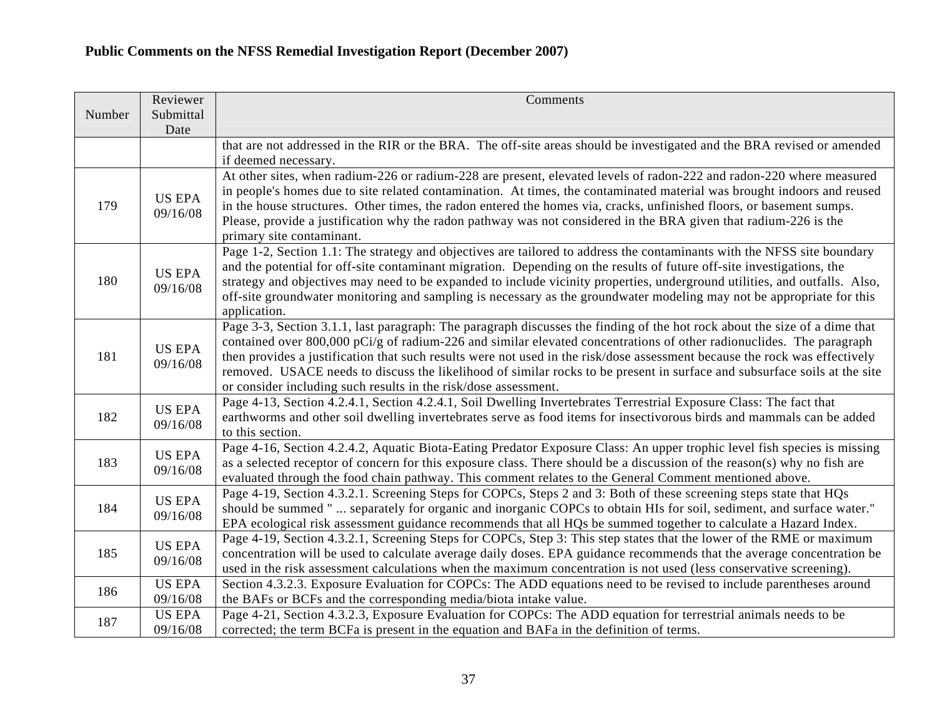|        | Reviewer                  | Comments                                                                                                                                                                                                                                                                                                                                                                                                                                                                                                                                                                         |
|--------|---------------------------|----------------------------------------------------------------------------------------------------------------------------------------------------------------------------------------------------------------------------------------------------------------------------------------------------------------------------------------------------------------------------------------------------------------------------------------------------------------------------------------------------------------------------------------------------------------------------------|
| Number | Submittal<br>Date         |                                                                                                                                                                                                                                                                                                                                                                                                                                                                                                                                                                                  |
|        |                           | that are not addressed in the RIR or the BRA. The off-site areas should be investigated and the BRA revised or amended<br>if deemed necessary.                                                                                                                                                                                                                                                                                                                                                                                                                                   |
| 179    | <b>US EPA</b><br>09/16/08 | At other sites, when radium-226 or radium-228 are present, elevated levels of radon-222 and radon-220 where measured<br>in people's homes due to site related contamination. At times, the contaminated material was brought indoors and reused<br>in the house structures. Other times, the radon entered the homes via, cracks, unfinished floors, or basement sumps.<br>Please, provide a justification why the radon pathway was not considered in the BRA given that radium-226 is the<br>primary site contaminant.                                                         |
| 180    | <b>US EPA</b><br>09/16/08 | Page 1-2, Section 1.1: The strategy and objectives are tailored to address the contaminants with the NFSS site boundary<br>and the potential for off-site contaminant migration. Depending on the results of future off-site investigations, the<br>strategy and objectives may need to be expanded to include vicinity properties, underground utilities, and outfalls. Also,<br>off-site groundwater monitoring and sampling is necessary as the groundwater modeling may not be appropriate for this<br>application.                                                          |
| 181    | <b>US EPA</b><br>09/16/08 | Page 3-3, Section 3.1.1, last paragraph: The paragraph discusses the finding of the hot rock about the size of a dime that<br>contained over 800,000 pCi/g of radium-226 and similar elevated concentrations of other radionuclides. The paragraph<br>then provides a justification that such results were not used in the risk/dose assessment because the rock was effectively<br>removed. USACE needs to discuss the likelihood of similar rocks to be present in surface and subsurface soils at the site<br>or consider including such results in the risk/dose assessment. |
| 182    | <b>US EPA</b><br>09/16/08 | Page 4-13, Section 4.2.4.1, Section 4.2.4.1, Soil Dwelling Invertebrates Terrestrial Exposure Class: The fact that<br>earthworms and other soil dwelling invertebrates serve as food items for insectivorous birds and mammals can be added<br>to this section.                                                                                                                                                                                                                                                                                                                  |
| 183    | <b>US EPA</b><br>09/16/08 | Page 4-16, Section 4.2.4.2, Aquatic Biota-Eating Predator Exposure Class: An upper trophic level fish species is missing<br>as a selected receptor of concern for this exposure class. There should be a discussion of the reason(s) why no fish are<br>evaluated through the food chain pathway. This comment relates to the General Comment mentioned above.                                                                                                                                                                                                                   |
| 184    | <b>US EPA</b><br>09/16/08 | Page 4-19, Section 4.3.2.1. Screening Steps for COPCs, Steps 2 and 3: Both of these screening steps state that HQs<br>should be summed "  separately for organic and inorganic COPCs to obtain HIs for soil, sediment, and surface water."<br>EPA ecological risk assessment guidance recommends that all HQs be summed together to calculate a Hazard Index.                                                                                                                                                                                                                    |
| 185    | <b>US EPA</b><br>09/16/08 | Page 4-19, Section 4.3.2.1, Screening Steps for COPCs, Step 3: This step states that the lower of the RME or maximum<br>concentration will be used to calculate average daily doses. EPA guidance recommends that the average concentration be<br>used in the risk assessment calculations when the maximum concentration is not used (less conservative screening).                                                                                                                                                                                                             |
| 186    | <b>US EPA</b><br>09/16/08 | Section 4.3.2.3. Exposure Evaluation for COPCs: The ADD equations need to be revised to include parentheses around<br>the BAFs or BCFs and the corresponding media/biota intake value.                                                                                                                                                                                                                                                                                                                                                                                           |
| 187    | <b>US EPA</b><br>09/16/08 | Page 4-21, Section 4.3.2.3, Exposure Evaluation for COPCs: The ADD equation for terrestrial animals needs to be<br>corrected; the term BCFa is present in the equation and BAFa in the definition of terms.                                                                                                                                                                                                                                                                                                                                                                      |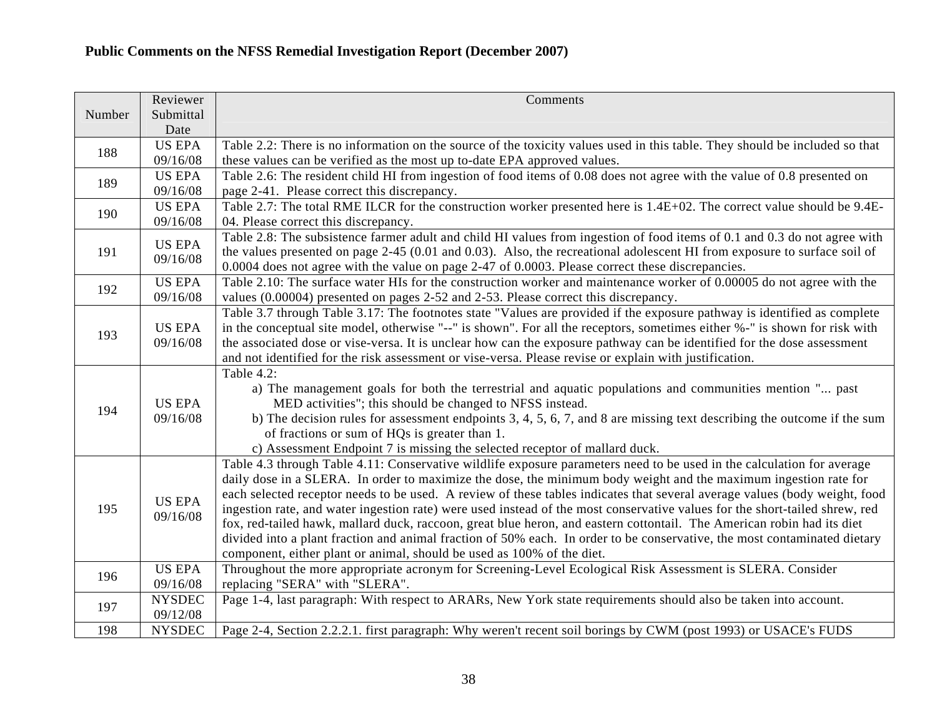|        | Reviewer          | Comments                                                                                                                                                                                                                                               |
|--------|-------------------|--------------------------------------------------------------------------------------------------------------------------------------------------------------------------------------------------------------------------------------------------------|
| Number | Submittal<br>Date |                                                                                                                                                                                                                                                        |
|        | US EPA            | Table 2.2: There is no information on the source of the toxicity values used in this table. They should be included so that                                                                                                                            |
| 188    | 09/16/08          | these values can be verified as the most up to-date EPA approved values.                                                                                                                                                                               |
|        | <b>US EPA</b>     | Table 2.6: The resident child HI from ingestion of food items of 0.08 does not agree with the value of 0.8 presented on                                                                                                                                |
| 189    | 09/16/08          | page 2-41. Please correct this discrepancy.                                                                                                                                                                                                            |
|        | <b>US EPA</b>     | Table 2.7: The total RME ILCR for the construction worker presented here is 1.4E+02. The correct value should be 9.4E-                                                                                                                                 |
| 190    | 09/16/08          | 04. Please correct this discrepancy.                                                                                                                                                                                                                   |
|        | <b>US EPA</b>     | Table 2.8: The subsistence farmer adult and child HI values from ingestion of food items of 0.1 and 0.3 do not agree with                                                                                                                              |
| 191    | 09/16/08          | the values presented on page 2-45 (0.01 and 0.03). Also, the recreational adolescent HI from exposure to surface soil of                                                                                                                               |
|        |                   | 0.0004 does not agree with the value on page 2-47 of 0.0003. Please correct these discrepancies.                                                                                                                                                       |
| 192    | <b>US EPA</b>     | Table 2.10: The surface water HIs for the construction worker and maintenance worker of 0.00005 do not agree with the                                                                                                                                  |
|        | 09/16/08          | values (0.00004) presented on pages 2-52 and 2-53. Please correct this discrepancy.                                                                                                                                                                    |
|        | <b>US EPA</b>     | Table 3.7 through Table 3.17: The footnotes state "Values are provided if the exposure pathway is identified as complete<br>in the conceptual site model, otherwise "--" is shown". For all the receptors, sometimes either %-" is shown for risk with |
| 193    | 09/16/08          | the associated dose or vise-versa. It is unclear how can the exposure pathway can be identified for the dose assessment                                                                                                                                |
|        |                   | and not identified for the risk assessment or vise-versa. Please revise or explain with justification.                                                                                                                                                 |
|        |                   | Table 4.2:                                                                                                                                                                                                                                             |
|        |                   | a) The management goals for both the terrestrial and aquatic populations and communities mention " past                                                                                                                                                |
| 194    | <b>US EPA</b>     | MED activities"; this should be changed to NFSS instead.                                                                                                                                                                                               |
|        | 09/16/08          | b) The decision rules for assessment endpoints $3, 4, 5, 6, 7$ , and $8$ are missing text describing the outcome if the sum                                                                                                                            |
|        |                   | of fractions or sum of HQs is greater than 1.                                                                                                                                                                                                          |
|        |                   | c) Assessment Endpoint 7 is missing the selected receptor of mallard duck.                                                                                                                                                                             |
|        |                   | Table 4.3 through Table 4.11: Conservative wildlife exposure parameters need to be used in the calculation for average                                                                                                                                 |
|        |                   | daily dose in a SLERA. In order to maximize the dose, the minimum body weight and the maximum ingestion rate for                                                                                                                                       |
|        | <b>US EPA</b>     | each selected receptor needs to be used. A review of these tables indicates that several average values (body weight, food                                                                                                                             |
| 195    | 09/16/08          | ingestion rate, and water ingestion rate) were used instead of the most conservative values for the short-tailed shrew, red                                                                                                                            |
|        |                   | fox, red-tailed hawk, mallard duck, raccoon, great blue heron, and eastern cottontail. The American robin had its diet<br>divided into a plant fraction and animal fraction of 50% each. In order to be conservative, the most contaminated dietary    |
|        |                   | component, either plant or animal, should be used as 100% of the diet.                                                                                                                                                                                 |
| 196    | <b>US EPA</b>     | Throughout the more appropriate acronym for Screening-Level Ecological Risk Assessment is SLERA. Consider                                                                                                                                              |
|        | 09/16/08          | replacing "SERA" with "SLERA".                                                                                                                                                                                                                         |
| 197    | <b>NYSDEC</b>     | Page 1-4, last paragraph: With respect to ARARs, New York state requirements should also be taken into account.                                                                                                                                        |
|        | 09/12/08          |                                                                                                                                                                                                                                                        |
| 198    | <b>NYSDEC</b>     | Page 2-4, Section 2.2.2.1. first paragraph: Why weren't recent soil borings by CWM (post 1993) or USACE's FUDS                                                                                                                                         |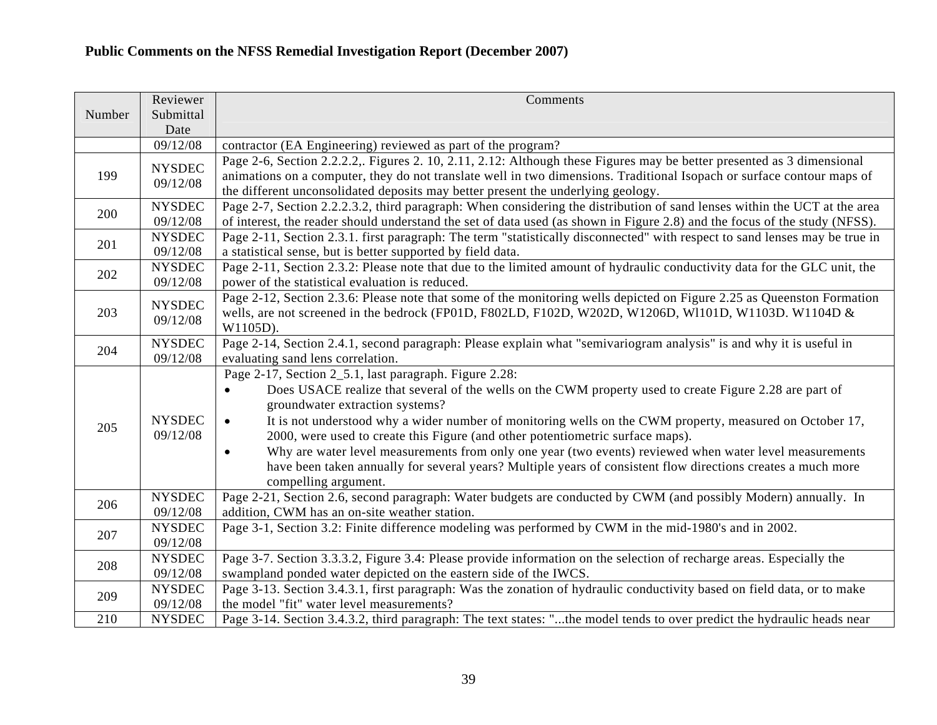|        | Reviewer                  | Comments                                                                                                                                                                                                                                                                                                                                                                                                                                                                                                                                             |
|--------|---------------------------|------------------------------------------------------------------------------------------------------------------------------------------------------------------------------------------------------------------------------------------------------------------------------------------------------------------------------------------------------------------------------------------------------------------------------------------------------------------------------------------------------------------------------------------------------|
| Number | Submittal<br>Date         |                                                                                                                                                                                                                                                                                                                                                                                                                                                                                                                                                      |
|        | 09/12/08                  | contractor (EA Engineering) reviewed as part of the program?                                                                                                                                                                                                                                                                                                                                                                                                                                                                                         |
| 199    | <b>NYSDEC</b><br>09/12/08 | Page 2-6, Section 2.2.2.2. Figures 2. 10, 2.11, 2.12: Although these Figures may be better presented as 3 dimensional<br>animations on a computer, they do not translate well in two dimensions. Traditional Isopach or surface contour maps of<br>the different unconsolidated deposits may better present the underlying geology.                                                                                                                                                                                                                  |
| 200    | <b>NYSDEC</b><br>09/12/08 | Page 2-7, Section 2.2.2.3.2, third paragraph: When considering the distribution of sand lenses within the UCT at the area<br>of interest, the reader should understand the set of data used (as shown in Figure 2.8) and the focus of the study (NFSS).                                                                                                                                                                                                                                                                                              |
| 201    | <b>NYSDEC</b><br>09/12/08 | Page 2-11, Section 2.3.1. first paragraph: The term "statistically disconnected" with respect to sand lenses may be true in<br>a statistical sense, but is better supported by field data.                                                                                                                                                                                                                                                                                                                                                           |
| 202    | <b>NYSDEC</b><br>09/12/08 | Page 2-11, Section 2.3.2: Please note that due to the limited amount of hydraulic conductivity data for the GLC unit, the<br>power of the statistical evaluation is reduced.                                                                                                                                                                                                                                                                                                                                                                         |
| 203    | <b>NYSDEC</b><br>09/12/08 | Page 2-12, Section 2.3.6: Please note that some of the monitoring wells depicted on Figure 2.25 as Queenston Formation<br>wells, are not screened in the bedrock (FP01D, F802LD, F102D, W202D, W1206D, W1101D, W1103D. W1104D &<br>W1105D).                                                                                                                                                                                                                                                                                                          |
| 204    | <b>NYSDEC</b><br>09/12/08 | Page 2-14, Section 2.4.1, second paragraph: Please explain what "semivariogram analysis" is and why it is useful in<br>evaluating sand lens correlation.                                                                                                                                                                                                                                                                                                                                                                                             |
| 205    | <b>NYSDEC</b><br>09/12/08 | Page 2-17, Section 2_5.1, last paragraph. Figure 2.28:<br>Does USACE realize that several of the wells on the CWM property used to create Figure 2.28 are part of<br>$\bullet$<br>groundwater extraction systems?<br>It is not understood why a wider number of monitoring wells on the CWM property, measured on October 17,<br>$\bullet$<br>2000, were used to create this Figure (and other potentiometric surface maps).<br>Why are water level measurements from only one year (two events) reviewed when water level measurements<br>$\bullet$ |
|        |                           | have been taken annually for several years? Multiple years of consistent flow directions creates a much more<br>compelling argument.                                                                                                                                                                                                                                                                                                                                                                                                                 |
| 206    | <b>NYSDEC</b><br>09/12/08 | Page 2-21, Section 2.6, second paragraph: Water budgets are conducted by CWM (and possibly Modern) annually. In<br>addition, CWM has an on-site weather station.                                                                                                                                                                                                                                                                                                                                                                                     |
| 207    | <b>NYSDEC</b><br>09/12/08 | Page 3-1, Section 3.2: Finite difference modeling was performed by CWM in the mid-1980's and in 2002.                                                                                                                                                                                                                                                                                                                                                                                                                                                |
| 208    | <b>NYSDEC</b><br>09/12/08 | Page 3-7. Section 3.3.3.2, Figure 3.4: Please provide information on the selection of recharge areas. Especially the<br>swampland ponded water depicted on the eastern side of the IWCS.                                                                                                                                                                                                                                                                                                                                                             |
| 209    | <b>NYSDEC</b><br>09/12/08 | Page 3-13. Section 3.4.3.1, first paragraph: Was the zonation of hydraulic conductivity based on field data, or to make<br>the model "fit" water level measurements?                                                                                                                                                                                                                                                                                                                                                                                 |
| 210    | <b>NYSDEC</b>             | Page 3-14. Section 3.4.3.2, third paragraph: The text states: "the model tends to over predict the hydraulic heads near                                                                                                                                                                                                                                                                                                                                                                                                                              |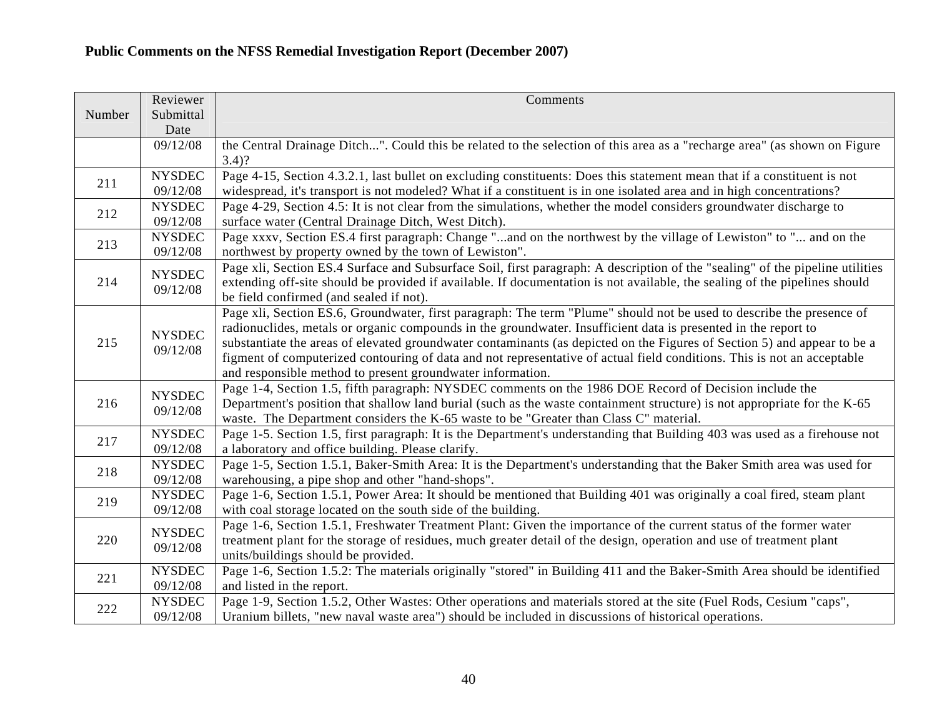|        | Reviewer                  | Comments                                                                                                                                                                   |
|--------|---------------------------|----------------------------------------------------------------------------------------------------------------------------------------------------------------------------|
| Number | Submittal                 |                                                                                                                                                                            |
|        | Date                      |                                                                                                                                                                            |
|        | 09/12/08                  | the Central Drainage Ditch". Could this be related to the selection of this area as a "recharge area" (as shown on Figure                                                  |
|        |                           | $3.4)$ ?                                                                                                                                                                   |
| 211    | <b>NYSDEC</b>             | Page 4-15, Section 4.3.2.1, last bullet on excluding constituents: Does this statement mean that if a constituent is not                                                   |
|        | 09/12/08                  | widespread, it's transport is not modeled? What if a constituent is in one isolated area and in high concentrations?                                                       |
| 212    | <b>NYSDEC</b>             | Page 4-29, Section 4.5: It is not clear from the simulations, whether the model considers groundwater discharge to                                                         |
|        | 09/12/08                  | surface water (Central Drainage Ditch, West Ditch).                                                                                                                        |
| 213    | <b>NYSDEC</b><br>09/12/08 | Page xxxv, Section ES.4 first paragraph: Change "and on the northwest by the village of Lewiston" to " and on the<br>northwest by property owned by the town of Lewiston". |
|        | <b>NYSDEC</b>             | Page xli, Section ES.4 Surface and Subsurface Soil, first paragraph: A description of the "sealing" of the pipeline utilities                                              |
| 214    | 09/12/08                  | extending off-site should be provided if available. If documentation is not available, the sealing of the pipelines should                                                 |
|        |                           | be field confirmed (and sealed if not).                                                                                                                                    |
|        |                           | Page xli, Section ES.6, Groundwater, first paragraph: The term "Plume" should not be used to describe the presence of                                                      |
|        | <b>NYSDEC</b>             | radionuclides, metals or organic compounds in the groundwater. Insufficient data is presented in the report to                                                             |
| 215    | 09/12/08                  | substantiate the areas of elevated groundwater contaminants (as depicted on the Figures of Section 5) and appear to be a                                                   |
|        |                           | figment of computerized contouring of data and not representative of actual field conditions. This is not an acceptable                                                    |
|        |                           | and responsible method to present groundwater information.                                                                                                                 |
|        | <b>NYSDEC</b><br>09/12/08 | Page 1-4, Section 1.5, fifth paragraph: NYSDEC comments on the 1986 DOE Record of Decision include the                                                                     |
| 216    |                           | Department's position that shallow land burial (such as the waste containment structure) is not appropriate for the K-65                                                   |
|        |                           | waste. The Department considers the K-65 waste to be "Greater than Class C" material.                                                                                      |
| 217    | <b>NYSDEC</b>             | Page 1-5. Section 1.5, first paragraph: It is the Department's understanding that Building 403 was used as a firehouse not                                                 |
|        | 09/12/08                  | a laboratory and office building. Please clarify.                                                                                                                          |
| 218    | <b>NYSDEC</b>             | Page 1-5, Section 1.5.1, Baker-Smith Area: It is the Department's understanding that the Baker Smith area was used for                                                     |
|        | 09/12/08                  | warehousing, a pipe shop and other "hand-shops".                                                                                                                           |
| 219    | <b>NYSDEC</b>             | Page 1-6, Section 1.5.1, Power Area: It should be mentioned that Building 401 was originally a coal fired, steam plant                                                     |
|        | 09/12/08                  | with coal storage located on the south side of the building.                                                                                                               |
| 220    | <b>NYSDEC</b>             | Page 1-6, Section 1.5.1, Freshwater Treatment Plant: Given the importance of the current status of the former water                                                        |
|        | 09/12/08                  | treatment plant for the storage of residues, much greater detail of the design, operation and use of treatment plant                                                       |
|        |                           | units/buildings should be provided.                                                                                                                                        |
| 221    | <b>NYSDEC</b>             | Page 1-6, Section 1.5.2: The materials originally "stored" in Building 411 and the Baker-Smith Area should be identified                                                   |
|        | 09/12/08                  | and listed in the report.                                                                                                                                                  |
| 222    | <b>NYSDEC</b>             | Page 1-9, Section 1.5.2, Other Wastes: Other operations and materials stored at the site (Fuel Rods, Cesium "caps",                                                        |
|        | 09/12/08                  | Uranium billets, "new naval waste area") should be included in discussions of historical operations.                                                                       |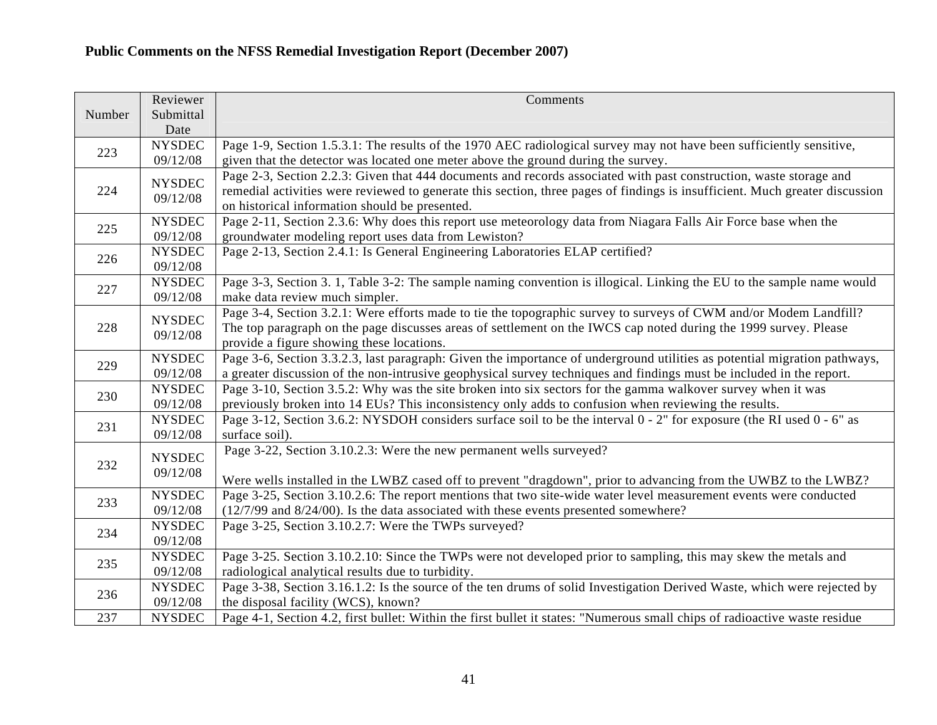|        | Reviewer      | Comments                                                                                                                     |
|--------|---------------|------------------------------------------------------------------------------------------------------------------------------|
| Number | Submittal     |                                                                                                                              |
|        | Date          |                                                                                                                              |
| 223    | <b>NYSDEC</b> | Page 1-9, Section 1.5.3.1: The results of the 1970 AEC radiological survey may not have been sufficiently sensitive,         |
|        | 09/12/08      | given that the detector was located one meter above the ground during the survey.                                            |
|        | <b>NYSDEC</b> | Page 2-3, Section 2.2.3: Given that 444 documents and records associated with past construction, waste storage and           |
| 224    | 09/12/08      | remedial activities were reviewed to generate this section, three pages of findings is insufficient. Much greater discussion |
|        |               | on historical information should be presented.                                                                               |
| 225    | <b>NYSDEC</b> | Page 2-11, Section 2.3.6: Why does this report use meteorology data from Niagara Falls Air Force base when the               |
|        | 09/12/08      | groundwater modeling report uses data from Lewiston?                                                                         |
| 226    | <b>NYSDEC</b> | Page 2-13, Section 2.4.1: Is General Engineering Laboratories ELAP certified?                                                |
|        | 09/12/08      |                                                                                                                              |
| 227    | <b>NYSDEC</b> | Page 3-3, Section 3. 1, Table 3-2: The sample naming convention is illogical. Linking the EU to the sample name would        |
|        | 09/12/08      | make data review much simpler.                                                                                               |
|        | <b>NYSDEC</b> | Page 3-4, Section 3.2.1: Were efforts made to tie the topographic survey to surveys of CWM and/or Modem Landfill?            |
| 228    | 09/12/08      | The top paragraph on the page discusses areas of settlement on the IWCS cap noted during the 1999 survey. Please             |
|        |               | provide a figure showing these locations.                                                                                    |
| 229    | <b>NYSDEC</b> | Page 3-6, Section 3.3.2.3, last paragraph: Given the importance of underground utilities as potential migration pathways,    |
|        | 09/12/08      | a greater discussion of the non-intrusive geophysical survey techniques and findings must be included in the report.         |
| 230    | <b>NYSDEC</b> | Page 3-10, Section 3.5.2: Why was the site broken into six sectors for the gamma walkover survey when it was                 |
|        | 09/12/08      | previously broken into 14 EUs? This inconsistency only adds to confusion when reviewing the results.                         |
| 231    | <b>NYSDEC</b> | Page 3-12, Section 3.6.2: NYSDOH considers surface soil to be the interval 0 - 2" for exposure (the RI used 0 - 6" as        |
|        | 09/12/08      | surface soil).                                                                                                               |
|        | <b>NYSDEC</b> | Page 3-22, Section 3.10.2.3: Were the new permanent wells surveyed?                                                          |
| 232    | 09/12/08      |                                                                                                                              |
|        |               | Were wells installed in the LWBZ cased off to prevent "dragdown", prior to advancing from the UWBZ to the LWBZ?              |
| 233    | <b>NYSDEC</b> | Page 3-25, Section 3.10.2.6: The report mentions that two site-wide water level measurement events were conducted            |
|        | 09/12/08      | $(12/7/99)$ and $8/24/00$ ). Is the data associated with these events presented somewhere?                                   |
| 234    | <b>NYSDEC</b> | Page 3-25, Section 3.10.2.7: Were the TWPs surveyed?                                                                         |
|        | 09/12/08      |                                                                                                                              |
| 235    | <b>NYSDEC</b> | Page 3-25. Section 3.10.2.10: Since the TWPs were not developed prior to sampling, this may skew the metals and              |
|        | 09/12/08      | radiological analytical results due to turbidity.                                                                            |
| 236    | <b>NYSDEC</b> | Page 3-38, Section 3.16.1.2: Is the source of the ten drums of solid Investigation Derived Waste, which were rejected by     |
|        | 09/12/08      | the disposal facility (WCS), known?                                                                                          |
| 237    | <b>NYSDEC</b> | Page 4-1, Section 4.2, first bullet: Within the first bullet it states: "Numerous small chips of radioactive waste residue   |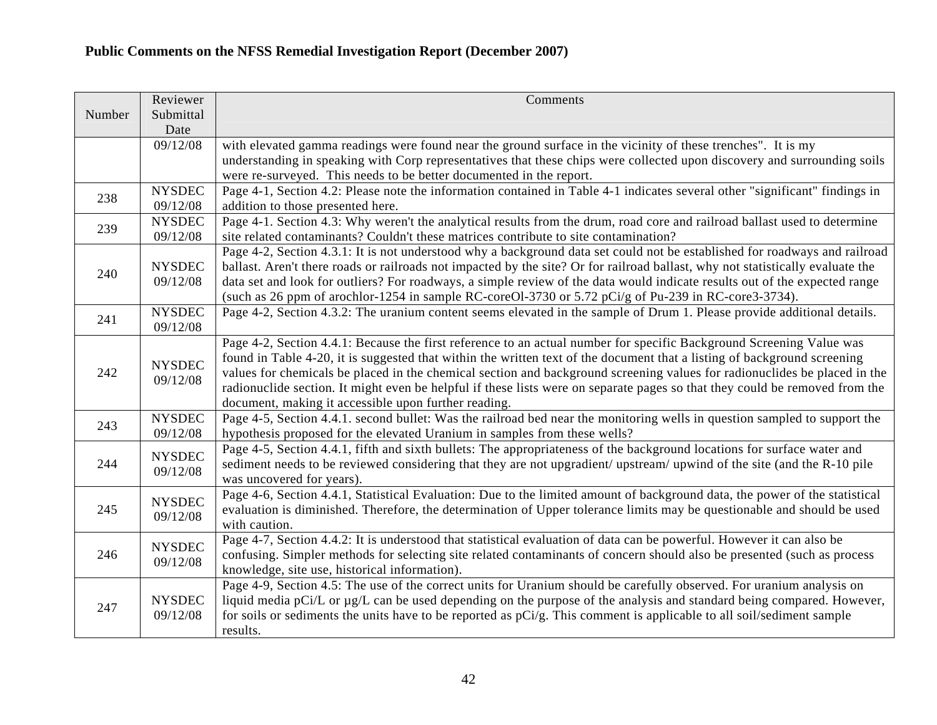|        | Reviewer                  | Comments                                                                                                                                                                                                                                                                                                                                                                                                                                                                                                                                                             |
|--------|---------------------------|----------------------------------------------------------------------------------------------------------------------------------------------------------------------------------------------------------------------------------------------------------------------------------------------------------------------------------------------------------------------------------------------------------------------------------------------------------------------------------------------------------------------------------------------------------------------|
| Number | Submittal<br>Date         |                                                                                                                                                                                                                                                                                                                                                                                                                                                                                                                                                                      |
|        | 09/12/08                  | with elevated gamma readings were found near the ground surface in the vicinity of these trenches". It is my<br>understanding in speaking with Corp representatives that these chips were collected upon discovery and surrounding soils                                                                                                                                                                                                                                                                                                                             |
|        |                           | were re-surveyed. This needs to be better documented in the report.                                                                                                                                                                                                                                                                                                                                                                                                                                                                                                  |
| 238    | <b>NYSDEC</b><br>09/12/08 | Page 4-1, Section 4.2: Please note the information contained in Table 4-1 indicates several other "significant" findings in<br>addition to those presented here.                                                                                                                                                                                                                                                                                                                                                                                                     |
| 239    | <b>NYSDEC</b><br>09/12/08 | Page 4-1. Section 4.3: Why weren't the analytical results from the drum, road core and railroad ballast used to determine<br>site related contaminants? Couldn't these matrices contribute to site contamination?                                                                                                                                                                                                                                                                                                                                                    |
| 240    | <b>NYSDEC</b><br>09/12/08 | Page 4-2, Section 4.3.1: It is not understood why a background data set could not be established for roadways and railroad<br>ballast. Aren't there roads or railroads not impacted by the site? Or for railroad ballast, why not statistically evaluate the<br>data set and look for outliers? For roadways, a simple review of the data would indicate results out of the expected range<br>(such as 26 ppm of arochlor-1254 in sample RC-coreOl-3730 or 5.72 pCi/g of Pu-239 in RC-core3-3734).                                                                   |
| 241    | <b>NYSDEC</b><br>09/12/08 | Page 4-2, Section 4.3.2: The uranium content seems elevated in the sample of Drum 1. Please provide additional details.                                                                                                                                                                                                                                                                                                                                                                                                                                              |
| 242    | <b>NYSDEC</b><br>09/12/08 | Page 4-2, Section 4.4.1: Because the first reference to an actual number for specific Background Screening Value was<br>found in Table 4-20, it is suggested that within the written text of the document that a listing of background screening<br>values for chemicals be placed in the chemical section and background screening values for radionuclides be placed in the<br>radionuclide section. It might even be helpful if these lists were on separate pages so that they could be removed from the<br>document, making it accessible upon further reading. |
| 243    | <b>NYSDEC</b><br>09/12/08 | Page 4-5, Section 4.4.1. second bullet: Was the railroad bed near the monitoring wells in question sampled to support the<br>hypothesis proposed for the elevated Uranium in samples from these wells?                                                                                                                                                                                                                                                                                                                                                               |
| 244    | <b>NYSDEC</b><br>09/12/08 | Page 4-5, Section 4.4.1, fifth and sixth bullets: The appropriateness of the background locations for surface water and<br>sediment needs to be reviewed considering that they are not upgradient/ upstream/ upwind of the site (and the R-10 pile<br>was uncovered for years).                                                                                                                                                                                                                                                                                      |
| 245    | <b>NYSDEC</b><br>09/12/08 | Page 4-6, Section 4.4.1, Statistical Evaluation: Due to the limited amount of background data, the power of the statistical<br>evaluation is diminished. Therefore, the determination of Upper tolerance limits may be questionable and should be used<br>with caution.                                                                                                                                                                                                                                                                                              |
| 246    | <b>NYSDEC</b><br>09/12/08 | Page 4-7, Section 4.4.2: It is understood that statistical evaluation of data can be powerful. However it can also be<br>confusing. Simpler methods for selecting site related contaminants of concern should also be presented (such as process<br>knowledge, site use, historical information).                                                                                                                                                                                                                                                                    |
| 247    | <b>NYSDEC</b><br>09/12/08 | Page 4-9, Section 4.5: The use of the correct units for Uranium should be carefully observed. For uranium analysis on<br>liquid media pCi/L or $\mu$ g/L can be used depending on the purpose of the analysis and standard being compared. However,<br>for soils or sediments the units have to be reported as pCi/g. This comment is applicable to all soil/sediment sample<br>results.                                                                                                                                                                             |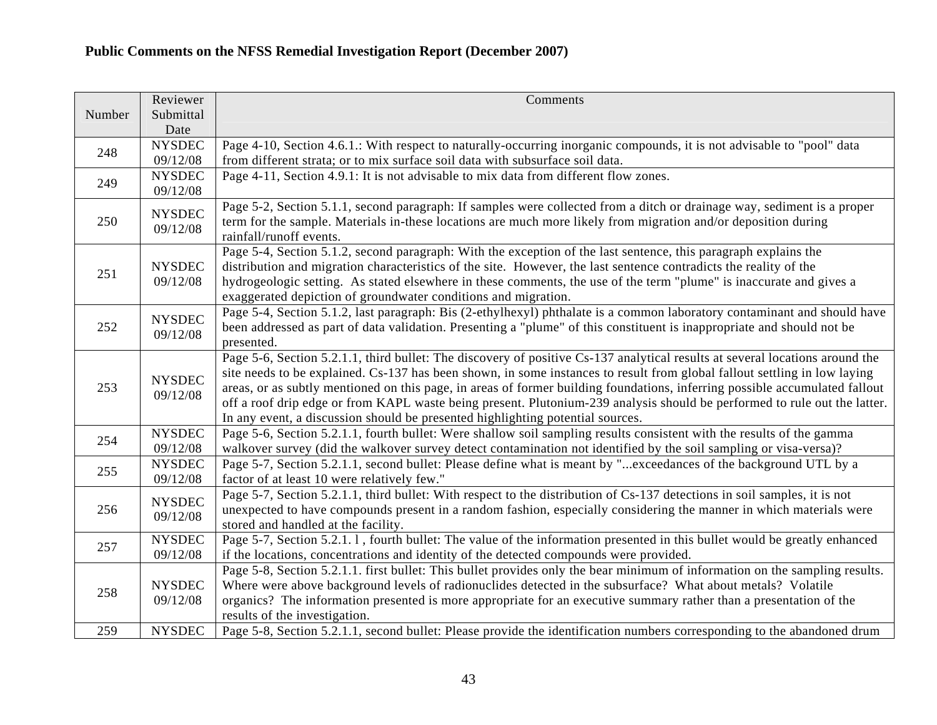|        | Reviewer                  | Comments                                                                                                                                                                                                                                                                                                                                                                                                                                                                                                                                                                                                |
|--------|---------------------------|---------------------------------------------------------------------------------------------------------------------------------------------------------------------------------------------------------------------------------------------------------------------------------------------------------------------------------------------------------------------------------------------------------------------------------------------------------------------------------------------------------------------------------------------------------------------------------------------------------|
| Number | Submittal<br>Date         |                                                                                                                                                                                                                                                                                                                                                                                                                                                                                                                                                                                                         |
| 248    | <b>NYSDEC</b><br>09/12/08 | Page 4-10, Section 4.6.1.: With respect to naturally-occurring inorganic compounds, it is not advisable to "pool" data<br>from different strata; or to mix surface soil data with subsurface soil data.                                                                                                                                                                                                                                                                                                                                                                                                 |
| 249    | <b>NYSDEC</b><br>09/12/08 | Page 4-11, Section 4.9.1: It is not advisable to mix data from different flow zones.                                                                                                                                                                                                                                                                                                                                                                                                                                                                                                                    |
| 250    | <b>NYSDEC</b><br>09/12/08 | Page 5-2, Section 5.1.1, second paragraph: If samples were collected from a ditch or drainage way, sediment is a proper<br>term for the sample. Materials in-these locations are much more likely from migration and/or deposition during<br>rainfall/runoff events.                                                                                                                                                                                                                                                                                                                                    |
| 251    | <b>NYSDEC</b><br>09/12/08 | Page 5-4, Section 5.1.2, second paragraph: With the exception of the last sentence, this paragraph explains the<br>distribution and migration characteristics of the site. However, the last sentence contradicts the reality of the<br>hydrogeologic setting. As stated elsewhere in these comments, the use of the term "plume" is inaccurate and gives a<br>exaggerated depiction of groundwater conditions and migration.                                                                                                                                                                           |
| 252    | <b>NYSDEC</b><br>09/12/08 | Page 5-4, Section 5.1.2, last paragraph: Bis (2-ethylhexyl) phthalate is a common laboratory contaminant and should have<br>been addressed as part of data validation. Presenting a "plume" of this constituent is inappropriate and should not be<br>presented.                                                                                                                                                                                                                                                                                                                                        |
| 253    | <b>NYSDEC</b><br>09/12/08 | Page 5-6, Section 5.2.1.1, third bullet: The discovery of positive Cs-137 analytical results at several locations around the<br>site needs to be explained. Cs-137 has been shown, in some instances to result from global fallout settling in low laying<br>areas, or as subtly mentioned on this page, in areas of former building foundations, inferring possible accumulated fallout<br>off a roof drip edge or from KAPL waste being present. Plutonium-239 analysis should be performed to rule out the latter.<br>In any event, a discussion should be presented highlighting potential sources. |
| 254    | <b>NYSDEC</b><br>09/12/08 | Page 5-6, Section 5.2.1.1, fourth bullet: Were shallow soil sampling results consistent with the results of the gamma<br>walkover survey (did the walkover survey detect contamination not identified by the soil sampling or visa-versa)?                                                                                                                                                                                                                                                                                                                                                              |
| 255    | <b>NYSDEC</b><br>09/12/08 | Page 5-7, Section 5.2.1.1, second bullet: Please define what is meant by "exceedances of the background UTL by a<br>factor of at least 10 were relatively few."                                                                                                                                                                                                                                                                                                                                                                                                                                         |
| 256    | <b>NYSDEC</b><br>09/12/08 | Page 5-7, Section 5.2.1.1, third bullet: With respect to the distribution of Cs-137 detections in soil samples, it is not<br>unexpected to have compounds present in a random fashion, especially considering the manner in which materials were<br>stored and handled at the facility.                                                                                                                                                                                                                                                                                                                 |
| 257    | <b>NYSDEC</b><br>09/12/08 | Page 5-7, Section 5.2.1.1, fourth bullet: The value of the information presented in this bullet would be greatly enhanced<br>if the locations, concentrations and identity of the detected compounds were provided.                                                                                                                                                                                                                                                                                                                                                                                     |
| 258    | <b>NYSDEC</b><br>09/12/08 | Page 5-8, Section 5.2.1.1. first bullet: This bullet provides only the bear minimum of information on the sampling results.<br>Where were above background levels of radionuclides detected in the subsurface? What about metals? Volatile<br>organics? The information presented is more appropriate for an executive summary rather than a presentation of the<br>results of the investigation.                                                                                                                                                                                                       |
| 259    | <b>NYSDEC</b>             | Page 5-8, Section 5.2.1.1, second bullet: Please provide the identification numbers corresponding to the abandoned drum                                                                                                                                                                                                                                                                                                                                                                                                                                                                                 |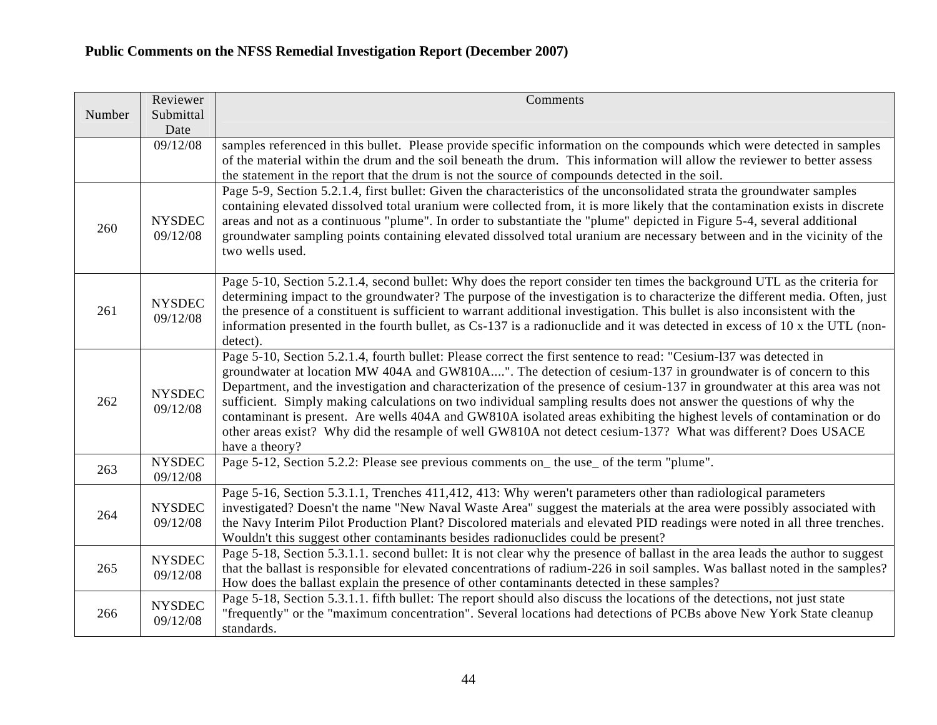|        | Reviewer                  | Comments                                                                                                                                                                                                                                                                                                                                                                                                                                                                                                                                                                                                                                                                                                                                        |
|--------|---------------------------|-------------------------------------------------------------------------------------------------------------------------------------------------------------------------------------------------------------------------------------------------------------------------------------------------------------------------------------------------------------------------------------------------------------------------------------------------------------------------------------------------------------------------------------------------------------------------------------------------------------------------------------------------------------------------------------------------------------------------------------------------|
| Number | Submittal<br>Date         |                                                                                                                                                                                                                                                                                                                                                                                                                                                                                                                                                                                                                                                                                                                                                 |
|        | 09/12/08                  | samples referenced in this bullet. Please provide specific information on the compounds which were detected in samples<br>of the material within the drum and the soil beneath the drum. This information will allow the reviewer to better assess<br>the statement in the report that the drum is not the source of compounds detected in the soil.                                                                                                                                                                                                                                                                                                                                                                                            |
| 260    | <b>NYSDEC</b><br>09/12/08 | Page 5-9, Section 5.2.1.4, first bullet: Given the characteristics of the unconsolidated strata the groundwater samples<br>containing elevated dissolved total uranium were collected from, it is more likely that the contamination exists in discrete<br>areas and not as a continuous "plume". In order to substantiate the "plume" depicted in Figure 5-4, several additional<br>groundwater sampling points containing elevated dissolved total uranium are necessary between and in the vicinity of the<br>two wells used.                                                                                                                                                                                                                |
| 261    | <b>NYSDEC</b><br>09/12/08 | Page 5-10, Section 5.2.1.4, second bullet: Why does the report consider ten times the background UTL as the criteria for<br>determining impact to the groundwater? The purpose of the investigation is to characterize the different media. Often, just<br>the presence of a constituent is sufficient to warrant additional investigation. This bullet is also inconsistent with the<br>information presented in the fourth bullet, as Cs-137 is a radionuclide and it was detected in excess of 10 x the UTL (non-<br>detect).                                                                                                                                                                                                                |
| 262    | <b>NYSDEC</b><br>09/12/08 | Page 5-10, Section 5.2.1.4, fourth bullet: Please correct the first sentence to read: "Cesium-137 was detected in<br>groundwater at location MW 404A and GW810A". The detection of cesium-137 in groundwater is of concern to this<br>Department, and the investigation and characterization of the presence of cesium-137 in groundwater at this area was not<br>sufficient. Simply making calculations on two individual sampling results does not answer the questions of why the<br>contaminant is present. Are wells 404A and GW810A isolated areas exhibiting the highest levels of contamination or do<br>other areas exist? Why did the resample of well GW810A not detect cesium-137? What was different? Does USACE<br>have a theory? |
| 263    | <b>NYSDEC</b><br>09/12/08 | Page 5-12, Section 5.2.2: Please see previous comments on the use of the term "plume".                                                                                                                                                                                                                                                                                                                                                                                                                                                                                                                                                                                                                                                          |
| 264    | <b>NYSDEC</b><br>09/12/08 | Page 5-16, Section 5.3.1.1, Trenches 411,412, 413: Why weren't parameters other than radiological parameters<br>investigated? Doesn't the name "New Naval Waste Area" suggest the materials at the area were possibly associated with<br>the Navy Interim Pilot Production Plant? Discolored materials and elevated PID readings were noted in all three trenches.<br>Wouldn't this suggest other contaminants besides radionuclides could be present?                                                                                                                                                                                                                                                                                          |
| 265    | <b>NYSDEC</b><br>09/12/08 | Page 5-18, Section 5.3.1.1. second bullet: It is not clear why the presence of ballast in the area leads the author to suggest<br>that the ballast is responsible for elevated concentrations of radium-226 in soil samples. Was ballast noted in the samples?<br>How does the ballast explain the presence of other contaminants detected in these samples?                                                                                                                                                                                                                                                                                                                                                                                    |
| 266    | <b>NYSDEC</b><br>09/12/08 | Page 5-18, Section 5.3.1.1. fifth bullet: The report should also discuss the locations of the detections, not just state<br>"frequently" or the "maximum concentration". Several locations had detections of PCBs above New York State cleanup<br>standards.                                                                                                                                                                                                                                                                                                                                                                                                                                                                                    |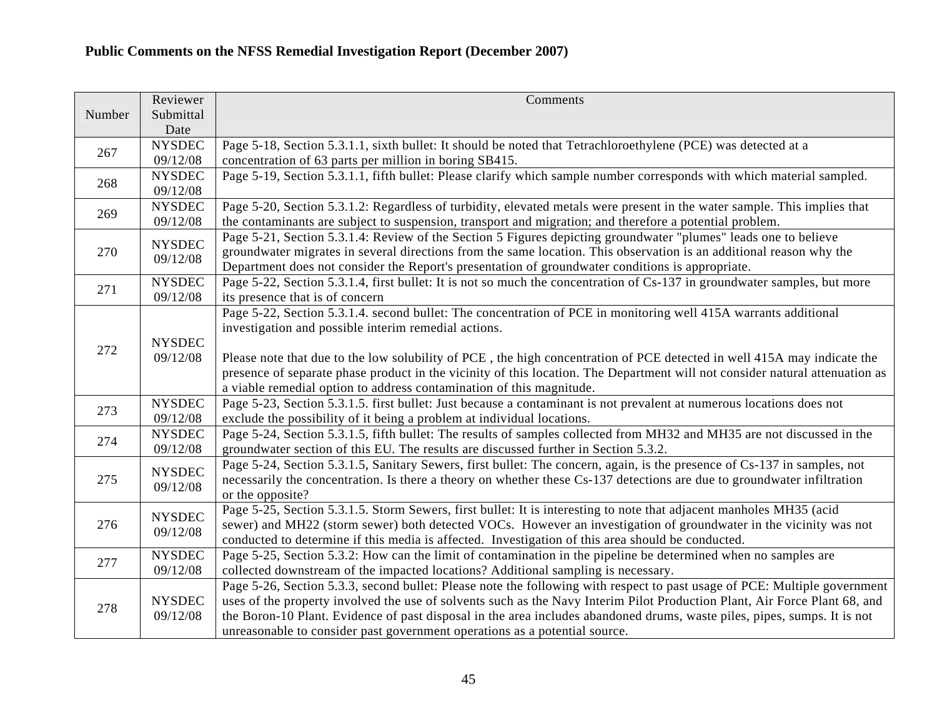|        | Reviewer                  | Comments                                                                                                                                                                                                      |
|--------|---------------------------|---------------------------------------------------------------------------------------------------------------------------------------------------------------------------------------------------------------|
| Number | Submittal<br>Date         |                                                                                                                                                                                                               |
|        | <b>NYSDEC</b>             | Page 5-18, Section 5.3.1.1, sixth bullet: It should be noted that Tetrachloroethylene (PCE) was detected at a                                                                                                 |
| 267    | 09/12/08                  | concentration of 63 parts per million in boring SB415.                                                                                                                                                        |
|        | <b>NYSDEC</b>             | Page 5-19, Section 5.3.1.1, fifth bullet: Please clarify which sample number corresponds with which material sampled.                                                                                         |
| 268    | 09/12/08                  |                                                                                                                                                                                                               |
| 269    | <b>NYSDEC</b>             | Page 5-20, Section 5.3.1.2: Regardless of turbidity, elevated metals were present in the water sample. This implies that                                                                                      |
|        | 09/12/08                  | the contaminants are subject to suspension, transport and migration; and therefore a potential problem.                                                                                                       |
|        | <b>NYSDEC</b>             | Page 5-21, Section 5.3.1.4: Review of the Section 5 Figures depicting groundwater "plumes" leads one to believe                                                                                               |
| 270    | 09/12/08                  | groundwater migrates in several directions from the same location. This observation is an additional reason why the                                                                                           |
|        | <b>NYSDEC</b>             | Department does not consider the Report's presentation of groundwater conditions is appropriate.                                                                                                              |
| 271    | 09/12/08                  | Page 5-22, Section 5.3.1.4, first bullet: It is not so much the concentration of Cs-137 in groundwater samples, but more<br>its presence that is of concern                                                   |
|        |                           | Page 5-22, Section 5.3.1.4. second bullet: The concentration of PCE in monitoring well 415A warrants additional                                                                                               |
|        |                           | investigation and possible interim remedial actions.                                                                                                                                                          |
|        | <b>NYSDEC</b>             |                                                                                                                                                                                                               |
| 272    | 09/12/08                  | Please note that due to the low solubility of PCE, the high concentration of PCE detected in well 415A may indicate the                                                                                       |
|        |                           | presence of separate phase product in the vicinity of this location. The Department will not consider natural attenuation as                                                                                  |
|        |                           | a viable remedial option to address contamination of this magnitude.                                                                                                                                          |
| 273    | <b>NYSDEC</b>             | Page 5-23, Section 5.3.1.5. first bullet: Just because a contaminant is not prevalent at numerous locations does not                                                                                          |
|        | 09/12/08                  | exclude the possibility of it being a problem at individual locations.                                                                                                                                        |
| 274    | <b>NYSDEC</b><br>09/12/08 | Page 5-24, Section 5.3.1.5, fifth bullet: The results of samples collected from MH32 and MH35 are not discussed in the<br>groundwater section of this EU. The results are discussed further in Section 5.3.2. |
|        |                           | Page 5-24, Section 5.3.1.5, Sanitary Sewers, first bullet: The concern, again, is the presence of Cs-137 in samples, not                                                                                      |
| 275    | <b>NYSDEC</b><br>09/12/08 | necessarily the concentration. Is there a theory on whether these Cs-137 detections are due to groundwater infiltration                                                                                       |
|        |                           | or the opposite?                                                                                                                                                                                              |
|        |                           | Page 5-25, Section 5.3.1.5. Storm Sewers, first bullet: It is interesting to note that adjacent manholes MH35 (acid                                                                                           |
| 276    | <b>NYSDEC</b><br>09/12/08 | sewer) and MH22 (storm sewer) both detected VOCs. However an investigation of groundwater in the vicinity was not                                                                                             |
|        |                           | conducted to determine if this media is affected. Investigation of this area should be conducted.                                                                                                             |
| 277    | <b>NYSDEC</b>             | Page 5-25, Section 5.3.2: How can the limit of contamination in the pipeline be determined when no samples are                                                                                                |
|        | 09/12/08                  | collected downstream of the impacted locations? Additional sampling is necessary.                                                                                                                             |
| 278    |                           | Page 5-26, Section 5.3.3, second bullet: Please note the following with respect to past usage of PCE: Multiple government                                                                                     |
|        | <b>NYSDEC</b>             | uses of the property involved the use of solvents such as the Navy Interim Pilot Production Plant, Air Force Plant 68, and                                                                                    |
|        | 09/12/08                  | the Boron-10 Plant. Evidence of past disposal in the area includes abandoned drums, waste piles, pipes, sumps. It is not<br>unreasonable to consider past government operations as a potential source.        |
|        |                           |                                                                                                                                                                                                               |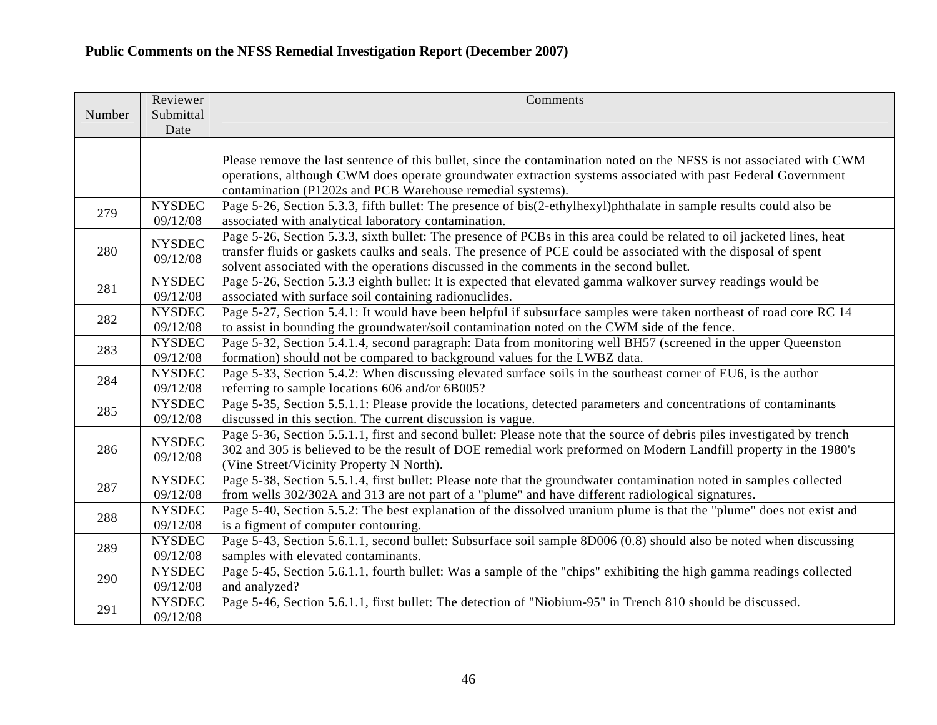| Date<br>Please remove the last sentence of this bullet, since the contamination noted on the NFSS is not associated with CWM<br>operations, although CWM does operate groundwater extraction systems associated with past Federal Government<br>contamination (P1202s and PCB Warehouse remedial systems).<br>Page 5-26, Section 5.3.3, fifth bullet: The presence of bis(2-ethylhexyl)phthalate in sample results could also be<br><b>NYSDEC</b><br>279<br>09/12/08<br>associated with analytical laboratory contamination.<br>Page 5-26, Section 5.3.3, sixth bullet: The presence of PCBs in this area could be related to oil jacketed lines, heat<br><b>NYSDEC</b><br>transfer fluids or gaskets caulks and seals. The presence of PCE could be associated with the disposal of spent<br>280<br>09/12/08<br>solvent associated with the operations discussed in the comments in the second bullet.<br><b>NYSDEC</b><br>Page 5-26, Section 5.3.3 eighth bullet: It is expected that elevated gamma walkover survey readings would be<br>281<br>09/12/08<br>associated with surface soil containing radionuclides.<br>Page 5-27, Section 5.4.1: It would have been helpful if subsurface samples were taken northeast of road core RC 14<br><b>NYSDEC</b><br>282<br>09/12/08<br>to assist in bounding the groundwater/soil contamination noted on the CWM side of the fence.<br><b>NYSDEC</b><br>Page 5-32, Section 5.4.1.4, second paragraph: Data from monitoring well BH57 (screened in the upper Queenston<br>283<br>09/12/08<br>formation) should not be compared to background values for the LWBZ data.<br><b>NYSDEC</b><br>Page 5-33, Section 5.4.2: When discussing elevated surface soils in the southeast corner of EU6, is the author<br>284<br>09/12/08<br>referring to sample locations 606 and/or 6B005?<br>Page 5-35, Section 5.5.1.1: Please provide the locations, detected parameters and concentrations of contaminants<br><b>NYSDEC</b><br>285<br>09/12/08<br>discussed in this section. The current discussion is vague.<br>Page 5-36, Section 5.5.1.1, first and second bullet: Please note that the source of debris piles investigated by trench<br>$\ensuremath{\mathsf{NYSDEC}}$<br>302 and 305 is believed to be the result of DOE remedial work preformed on Modern Landfill property in the 1980's<br>286<br>09/12/08<br>(Vine Street/Vicinity Property N North).<br><b>NYSDEC</b><br>Page 5-38, Section 5.5.1.4, first bullet: Please note that the groundwater contamination noted in samples collected<br>287<br>09/12/08<br>from wells 302/302A and 313 are not part of a "plume" and have different radiological signatures.<br>Page 5-40, Section 5.5.2: The best explanation of the dissolved uranium plume is that the "plume" does not exist and<br><b>NYSDEC</b><br>288<br>09/12/08<br>is a figment of computer contouring.<br>Page 5-43, Section 5.6.1.1, second bullet: Subsurface soil sample 8D006 (0.8) should also be noted when discussing<br><b>NYSDEC</b><br>289<br>09/12/08<br>samples with elevated contaminants.<br>Page 5-45, Section 5.6.1.1, fourth bullet: Was a sample of the "chips" exhibiting the high gamma readings collected<br><b>NYSDEC</b><br>290<br>09/12/08<br>and analyzed?<br>Page 5-46, Section 5.6.1.1, first bullet: The detection of "Niobium-95" in Trench 810 should be discussed.<br><b>NYSDEC</b><br>291<br>09/12/08 |        | Reviewer  | Comments |
|-------------------------------------------------------------------------------------------------------------------------------------------------------------------------------------------------------------------------------------------------------------------------------------------------------------------------------------------------------------------------------------------------------------------------------------------------------------------------------------------------------------------------------------------------------------------------------------------------------------------------------------------------------------------------------------------------------------------------------------------------------------------------------------------------------------------------------------------------------------------------------------------------------------------------------------------------------------------------------------------------------------------------------------------------------------------------------------------------------------------------------------------------------------------------------------------------------------------------------------------------------------------------------------------------------------------------------------------------------------------------------------------------------------------------------------------------------------------------------------------------------------------------------------------------------------------------------------------------------------------------------------------------------------------------------------------------------------------------------------------------------------------------------------------------------------------------------------------------------------------------------------------------------------------------------------------------------------------------------------------------------------------------------------------------------------------------------------------------------------------------------------------------------------------------------------------------------------------------------------------------------------------------------------------------------------------------------------------------------------------------------------------------------------------------------------------------------------------------------------------------------------------------------------------------------------------------------------------------------------------------------------------------------------------------------------------------------------------------------------------------------------------------------------------------------------------------------------------------------------------------------------------------------------------------------------------------------------------------------------------------------------------------------------------------------------------------------------------------------------------------------------------------------------------------------------------------------------------------------------------------------------------------------------------------------------------------------------------------------------------------------------------------------|--------|-----------|----------|
|                                                                                                                                                                                                                                                                                                                                                                                                                                                                                                                                                                                                                                                                                                                                                                                                                                                                                                                                                                                                                                                                                                                                                                                                                                                                                                                                                                                                                                                                                                                                                                                                                                                                                                                                                                                                                                                                                                                                                                                                                                                                                                                                                                                                                                                                                                                                                                                                                                                                                                                                                                                                                                                                                                                                                                                                                                                                                                                                                                                                                                                                                                                                                                                                                                                                                                                                                                                                       | Number | Submittal |          |
|                                                                                                                                                                                                                                                                                                                                                                                                                                                                                                                                                                                                                                                                                                                                                                                                                                                                                                                                                                                                                                                                                                                                                                                                                                                                                                                                                                                                                                                                                                                                                                                                                                                                                                                                                                                                                                                                                                                                                                                                                                                                                                                                                                                                                                                                                                                                                                                                                                                                                                                                                                                                                                                                                                                                                                                                                                                                                                                                                                                                                                                                                                                                                                                                                                                                                                                                                                                                       |        |           |          |
|                                                                                                                                                                                                                                                                                                                                                                                                                                                                                                                                                                                                                                                                                                                                                                                                                                                                                                                                                                                                                                                                                                                                                                                                                                                                                                                                                                                                                                                                                                                                                                                                                                                                                                                                                                                                                                                                                                                                                                                                                                                                                                                                                                                                                                                                                                                                                                                                                                                                                                                                                                                                                                                                                                                                                                                                                                                                                                                                                                                                                                                                                                                                                                                                                                                                                                                                                                                                       |        |           |          |
|                                                                                                                                                                                                                                                                                                                                                                                                                                                                                                                                                                                                                                                                                                                                                                                                                                                                                                                                                                                                                                                                                                                                                                                                                                                                                                                                                                                                                                                                                                                                                                                                                                                                                                                                                                                                                                                                                                                                                                                                                                                                                                                                                                                                                                                                                                                                                                                                                                                                                                                                                                                                                                                                                                                                                                                                                                                                                                                                                                                                                                                                                                                                                                                                                                                                                                                                                                                                       |        |           |          |
|                                                                                                                                                                                                                                                                                                                                                                                                                                                                                                                                                                                                                                                                                                                                                                                                                                                                                                                                                                                                                                                                                                                                                                                                                                                                                                                                                                                                                                                                                                                                                                                                                                                                                                                                                                                                                                                                                                                                                                                                                                                                                                                                                                                                                                                                                                                                                                                                                                                                                                                                                                                                                                                                                                                                                                                                                                                                                                                                                                                                                                                                                                                                                                                                                                                                                                                                                                                                       |        |           |          |
|                                                                                                                                                                                                                                                                                                                                                                                                                                                                                                                                                                                                                                                                                                                                                                                                                                                                                                                                                                                                                                                                                                                                                                                                                                                                                                                                                                                                                                                                                                                                                                                                                                                                                                                                                                                                                                                                                                                                                                                                                                                                                                                                                                                                                                                                                                                                                                                                                                                                                                                                                                                                                                                                                                                                                                                                                                                                                                                                                                                                                                                                                                                                                                                                                                                                                                                                                                                                       |        |           |          |
|                                                                                                                                                                                                                                                                                                                                                                                                                                                                                                                                                                                                                                                                                                                                                                                                                                                                                                                                                                                                                                                                                                                                                                                                                                                                                                                                                                                                                                                                                                                                                                                                                                                                                                                                                                                                                                                                                                                                                                                                                                                                                                                                                                                                                                                                                                                                                                                                                                                                                                                                                                                                                                                                                                                                                                                                                                                                                                                                                                                                                                                                                                                                                                                                                                                                                                                                                                                                       |        |           |          |
|                                                                                                                                                                                                                                                                                                                                                                                                                                                                                                                                                                                                                                                                                                                                                                                                                                                                                                                                                                                                                                                                                                                                                                                                                                                                                                                                                                                                                                                                                                                                                                                                                                                                                                                                                                                                                                                                                                                                                                                                                                                                                                                                                                                                                                                                                                                                                                                                                                                                                                                                                                                                                                                                                                                                                                                                                                                                                                                                                                                                                                                                                                                                                                                                                                                                                                                                                                                                       |        |           |          |
|                                                                                                                                                                                                                                                                                                                                                                                                                                                                                                                                                                                                                                                                                                                                                                                                                                                                                                                                                                                                                                                                                                                                                                                                                                                                                                                                                                                                                                                                                                                                                                                                                                                                                                                                                                                                                                                                                                                                                                                                                                                                                                                                                                                                                                                                                                                                                                                                                                                                                                                                                                                                                                                                                                                                                                                                                                                                                                                                                                                                                                                                                                                                                                                                                                                                                                                                                                                                       |        |           |          |
|                                                                                                                                                                                                                                                                                                                                                                                                                                                                                                                                                                                                                                                                                                                                                                                                                                                                                                                                                                                                                                                                                                                                                                                                                                                                                                                                                                                                                                                                                                                                                                                                                                                                                                                                                                                                                                                                                                                                                                                                                                                                                                                                                                                                                                                                                                                                                                                                                                                                                                                                                                                                                                                                                                                                                                                                                                                                                                                                                                                                                                                                                                                                                                                                                                                                                                                                                                                                       |        |           |          |
|                                                                                                                                                                                                                                                                                                                                                                                                                                                                                                                                                                                                                                                                                                                                                                                                                                                                                                                                                                                                                                                                                                                                                                                                                                                                                                                                                                                                                                                                                                                                                                                                                                                                                                                                                                                                                                                                                                                                                                                                                                                                                                                                                                                                                                                                                                                                                                                                                                                                                                                                                                                                                                                                                                                                                                                                                                                                                                                                                                                                                                                                                                                                                                                                                                                                                                                                                                                                       |        |           |          |
|                                                                                                                                                                                                                                                                                                                                                                                                                                                                                                                                                                                                                                                                                                                                                                                                                                                                                                                                                                                                                                                                                                                                                                                                                                                                                                                                                                                                                                                                                                                                                                                                                                                                                                                                                                                                                                                                                                                                                                                                                                                                                                                                                                                                                                                                                                                                                                                                                                                                                                                                                                                                                                                                                                                                                                                                                                                                                                                                                                                                                                                                                                                                                                                                                                                                                                                                                                                                       |        |           |          |
|                                                                                                                                                                                                                                                                                                                                                                                                                                                                                                                                                                                                                                                                                                                                                                                                                                                                                                                                                                                                                                                                                                                                                                                                                                                                                                                                                                                                                                                                                                                                                                                                                                                                                                                                                                                                                                                                                                                                                                                                                                                                                                                                                                                                                                                                                                                                                                                                                                                                                                                                                                                                                                                                                                                                                                                                                                                                                                                                                                                                                                                                                                                                                                                                                                                                                                                                                                                                       |        |           |          |
|                                                                                                                                                                                                                                                                                                                                                                                                                                                                                                                                                                                                                                                                                                                                                                                                                                                                                                                                                                                                                                                                                                                                                                                                                                                                                                                                                                                                                                                                                                                                                                                                                                                                                                                                                                                                                                                                                                                                                                                                                                                                                                                                                                                                                                                                                                                                                                                                                                                                                                                                                                                                                                                                                                                                                                                                                                                                                                                                                                                                                                                                                                                                                                                                                                                                                                                                                                                                       |        |           |          |
|                                                                                                                                                                                                                                                                                                                                                                                                                                                                                                                                                                                                                                                                                                                                                                                                                                                                                                                                                                                                                                                                                                                                                                                                                                                                                                                                                                                                                                                                                                                                                                                                                                                                                                                                                                                                                                                                                                                                                                                                                                                                                                                                                                                                                                                                                                                                                                                                                                                                                                                                                                                                                                                                                                                                                                                                                                                                                                                                                                                                                                                                                                                                                                                                                                                                                                                                                                                                       |        |           |          |
|                                                                                                                                                                                                                                                                                                                                                                                                                                                                                                                                                                                                                                                                                                                                                                                                                                                                                                                                                                                                                                                                                                                                                                                                                                                                                                                                                                                                                                                                                                                                                                                                                                                                                                                                                                                                                                                                                                                                                                                                                                                                                                                                                                                                                                                                                                                                                                                                                                                                                                                                                                                                                                                                                                                                                                                                                                                                                                                                                                                                                                                                                                                                                                                                                                                                                                                                                                                                       |        |           |          |
|                                                                                                                                                                                                                                                                                                                                                                                                                                                                                                                                                                                                                                                                                                                                                                                                                                                                                                                                                                                                                                                                                                                                                                                                                                                                                                                                                                                                                                                                                                                                                                                                                                                                                                                                                                                                                                                                                                                                                                                                                                                                                                                                                                                                                                                                                                                                                                                                                                                                                                                                                                                                                                                                                                                                                                                                                                                                                                                                                                                                                                                                                                                                                                                                                                                                                                                                                                                                       |        |           |          |
|                                                                                                                                                                                                                                                                                                                                                                                                                                                                                                                                                                                                                                                                                                                                                                                                                                                                                                                                                                                                                                                                                                                                                                                                                                                                                                                                                                                                                                                                                                                                                                                                                                                                                                                                                                                                                                                                                                                                                                                                                                                                                                                                                                                                                                                                                                                                                                                                                                                                                                                                                                                                                                                                                                                                                                                                                                                                                                                                                                                                                                                                                                                                                                                                                                                                                                                                                                                                       |        |           |          |
|                                                                                                                                                                                                                                                                                                                                                                                                                                                                                                                                                                                                                                                                                                                                                                                                                                                                                                                                                                                                                                                                                                                                                                                                                                                                                                                                                                                                                                                                                                                                                                                                                                                                                                                                                                                                                                                                                                                                                                                                                                                                                                                                                                                                                                                                                                                                                                                                                                                                                                                                                                                                                                                                                                                                                                                                                                                                                                                                                                                                                                                                                                                                                                                                                                                                                                                                                                                                       |        |           |          |
|                                                                                                                                                                                                                                                                                                                                                                                                                                                                                                                                                                                                                                                                                                                                                                                                                                                                                                                                                                                                                                                                                                                                                                                                                                                                                                                                                                                                                                                                                                                                                                                                                                                                                                                                                                                                                                                                                                                                                                                                                                                                                                                                                                                                                                                                                                                                                                                                                                                                                                                                                                                                                                                                                                                                                                                                                                                                                                                                                                                                                                                                                                                                                                                                                                                                                                                                                                                                       |        |           |          |
|                                                                                                                                                                                                                                                                                                                                                                                                                                                                                                                                                                                                                                                                                                                                                                                                                                                                                                                                                                                                                                                                                                                                                                                                                                                                                                                                                                                                                                                                                                                                                                                                                                                                                                                                                                                                                                                                                                                                                                                                                                                                                                                                                                                                                                                                                                                                                                                                                                                                                                                                                                                                                                                                                                                                                                                                                                                                                                                                                                                                                                                                                                                                                                                                                                                                                                                                                                                                       |        |           |          |
|                                                                                                                                                                                                                                                                                                                                                                                                                                                                                                                                                                                                                                                                                                                                                                                                                                                                                                                                                                                                                                                                                                                                                                                                                                                                                                                                                                                                                                                                                                                                                                                                                                                                                                                                                                                                                                                                                                                                                                                                                                                                                                                                                                                                                                                                                                                                                                                                                                                                                                                                                                                                                                                                                                                                                                                                                                                                                                                                                                                                                                                                                                                                                                                                                                                                                                                                                                                                       |        |           |          |
|                                                                                                                                                                                                                                                                                                                                                                                                                                                                                                                                                                                                                                                                                                                                                                                                                                                                                                                                                                                                                                                                                                                                                                                                                                                                                                                                                                                                                                                                                                                                                                                                                                                                                                                                                                                                                                                                                                                                                                                                                                                                                                                                                                                                                                                                                                                                                                                                                                                                                                                                                                                                                                                                                                                                                                                                                                                                                                                                                                                                                                                                                                                                                                                                                                                                                                                                                                                                       |        |           |          |
|                                                                                                                                                                                                                                                                                                                                                                                                                                                                                                                                                                                                                                                                                                                                                                                                                                                                                                                                                                                                                                                                                                                                                                                                                                                                                                                                                                                                                                                                                                                                                                                                                                                                                                                                                                                                                                                                                                                                                                                                                                                                                                                                                                                                                                                                                                                                                                                                                                                                                                                                                                                                                                                                                                                                                                                                                                                                                                                                                                                                                                                                                                                                                                                                                                                                                                                                                                                                       |        |           |          |
|                                                                                                                                                                                                                                                                                                                                                                                                                                                                                                                                                                                                                                                                                                                                                                                                                                                                                                                                                                                                                                                                                                                                                                                                                                                                                                                                                                                                                                                                                                                                                                                                                                                                                                                                                                                                                                                                                                                                                                                                                                                                                                                                                                                                                                                                                                                                                                                                                                                                                                                                                                                                                                                                                                                                                                                                                                                                                                                                                                                                                                                                                                                                                                                                                                                                                                                                                                                                       |        |           |          |
|                                                                                                                                                                                                                                                                                                                                                                                                                                                                                                                                                                                                                                                                                                                                                                                                                                                                                                                                                                                                                                                                                                                                                                                                                                                                                                                                                                                                                                                                                                                                                                                                                                                                                                                                                                                                                                                                                                                                                                                                                                                                                                                                                                                                                                                                                                                                                                                                                                                                                                                                                                                                                                                                                                                                                                                                                                                                                                                                                                                                                                                                                                                                                                                                                                                                                                                                                                                                       |        |           |          |
|                                                                                                                                                                                                                                                                                                                                                                                                                                                                                                                                                                                                                                                                                                                                                                                                                                                                                                                                                                                                                                                                                                                                                                                                                                                                                                                                                                                                                                                                                                                                                                                                                                                                                                                                                                                                                                                                                                                                                                                                                                                                                                                                                                                                                                                                                                                                                                                                                                                                                                                                                                                                                                                                                                                                                                                                                                                                                                                                                                                                                                                                                                                                                                                                                                                                                                                                                                                                       |        |           |          |
|                                                                                                                                                                                                                                                                                                                                                                                                                                                                                                                                                                                                                                                                                                                                                                                                                                                                                                                                                                                                                                                                                                                                                                                                                                                                                                                                                                                                                                                                                                                                                                                                                                                                                                                                                                                                                                                                                                                                                                                                                                                                                                                                                                                                                                                                                                                                                                                                                                                                                                                                                                                                                                                                                                                                                                                                                                                                                                                                                                                                                                                                                                                                                                                                                                                                                                                                                                                                       |        |           |          |
|                                                                                                                                                                                                                                                                                                                                                                                                                                                                                                                                                                                                                                                                                                                                                                                                                                                                                                                                                                                                                                                                                                                                                                                                                                                                                                                                                                                                                                                                                                                                                                                                                                                                                                                                                                                                                                                                                                                                                                                                                                                                                                                                                                                                                                                                                                                                                                                                                                                                                                                                                                                                                                                                                                                                                                                                                                                                                                                                                                                                                                                                                                                                                                                                                                                                                                                                                                                                       |        |           |          |
|                                                                                                                                                                                                                                                                                                                                                                                                                                                                                                                                                                                                                                                                                                                                                                                                                                                                                                                                                                                                                                                                                                                                                                                                                                                                                                                                                                                                                                                                                                                                                                                                                                                                                                                                                                                                                                                                                                                                                                                                                                                                                                                                                                                                                                                                                                                                                                                                                                                                                                                                                                                                                                                                                                                                                                                                                                                                                                                                                                                                                                                                                                                                                                                                                                                                                                                                                                                                       |        |           |          |
|                                                                                                                                                                                                                                                                                                                                                                                                                                                                                                                                                                                                                                                                                                                                                                                                                                                                                                                                                                                                                                                                                                                                                                                                                                                                                                                                                                                                                                                                                                                                                                                                                                                                                                                                                                                                                                                                                                                                                                                                                                                                                                                                                                                                                                                                                                                                                                                                                                                                                                                                                                                                                                                                                                                                                                                                                                                                                                                                                                                                                                                                                                                                                                                                                                                                                                                                                                                                       |        |           |          |
|                                                                                                                                                                                                                                                                                                                                                                                                                                                                                                                                                                                                                                                                                                                                                                                                                                                                                                                                                                                                                                                                                                                                                                                                                                                                                                                                                                                                                                                                                                                                                                                                                                                                                                                                                                                                                                                                                                                                                                                                                                                                                                                                                                                                                                                                                                                                                                                                                                                                                                                                                                                                                                                                                                                                                                                                                                                                                                                                                                                                                                                                                                                                                                                                                                                                                                                                                                                                       |        |           |          |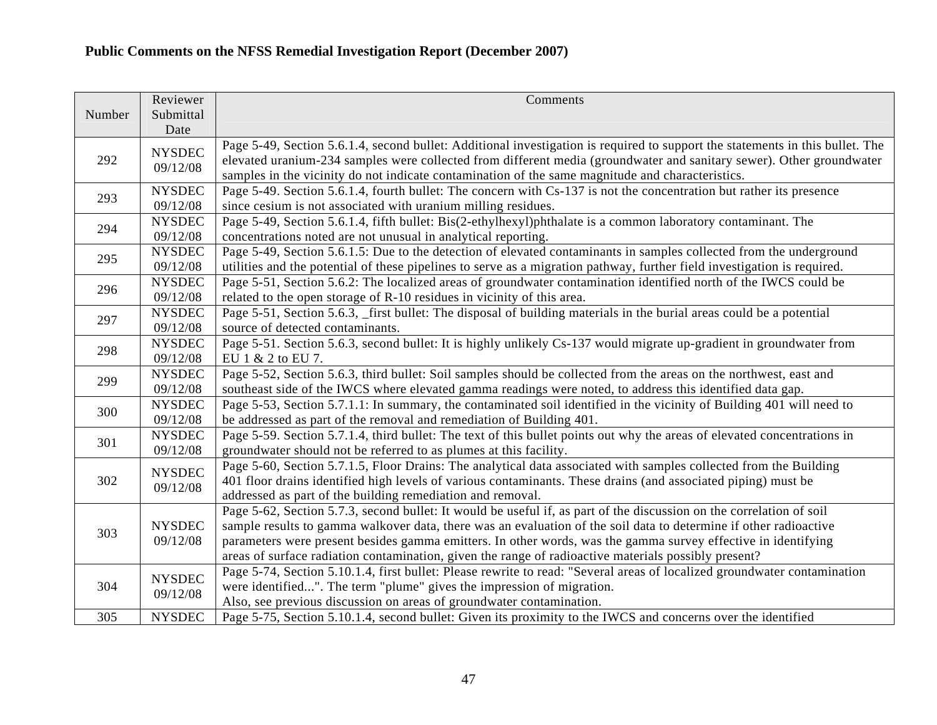|        | Reviewer      | Comments                                                                                                                      |
|--------|---------------|-------------------------------------------------------------------------------------------------------------------------------|
| Number | Submittal     |                                                                                                                               |
|        | Date          |                                                                                                                               |
|        | <b>NYSDEC</b> | Page 5-49, Section 5.6.1.4, second bullet: Additional investigation is required to support the statements in this bullet. The |
| 292    | 09/12/08      | elevated uranium-234 samples were collected from different media (groundwater and sanitary sewer). Other groundwater          |
|        |               | samples in the vicinity do not indicate contamination of the same magnitude and characteristics.                              |
| 293    | <b>NYSDEC</b> | Page 5-49. Section 5.6.1.4, fourth bullet: The concern with Cs-137 is not the concentration but rather its presence           |
|        | 09/12/08      | since cesium is not associated with uranium milling residues.                                                                 |
| 294    | <b>NYSDEC</b> | Page 5-49, Section 5.6.1.4, fifth bullet: Bis(2-ethylhexyl)phthalate is a common laboratory contaminant. The                  |
|        | 09/12/08      | concentrations noted are not unusual in analytical reporting.                                                                 |
| 295    | <b>NYSDEC</b> | Page 5-49, Section 5.6.1.5: Due to the detection of elevated contaminants in samples collected from the underground           |
|        | 09/12/08      | utilities and the potential of these pipelines to serve as a migration pathway, further field investigation is required.      |
| 296    | <b>NYSDEC</b> | Page 5-51, Section 5.6.2: The localized areas of groundwater contamination identified north of the IWCS could be              |
|        | 09/12/08      | related to the open storage of R-10 residues in vicinity of this area.                                                        |
| 297    | <b>NYSDEC</b> | Page 5-51, Section 5.6.3, first bullet: The disposal of building materials in the burial areas could be a potential           |
|        | 09/12/08      | source of detected contaminants.                                                                                              |
| 298    | <b>NYSDEC</b> | Page 5-51. Section 5.6.3, second bullet: It is highly unlikely Cs-137 would migrate up-gradient in groundwater from           |
|        | 09/12/08      | EU 1 & 2 to EU 7.                                                                                                             |
| 299    | <b>NYSDEC</b> | Page 5-52, Section 5.6.3, third bullet: Soil samples should be collected from the areas on the northwest, east and            |
|        | 09/12/08      | southeast side of the IWCS where elevated gamma readings were noted, to address this identified data gap.                     |
| 300    | <b>NYSDEC</b> | Page 5-53, Section 5.7.1.1: In summary, the contaminated soil identified in the vicinity of Building 401 will need to         |
|        | 09/12/08      | be addressed as part of the removal and remediation of Building 401.                                                          |
| 301    | <b>NYSDEC</b> | Page 5-59. Section 5.7.1.4, third bullet: The text of this bullet points out why the areas of elevated concentrations in      |
|        | 09/12/08      | groundwater should not be referred to as plumes at this facility.                                                             |
|        | <b>NYSDEC</b> | Page 5-60, Section 5.7.1.5, Floor Drains: The analytical data associated with samples collected from the Building             |
| 302    | 09/12/08      | 401 floor drains identified high levels of various contaminants. These drains (and associated piping) must be                 |
|        |               | addressed as part of the building remediation and removal.                                                                    |
|        |               | Page 5-62, Section 5.7.3, second bullet: It would be useful if, as part of the discussion on the correlation of soil          |
| 303    | <b>NYSDEC</b> | sample results to gamma walkover data, there was an evaluation of the soil data to determine if other radioactive             |
|        | 09/12/08      | parameters were present besides gamma emitters. In other words, was the gamma survey effective in identifying                 |
|        |               | areas of surface radiation contamination, given the range of radioactive materials possibly present?                          |
| 304    | <b>NYSDEC</b> | Page 5-74, Section 5.10.1.4, first bullet: Please rewrite to read: "Several areas of localized groundwater contamination      |
|        | 09/12/08      | were identified". The term "plume" gives the impression of migration.                                                         |
|        |               | Also, see previous discussion on areas of groundwater contamination.                                                          |
| 305    | <b>NYSDEC</b> | Page 5-75, Section 5.10.1.4, second bullet: Given its proximity to the IWCS and concerns over the identified                  |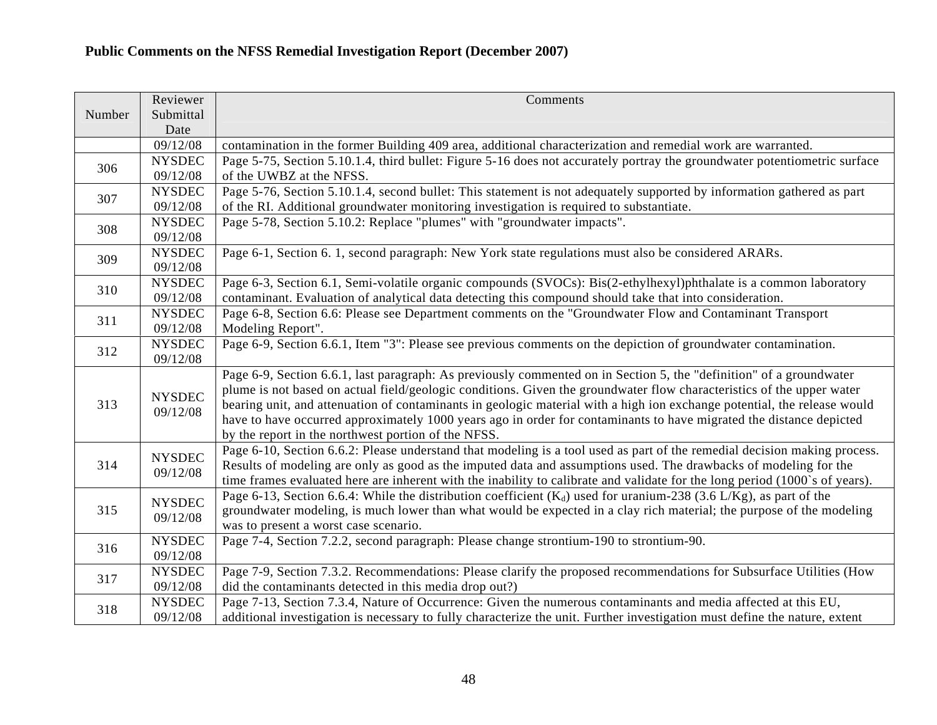|        | Reviewer                  | Comments                                                                                                                    |
|--------|---------------------------|-----------------------------------------------------------------------------------------------------------------------------|
| Number | Submittal<br>Date         |                                                                                                                             |
|        | 09/12/08                  | contamination in the former Building 409 area, additional characterization and remedial work are warranted.                 |
|        | <b>NYSDEC</b>             | Page 5-75, Section 5.10.1.4, third bullet: Figure 5-16 does not accurately portray the groundwater potentiometric surface   |
| 306    | 09/12/08                  | of the UWBZ at the NFSS.                                                                                                    |
| 307    | <b>NYSDEC</b>             | Page 5-76, Section 5.10.1.4, second bullet: This statement is not adequately supported by information gathered as part      |
|        | 09/12/08                  | of the RI. Additional groundwater monitoring investigation is required to substantiate.                                     |
| 308    | <b>NYSDEC</b>             | Page 5-78, Section 5.10.2: Replace "plumes" with "groundwater impacts".                                                     |
|        | 09/12/08                  |                                                                                                                             |
| 309    | <b>NYSDEC</b>             | Page 6-1, Section 6. 1, second paragraph: New York state regulations must also be considered ARARs.                         |
|        | 09/12/08                  |                                                                                                                             |
| 310    | <b>NYSDEC</b>             | Page 6-3, Section 6.1, Semi-volatile organic compounds (SVOCs): Bis(2-ethylhexyl)phthalate is a common laboratory           |
|        | 09/12/08                  | contaminant. Evaluation of analytical data detecting this compound should take that into consideration.                     |
| 311    | <b>NYSDEC</b>             | Page 6-8, Section 6.6: Please see Department comments on the "Groundwater Flow and Contaminant Transport                    |
|        | 09/12/08                  | Modeling Report".                                                                                                           |
| 312    | <b>NYSDEC</b>             | Page 6-9, Section 6.6.1, Item "3": Please see previous comments on the depiction of groundwater contamination.              |
|        | 09/12/08                  |                                                                                                                             |
|        |                           | Page 6-9, Section 6.6.1, last paragraph: As previously commented on in Section 5, the "definition" of a groundwater         |
|        | <b>NYSDEC</b><br>09/12/08 | plume is not based on actual field/geologic conditions. Given the groundwater flow characteristics of the upper water       |
| 313    |                           | bearing unit, and attenuation of contaminants in geologic material with a high ion exchange potential, the release would    |
|        |                           | have to have occurred approximately 1000 years ago in order for contaminants to have migrated the distance depicted         |
|        |                           | by the report in the northwest portion of the NFSS.                                                                         |
|        | <b>NYSDEC</b>             | Page 6-10, Section 6.6.2: Please understand that modeling is a tool used as part of the remedial decision making process.   |
| 314    | 09/12/08                  | Results of modeling are only as good as the imputed data and assumptions used. The drawbacks of modeling for the            |
|        |                           | time frames evaluated here are inherent with the inability to calibrate and validate for the long period (1000's of years). |
|        | <b>NYSDEC</b>             | Page 6-13, Section 6.6.4: While the distribution coefficient $(K_d)$ used for uranium-238 (3.6 L/Kg), as part of the        |
| 315    | 09/12/08                  | groundwater modeling, is much lower than what would be expected in a clay rich material; the purpose of the modeling        |
|        |                           | was to present a worst case scenario.                                                                                       |
| 316    | <b>NYSDEC</b>             | Page 7-4, Section 7.2.2, second paragraph: Please change strontium-190 to strontium-90.                                     |
|        | 09/12/08                  |                                                                                                                             |
| 317    | <b>NYSDEC</b>             | Page 7-9, Section 7.3.2. Recommendations: Please clarify the proposed recommendations for Subsurface Utilities (How         |
|        | 09/12/08                  | did the contaminants detected in this media drop out?)                                                                      |
| 318    | <b>NYSDEC</b>             | Page 7-13, Section 7.3.4, Nature of Occurrence: Given the numerous contaminants and media affected at this EU,              |
|        | 09/12/08                  | additional investigation is necessary to fully characterize the unit. Further investigation must define the nature, extent  |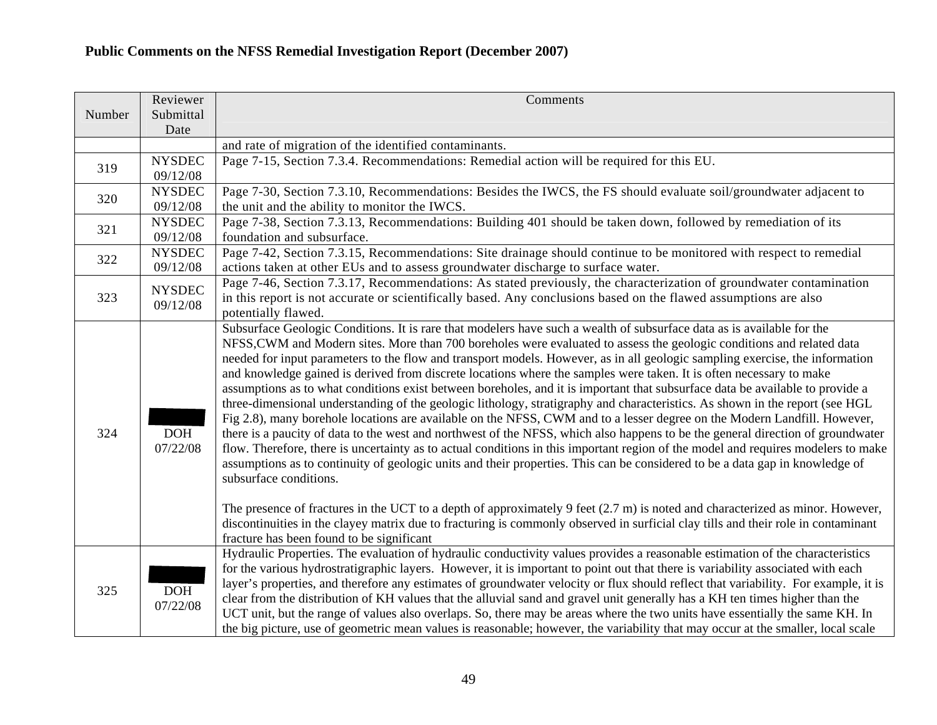|        | Reviewer               | Comments                                                                                                                                |
|--------|------------------------|-----------------------------------------------------------------------------------------------------------------------------------------|
| Number | Submittal              |                                                                                                                                         |
|        | Date                   |                                                                                                                                         |
|        |                        | and rate of migration of the identified contaminants.                                                                                   |
| 319    | <b>NYSDEC</b>          | Page 7-15, Section 7.3.4. Recommendations: Remedial action will be required for this EU.                                                |
|        | 09/12/08               |                                                                                                                                         |
| 320    | <b>NYSDEC</b>          | Page 7-30, Section 7.3.10, Recommendations: Besides the IWCS, the FS should evaluate soil/groundwater adjacent to                       |
|        | 09/12/08               | the unit and the ability to monitor the IWCS.                                                                                           |
| 321    | <b>NYSDEC</b>          | Page 7-38, Section 7.3.13, Recommendations: Building 401 should be taken down, followed by remediation of its                           |
|        | 09/12/08               | foundation and subsurface.                                                                                                              |
| 322    | <b>NYSDEC</b>          | Page 7-42, Section 7.3.15, Recommendations: Site drainage should continue to be monitored with respect to remedial                      |
|        | 09/12/08               | actions taken at other EUs and to assess groundwater discharge to surface water.                                                        |
|        | <b>NYSDEC</b>          | Page 7-46, Section 7.3.17, Recommendations: As stated previously, the characterization of groundwater contamination                     |
| 323    | 09/12/08               | in this report is not accurate or scientifically based. Any conclusions based on the flawed assumptions are also                        |
|        |                        | potentially flawed.                                                                                                                     |
|        |                        | Subsurface Geologic Conditions. It is rare that modelers have such a wealth of subsurface data as is available for the                  |
|        |                        | NFSS, CWM and Modern sites. More than 700 boreholes were evaluated to assess the geologic conditions and related data                   |
|        |                        | needed for input parameters to the flow and transport models. However, as in all geologic sampling exercise, the information            |
|        |                        | and knowledge gained is derived from discrete locations where the samples were taken. It is often necessary to make                     |
|        |                        | assumptions as to what conditions exist between boreholes, and it is important that subsurface data be available to provide a           |
|        |                        | three-dimensional understanding of the geologic lithology, stratigraphy and characteristics. As shown in the report (see HGL            |
|        |                        | Fig 2.8), many borehole locations are available on the NFSS, CWM and to a lesser degree on the Modern Landfill. However,                |
| 324    | <b>DOH</b>             | there is a paucity of data to the west and northwest of the NFSS, which also happens to be the general direction of groundwater         |
|        | 07/22/08               | flow. Therefore, there is uncertainty as to actual conditions in this important region of the model and requires modelers to make       |
|        |                        | assumptions as to continuity of geologic units and their properties. This can be considered to be a data gap in knowledge of            |
|        |                        | subsurface conditions.                                                                                                                  |
|        |                        |                                                                                                                                         |
|        |                        | The presence of fractures in the UCT to a depth of approximately 9 feet $(2.7 \text{ m})$ is noted and characterized as minor. However, |
|        |                        | discontinuities in the clayey matrix due to fracturing is commonly observed in surficial clay tills and their role in contaminant       |
|        |                        | fracture has been found to be significant                                                                                               |
|        |                        | Hydraulic Properties. The evaluation of hydraulic conductivity values provides a reasonable estimation of the characteristics           |
| 325    |                        | for the various hydrostratigraphic layers. However, it is important to point out that there is variability associated with each         |
|        | <b>DOH</b><br>07/22/08 |                                                                                                                                         |
|        |                        | layer's properties, and therefore any estimates of groundwater velocity or flux should reflect that variability. For example, it is     |
|        |                        | clear from the distribution of KH values that the alluvial sand and gravel unit generally has a KH ten times higher than the            |
|        |                        | UCT unit, but the range of values also overlaps. So, there may be areas where the two units have essentially the same KH. In            |
|        |                        | the big picture, use of geometric mean values is reasonable; however, the variability that may occur at the smaller, local scale        |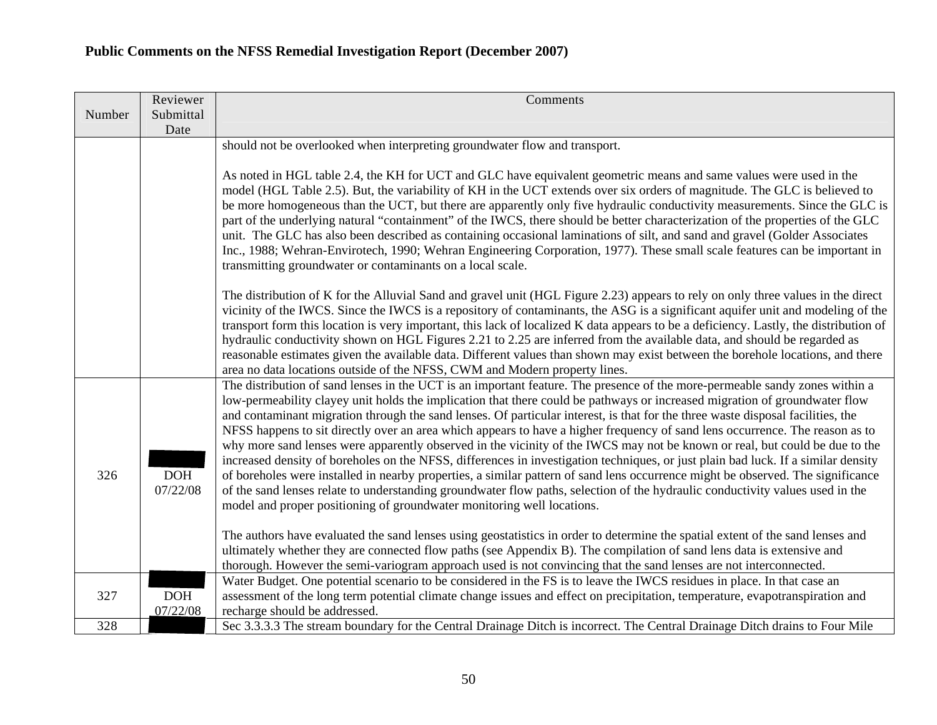|        | Reviewer               | Comments                                                                                                                                                                                                                                                                                                                                                                                                                                                                                                                                                                                                                                                                                                                                                                                                                                                                                                                                                                                                                                                                                                                                       |
|--------|------------------------|------------------------------------------------------------------------------------------------------------------------------------------------------------------------------------------------------------------------------------------------------------------------------------------------------------------------------------------------------------------------------------------------------------------------------------------------------------------------------------------------------------------------------------------------------------------------------------------------------------------------------------------------------------------------------------------------------------------------------------------------------------------------------------------------------------------------------------------------------------------------------------------------------------------------------------------------------------------------------------------------------------------------------------------------------------------------------------------------------------------------------------------------|
| Number | Submittal              |                                                                                                                                                                                                                                                                                                                                                                                                                                                                                                                                                                                                                                                                                                                                                                                                                                                                                                                                                                                                                                                                                                                                                |
|        | Date                   |                                                                                                                                                                                                                                                                                                                                                                                                                                                                                                                                                                                                                                                                                                                                                                                                                                                                                                                                                                                                                                                                                                                                                |
|        |                        | should not be overlooked when interpreting groundwater flow and transport.                                                                                                                                                                                                                                                                                                                                                                                                                                                                                                                                                                                                                                                                                                                                                                                                                                                                                                                                                                                                                                                                     |
|        |                        | As noted in HGL table 2.4, the KH for UCT and GLC have equivalent geometric means and same values were used in the<br>model (HGL Table 2.5). But, the variability of KH in the UCT extends over six orders of magnitude. The GLC is believed to<br>be more homogeneous than the UCT, but there are apparently only five hydraulic conductivity measurements. Since the GLC is<br>part of the underlying natural "containment" of the IWCS, there should be better characterization of the properties of the GLC<br>unit. The GLC has also been described as containing occasional laminations of silt, and sand and gravel (Golder Associates<br>Inc., 1988; Wehran-Envirotech, 1990; Wehran Engineering Corporation, 1977). These small scale features can be important in<br>transmitting groundwater or contaminants on a local scale.                                                                                                                                                                                                                                                                                                      |
|        |                        | The distribution of K for the Alluvial Sand and gravel unit (HGL Figure 2.23) appears to rely on only three values in the direct<br>vicinity of the IWCS. Since the IWCS is a repository of contaminants, the ASG is a significant aquifer unit and modeling of the<br>transport form this location is very important, this lack of localized K data appears to be a deficiency. Lastly, the distribution of<br>hydraulic conductivity shown on HGL Figures 2.21 to 2.25 are inferred from the available data, and should be regarded as<br>reasonable estimates given the available data. Different values than shown may exist between the borehole locations, and there<br>area no data locations outside of the NFSS, CWM and Modern property lines.                                                                                                                                                                                                                                                                                                                                                                                       |
| 326    | <b>DOH</b><br>07/22/08 | The distribution of sand lenses in the UCT is an important feature. The presence of the more-permeable sandy zones within a<br>low-permeability clayey unit holds the implication that there could be pathways or increased migration of groundwater flow<br>and contaminant migration through the sand lenses. Of particular interest, is that for the three waste disposal facilities, the<br>NFSS happens to sit directly over an area which appears to have a higher frequency of sand lens occurrence. The reason as to<br>why more sand lenses were apparently observed in the vicinity of the IWCS may not be known or real, but could be due to the<br>increased density of boreholes on the NFSS, differences in investigation techniques, or just plain bad luck. If a similar density<br>of boreholes were installed in nearby properties, a similar pattern of sand lens occurrence might be observed. The significance<br>of the sand lenses relate to understanding groundwater flow paths, selection of the hydraulic conductivity values used in the<br>model and proper positioning of groundwater monitoring well locations. |
|        |                        | The authors have evaluated the sand lenses using geostatistics in order to determine the spatial extent of the sand lenses and<br>ultimately whether they are connected flow paths (see Appendix B). The compilation of sand lens data is extensive and<br>thorough. However the semi-variogram approach used is not convincing that the sand lenses are not interconnected.                                                                                                                                                                                                                                                                                                                                                                                                                                                                                                                                                                                                                                                                                                                                                                   |
| 327    | <b>DOH</b><br>07/22/08 | Water Budget. One potential scenario to be considered in the FS is to leave the IWCS residues in place. In that case an<br>assessment of the long term potential climate change issues and effect on precipitation, temperature, evapotranspiration and<br>recharge should be addressed.                                                                                                                                                                                                                                                                                                                                                                                                                                                                                                                                                                                                                                                                                                                                                                                                                                                       |
| 328    |                        | Sec 3.3.3.3 The stream boundary for the Central Drainage Ditch is incorrect. The Central Drainage Ditch drains to Four Mile                                                                                                                                                                                                                                                                                                                                                                                                                                                                                                                                                                                                                                                                                                                                                                                                                                                                                                                                                                                                                    |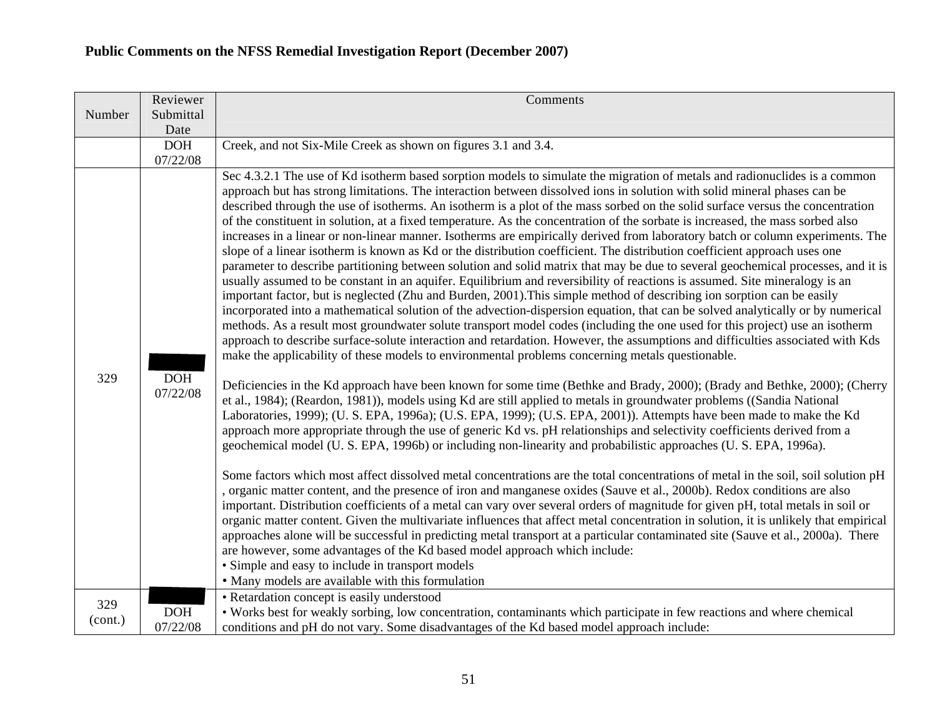|                | Reviewer               | Comments                                                                                                                                                                                                                                                                                                                                                                                                                                                                                                                                                                                                                                                                                                                                                                                                                                                                                                                                                                                                                                                                                                                                                                                                                                                                                                                                                                                                                                                                                                                                                                                                                                                                                                                                                                                                                                                                                                                                                                                                                                                                                                                                                                                                                                                                                                                                                                                                                                                                                                                                                                                                                                                                                                                                                                                                                                                                                                                                                                                                                                                                                                                                                                                             |
|----------------|------------------------|------------------------------------------------------------------------------------------------------------------------------------------------------------------------------------------------------------------------------------------------------------------------------------------------------------------------------------------------------------------------------------------------------------------------------------------------------------------------------------------------------------------------------------------------------------------------------------------------------------------------------------------------------------------------------------------------------------------------------------------------------------------------------------------------------------------------------------------------------------------------------------------------------------------------------------------------------------------------------------------------------------------------------------------------------------------------------------------------------------------------------------------------------------------------------------------------------------------------------------------------------------------------------------------------------------------------------------------------------------------------------------------------------------------------------------------------------------------------------------------------------------------------------------------------------------------------------------------------------------------------------------------------------------------------------------------------------------------------------------------------------------------------------------------------------------------------------------------------------------------------------------------------------------------------------------------------------------------------------------------------------------------------------------------------------------------------------------------------------------------------------------------------------------------------------------------------------------------------------------------------------------------------------------------------------------------------------------------------------------------------------------------------------------------------------------------------------------------------------------------------------------------------------------------------------------------------------------------------------------------------------------------------------------------------------------------------------------------------------------------------------------------------------------------------------------------------------------------------------------------------------------------------------------------------------------------------------------------------------------------------------------------------------------------------------------------------------------------------------------------------------------------------------------------------------------------------------|
| Number         | Submittal<br>Date      |                                                                                                                                                                                                                                                                                                                                                                                                                                                                                                                                                                                                                                                                                                                                                                                                                                                                                                                                                                                                                                                                                                                                                                                                                                                                                                                                                                                                                                                                                                                                                                                                                                                                                                                                                                                                                                                                                                                                                                                                                                                                                                                                                                                                                                                                                                                                                                                                                                                                                                                                                                                                                                                                                                                                                                                                                                                                                                                                                                                                                                                                                                                                                                                                      |
|                | <b>DOH</b>             | Creek, and not Six-Mile Creek as shown on figures 3.1 and 3.4.                                                                                                                                                                                                                                                                                                                                                                                                                                                                                                                                                                                                                                                                                                                                                                                                                                                                                                                                                                                                                                                                                                                                                                                                                                                                                                                                                                                                                                                                                                                                                                                                                                                                                                                                                                                                                                                                                                                                                                                                                                                                                                                                                                                                                                                                                                                                                                                                                                                                                                                                                                                                                                                                                                                                                                                                                                                                                                                                                                                                                                                                                                                                       |
|                | 07/22/08               |                                                                                                                                                                                                                                                                                                                                                                                                                                                                                                                                                                                                                                                                                                                                                                                                                                                                                                                                                                                                                                                                                                                                                                                                                                                                                                                                                                                                                                                                                                                                                                                                                                                                                                                                                                                                                                                                                                                                                                                                                                                                                                                                                                                                                                                                                                                                                                                                                                                                                                                                                                                                                                                                                                                                                                                                                                                                                                                                                                                                                                                                                                                                                                                                      |
| 329            | <b>DOH</b><br>07/22/08 | Sec 4.3.2.1 The use of Kd isotherm based sorption models to simulate the migration of metals and radionuclides is a common<br>approach but has strong limitations. The interaction between dissolved ions in solution with solid mineral phases can be<br>described through the use of isotherms. An isotherm is a plot of the mass sorbed on the solid surface versus the concentration<br>of the constituent in solution, at a fixed temperature. As the concentration of the sorbate is increased, the mass sorbed also<br>increases in a linear or non-linear manner. Isotherms are empirically derived from laboratory batch or column experiments. The<br>slope of a linear isotherm is known as Kd or the distribution coefficient. The distribution coefficient approach uses one<br>parameter to describe partitioning between solution and solid matrix that may be due to several geochemical processes, and it is<br>usually assumed to be constant in an aquifer. Equilibrium and reversibility of reactions is assumed. Site mineralogy is an<br>important factor, but is neglected (Zhu and Burden, 2001). This simple method of describing ion sorption can be easily<br>incorporated into a mathematical solution of the advection-dispersion equation, that can be solved analytically or by numerical<br>methods. As a result most groundwater solute transport model codes (including the one used for this project) use an isotherm<br>approach to describe surface-solute interaction and retardation. However, the assumptions and difficulties associated with Kds<br>make the applicability of these models to environmental problems concerning metals questionable.<br>Deficiencies in the Kd approach have been known for some time (Bethke and Brady, 2000); (Brady and Bethke, 2000); (Cherry<br>et al., 1984); (Reardon, 1981)), models using Kd are still applied to metals in groundwater problems ((Sandia National<br>Laboratories, 1999); (U. S. EPA, 1996a); (U.S. EPA, 1999); (U.S. EPA, 2001)). Attempts have been made to make the Kd<br>approach more appropriate through the use of generic Kd vs. pH relationships and selectivity coefficients derived from a<br>geochemical model (U. S. EPA, 1996b) or including non-linearity and probabilistic approaches (U. S. EPA, 1996a).<br>Some factors which most affect dissolved metal concentrations are the total concentrations of metal in the soil, soil solution pH<br>, organic matter content, and the presence of iron and manganese oxides (Sauve et al., 2000b). Redox conditions are also<br>important. Distribution coefficients of a metal can vary over several orders of magnitude for given pH, total metals in soil or<br>organic matter content. Given the multivariate influences that affect metal concentration in solution, it is unlikely that empirical<br>approaches alone will be successful in predicting metal transport at a particular contaminated site (Sauve et al., 2000a). There<br>are however, some advantages of the Kd based model approach which include:<br>• Simple and easy to include in transport models<br>• Many models are available with this formulation |
|                |                        | • Retardation concept is easily understood                                                                                                                                                                                                                                                                                                                                                                                                                                                                                                                                                                                                                                                                                                                                                                                                                                                                                                                                                                                                                                                                                                                                                                                                                                                                                                                                                                                                                                                                                                                                                                                                                                                                                                                                                                                                                                                                                                                                                                                                                                                                                                                                                                                                                                                                                                                                                                                                                                                                                                                                                                                                                                                                                                                                                                                                                                                                                                                                                                                                                                                                                                                                                           |
| 329<br>(cont.) | <b>DOH</b>             | • Works best for weakly sorbing, low concentration, contaminants which participate in few reactions and where chemical                                                                                                                                                                                                                                                                                                                                                                                                                                                                                                                                                                                                                                                                                                                                                                                                                                                                                                                                                                                                                                                                                                                                                                                                                                                                                                                                                                                                                                                                                                                                                                                                                                                                                                                                                                                                                                                                                                                                                                                                                                                                                                                                                                                                                                                                                                                                                                                                                                                                                                                                                                                                                                                                                                                                                                                                                                                                                                                                                                                                                                                                               |
|                | 07/22/08               | conditions and pH do not vary. Some disadvantages of the Kd based model approach include:                                                                                                                                                                                                                                                                                                                                                                                                                                                                                                                                                                                                                                                                                                                                                                                                                                                                                                                                                                                                                                                                                                                                                                                                                                                                                                                                                                                                                                                                                                                                                                                                                                                                                                                                                                                                                                                                                                                                                                                                                                                                                                                                                                                                                                                                                                                                                                                                                                                                                                                                                                                                                                                                                                                                                                                                                                                                                                                                                                                                                                                                                                            |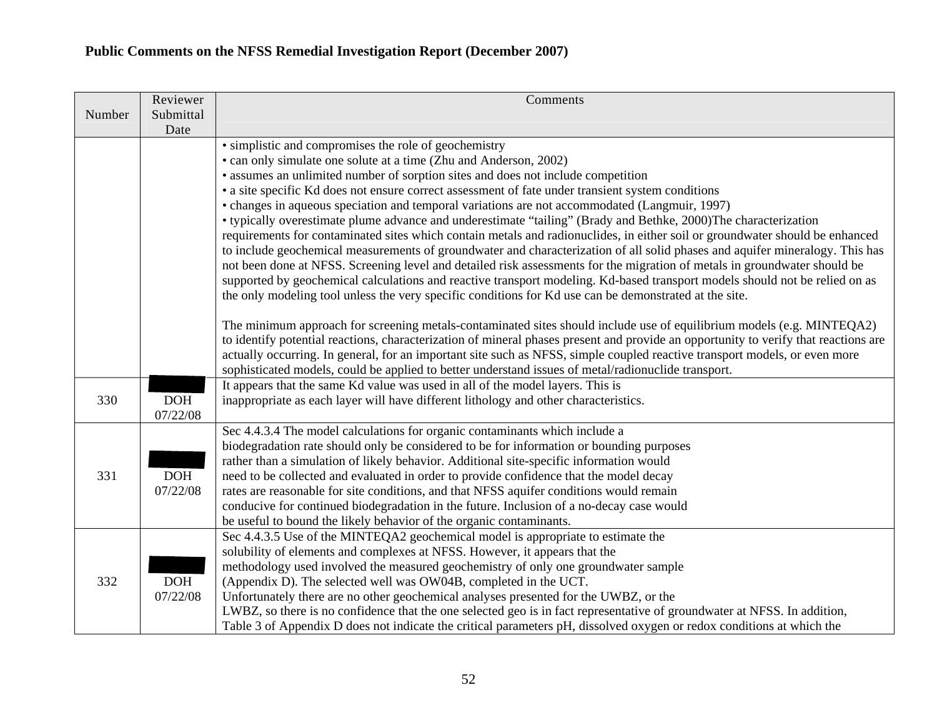|        | Reviewer   | Comments                                                                                                                                                                              |
|--------|------------|---------------------------------------------------------------------------------------------------------------------------------------------------------------------------------------|
| Number | Submittal  |                                                                                                                                                                                       |
|        | Date       |                                                                                                                                                                                       |
|        |            | • simplistic and compromises the role of geochemistry                                                                                                                                 |
|        |            | • can only simulate one solute at a time (Zhu and Anderson, 2002)                                                                                                                     |
|        |            | • assumes an unlimited number of sorption sites and does not include competition                                                                                                      |
|        |            | • a site specific Kd does not ensure correct assessment of fate under transient system conditions                                                                                     |
|        |            | • changes in aqueous speciation and temporal variations are not accommodated (Langmuir, 1997)                                                                                         |
|        |            | • typically overestimate plume advance and underestimate "tailing" (Brady and Bethke, 2000)The characterization                                                                       |
|        |            | requirements for contaminated sites which contain metals and radionuclides, in either soil or groundwater should be enhanced                                                          |
|        |            | to include geochemical measurements of groundwater and characterization of all solid phases and aquifer mineralogy. This has                                                          |
|        |            | not been done at NFSS. Screening level and detailed risk assessments for the migration of metals in groundwater should be                                                             |
|        |            | supported by geochemical calculations and reactive transport modeling. Kd-based transport models should not be relied on as                                                           |
|        |            | the only modeling tool unless the very specific conditions for Kd use can be demonstrated at the site.                                                                                |
|        |            |                                                                                                                                                                                       |
|        |            | The minimum approach for screening metals-contaminated sites should include use of equilibrium models (e.g. MINTEQA2)                                                                 |
|        |            | to identify potential reactions, characterization of mineral phases present and provide an opportunity to verify that reactions are                                                   |
|        |            | actually occurring. In general, for an important site such as NFSS, simple coupled reactive transport models, or even more                                                            |
|        |            | sophisticated models, could be applied to better understand issues of metal/radionuclide transport.<br>It appears that the same Kd value was used in all of the model layers. This is |
| 330    | <b>DOH</b> | inappropriate as each layer will have different lithology and other characteristics.                                                                                                  |
|        | 07/22/08   |                                                                                                                                                                                       |
|        |            | Sec 4.4.3.4 The model calculations for organic contaminants which include a                                                                                                           |
|        |            | biodegradation rate should only be considered to be for information or bounding purposes                                                                                              |
|        |            | rather than a simulation of likely behavior. Additional site-specific information would                                                                                               |
| 331    | DOH        | need to be collected and evaluated in order to provide confidence that the model decay                                                                                                |
|        | 07/22/08   | rates are reasonable for site conditions, and that NFSS aquifer conditions would remain                                                                                               |
|        |            | conducive for continued biodegradation in the future. Inclusion of a no-decay case would                                                                                              |
|        |            | be useful to bound the likely behavior of the organic contaminants.                                                                                                                   |
|        |            | Sec 4.4.3.5 Use of the MINTEQA2 geochemical model is appropriate to estimate the                                                                                                      |
|        |            | solubility of elements and complexes at NFSS. However, it appears that the                                                                                                            |
|        |            | methodology used involved the measured geochemistry of only one groundwater sample                                                                                                    |
| 332    | <b>DOH</b> | (Appendix D). The selected well was OW04B, completed in the UCT.                                                                                                                      |
|        | 07/22/08   | Unfortunately there are no other geochemical analyses presented for the UWBZ, or the                                                                                                  |
|        |            | LWBZ, so there is no confidence that the one selected geo is in fact representative of groundwater at NFSS. In addition,                                                              |
|        |            | Table 3 of Appendix D does not indicate the critical parameters pH, dissolved oxygen or redox conditions at which the                                                                 |